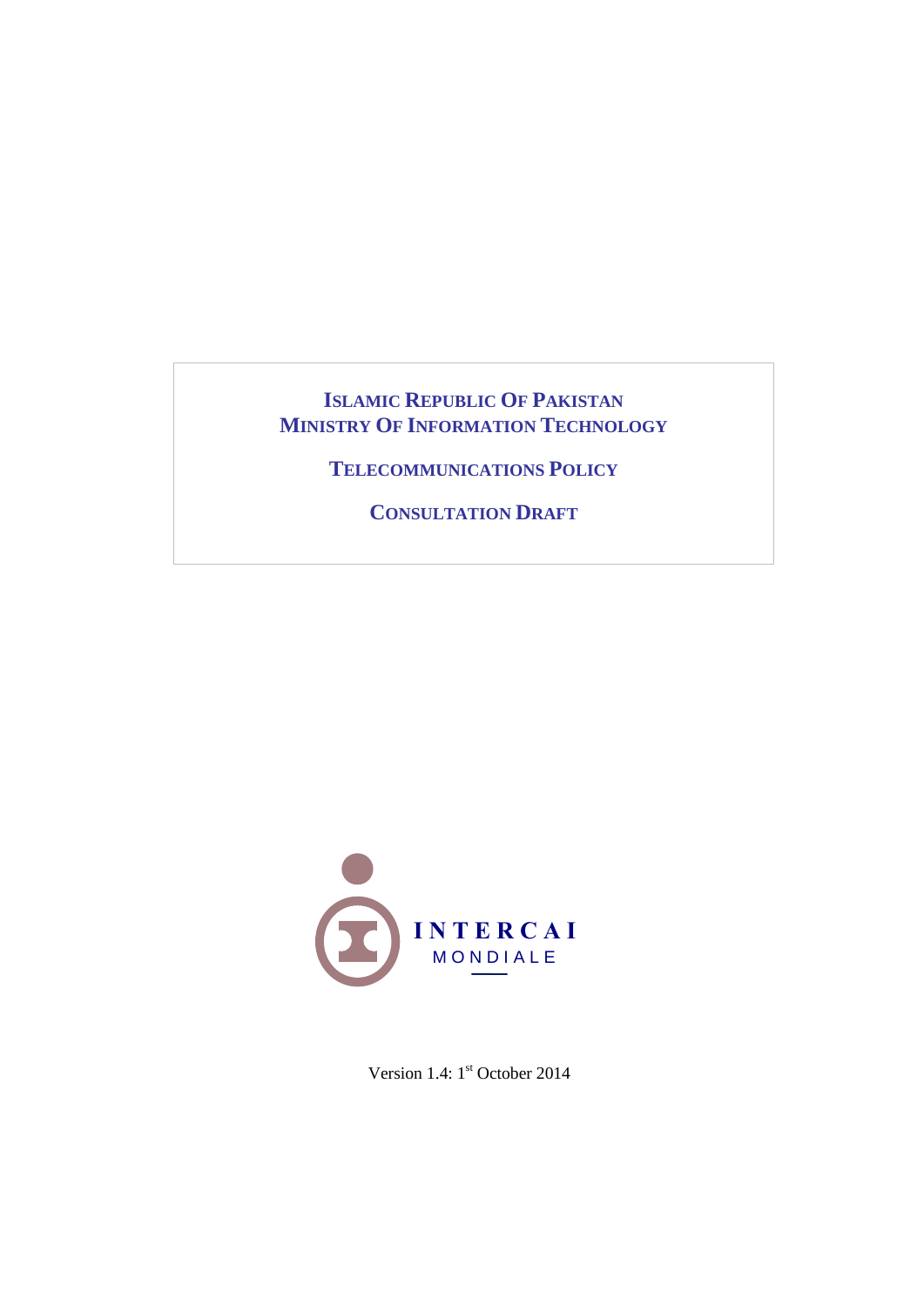# **ISLAMIC REPUBLIC OF PAKISTAN MINISTRY OF INFORMATION TECHNOLOGY**

**TELECOMMUNICATIONS POLICY**

**CONSULTATION DRAFT**



Version 1.4: 1<sup>st</sup> October 2014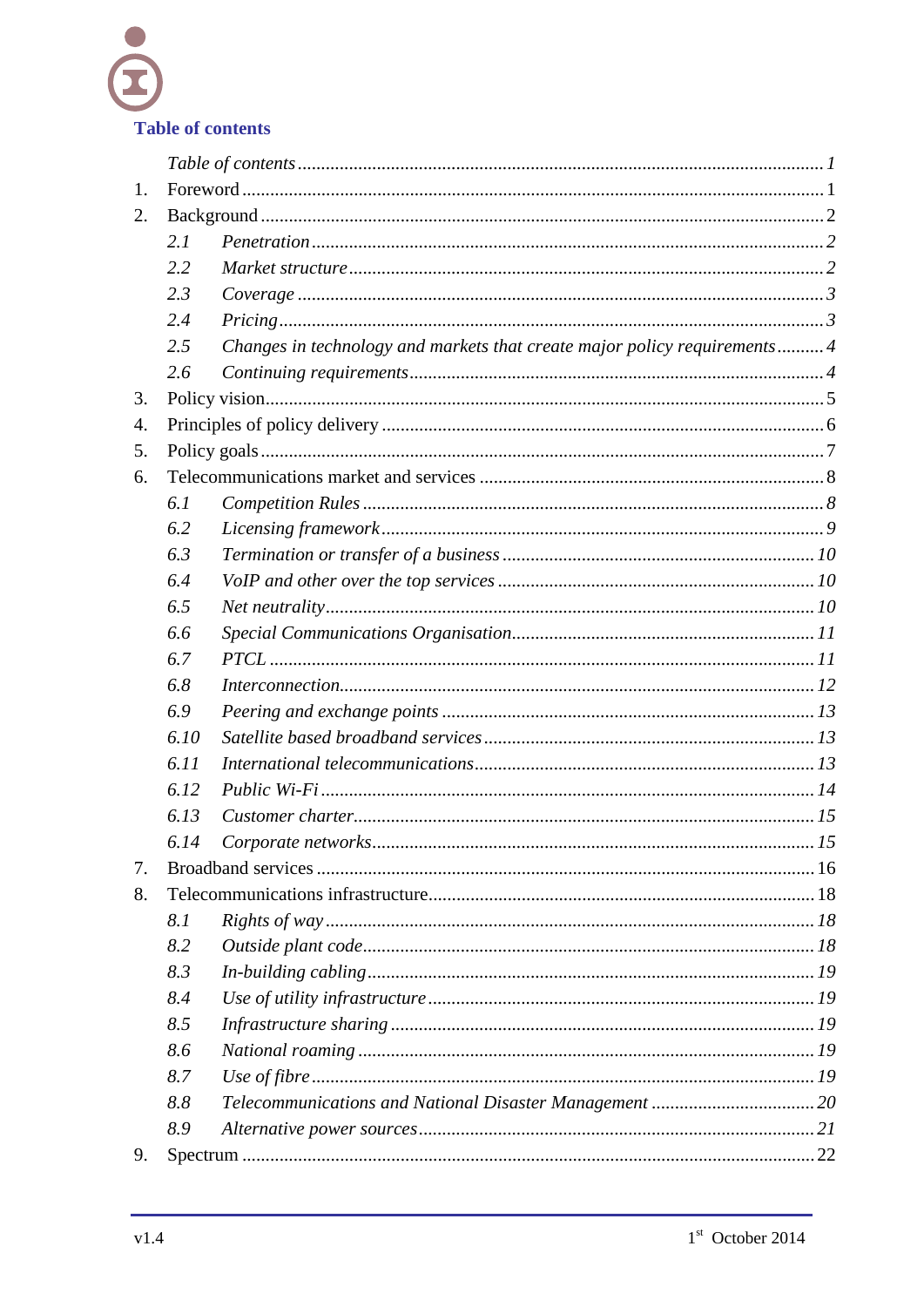**Table of contents** 

<span id="page-1-0"></span>

| 1. |      |                                                                           |  |
|----|------|---------------------------------------------------------------------------|--|
| 2. |      |                                                                           |  |
|    | 2.1  |                                                                           |  |
|    | 2.2  |                                                                           |  |
|    | 2.3  |                                                                           |  |
|    | 2.4  |                                                                           |  |
|    | 2.5  | Changes in technology and markets that create major policy requirements 4 |  |
|    | 2.6  |                                                                           |  |
| 3. |      |                                                                           |  |
| 4. |      |                                                                           |  |
| 5. |      |                                                                           |  |
| 6. |      |                                                                           |  |
|    | 6.1  |                                                                           |  |
|    | 6.2  |                                                                           |  |
|    | 6.3  |                                                                           |  |
|    | 6.4  |                                                                           |  |
|    | 6.5  |                                                                           |  |
|    | 6.6  |                                                                           |  |
|    | 6.7  |                                                                           |  |
|    | 6.8  |                                                                           |  |
|    | 6.9  |                                                                           |  |
|    | 6.10 |                                                                           |  |
|    | 6.11 |                                                                           |  |
|    | 6.12 |                                                                           |  |
|    | 6.13 |                                                                           |  |
|    | 6.14 |                                                                           |  |
| 7. |      |                                                                           |  |
| 8. |      |                                                                           |  |
|    | 8.1  |                                                                           |  |
|    | 8.2  |                                                                           |  |
|    | 8.3  |                                                                           |  |
|    | 8.4  |                                                                           |  |
|    | 8.5  |                                                                           |  |
|    | 8.6  |                                                                           |  |
|    | 8.7  |                                                                           |  |
|    | 8.8  |                                                                           |  |
|    | 8.9  |                                                                           |  |
| 9. |      |                                                                           |  |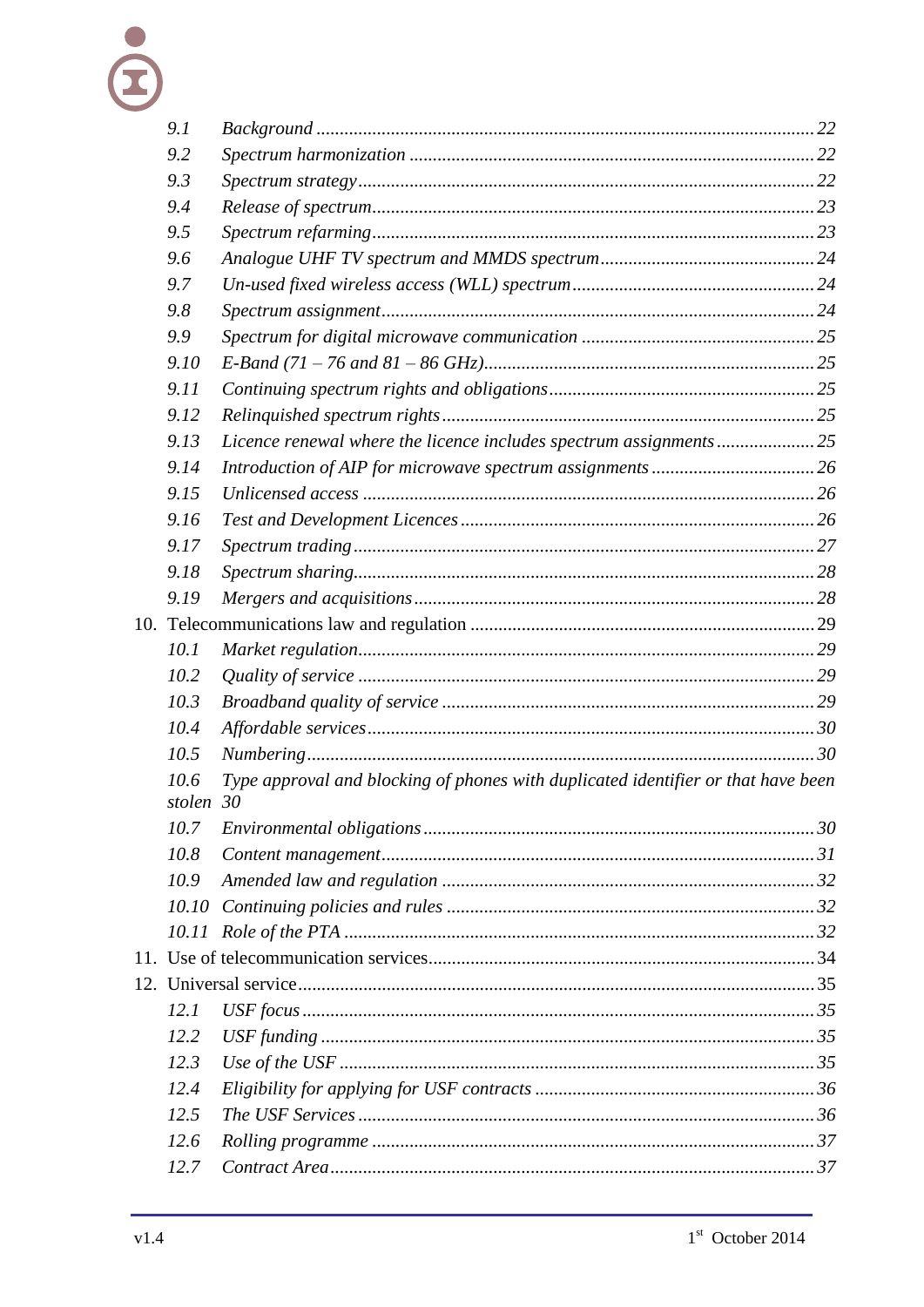| 9.1               |                                                                                   |  |
|-------------------|-----------------------------------------------------------------------------------|--|
| 9.2               |                                                                                   |  |
| 9.3               |                                                                                   |  |
| 9.4               |                                                                                   |  |
| 9.5               |                                                                                   |  |
| 9.6               |                                                                                   |  |
| 9.7               |                                                                                   |  |
| 9.8               |                                                                                   |  |
| 9.9               |                                                                                   |  |
| 9.10              |                                                                                   |  |
| 9.11              |                                                                                   |  |
| 9.12              |                                                                                   |  |
| 9.13              |                                                                                   |  |
| 9.14              |                                                                                   |  |
| 9.15              |                                                                                   |  |
| 9.16              |                                                                                   |  |
| 9.17              |                                                                                   |  |
| 9.18              |                                                                                   |  |
| 9.19              |                                                                                   |  |
|                   |                                                                                   |  |
| 10.1              |                                                                                   |  |
| 10.2              |                                                                                   |  |
| 10.3              |                                                                                   |  |
| 10.4              |                                                                                   |  |
| 10.5              |                                                                                   |  |
| 10.6<br>stolen 30 | Type approval and blocking of phones with duplicated identifier or that have been |  |
| 10.7              |                                                                                   |  |
| 10.8              |                                                                                   |  |
| 10.9              |                                                                                   |  |
|                   |                                                                                   |  |
|                   |                                                                                   |  |
|                   |                                                                                   |  |
|                   |                                                                                   |  |
| 12.1              |                                                                                   |  |
| 12.2              |                                                                                   |  |
| 12.3              |                                                                                   |  |
| 12.4              |                                                                                   |  |
| 12.5              |                                                                                   |  |
| 12.6              |                                                                                   |  |
| 12.7              |                                                                                   |  |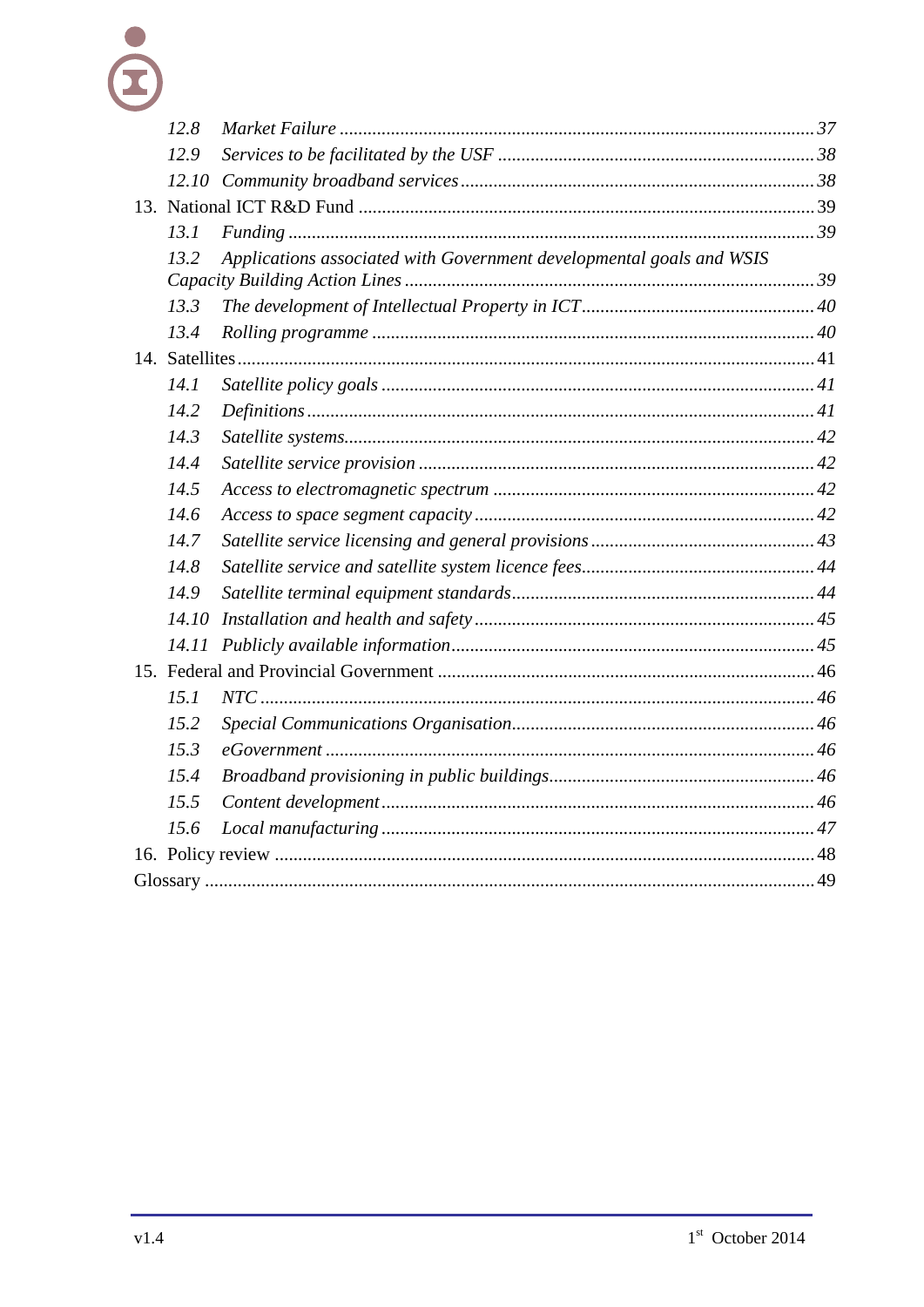# $\overline{\mathcal{L}}$  $\check{\mathbf{c}}$

| 12.8                                                                         |  |  |  |
|------------------------------------------------------------------------------|--|--|--|
| 12.9                                                                         |  |  |  |
| 12.10                                                                        |  |  |  |
|                                                                              |  |  |  |
| 13.1                                                                         |  |  |  |
| Applications associated with Government developmental goals and WSIS<br>13.2 |  |  |  |
|                                                                              |  |  |  |
| 13.3                                                                         |  |  |  |
| 13.4                                                                         |  |  |  |
|                                                                              |  |  |  |
| 14.1                                                                         |  |  |  |
| 14.2                                                                         |  |  |  |
| 14.3                                                                         |  |  |  |
| 14.4                                                                         |  |  |  |
| 14.5                                                                         |  |  |  |
| 14.6                                                                         |  |  |  |
| 14.7                                                                         |  |  |  |
| 14.8                                                                         |  |  |  |
| 14.9                                                                         |  |  |  |
| 14.10                                                                        |  |  |  |
| 14.11                                                                        |  |  |  |
|                                                                              |  |  |  |
| 15.1                                                                         |  |  |  |
| 15.2                                                                         |  |  |  |
| 15.3                                                                         |  |  |  |
| 15.4                                                                         |  |  |  |
| 15.5                                                                         |  |  |  |
| 15.6                                                                         |  |  |  |
|                                                                              |  |  |  |
|                                                                              |  |  |  |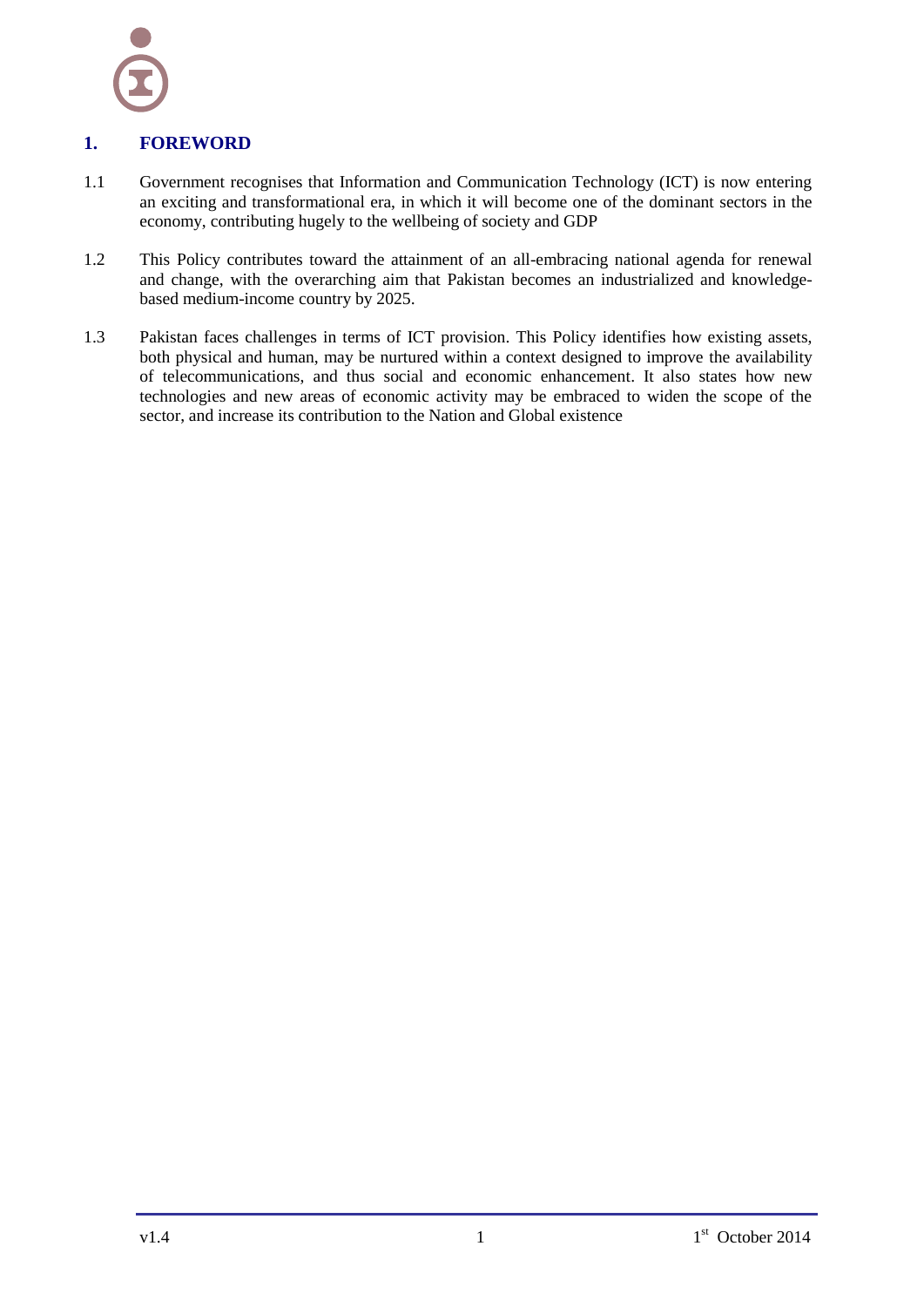

### <span id="page-4-0"></span>**1. FOREWORD**

- 1.1 Government recognises that Information and Communication Technology (ICT) is now entering an exciting and transformational era, in which it will become one of the dominant sectors in the economy, contributing hugely to the wellbeing of society and GDP
- 1.2 This Policy contributes toward the attainment of an all-embracing national agenda for renewal and change, with the overarching aim that Pakistan becomes an industrialized and knowledgebased medium-income country by 2025.
- 1.3 Pakistan faces challenges in terms of ICT provision. This Policy identifies how existing assets, both physical and human, may be nurtured within a context designed to improve the availability of telecommunications, and thus social and economic enhancement. It also states how new technologies and new areas of economic activity may be embraced to widen the scope of the sector, and increase its contribution to the Nation and Global existence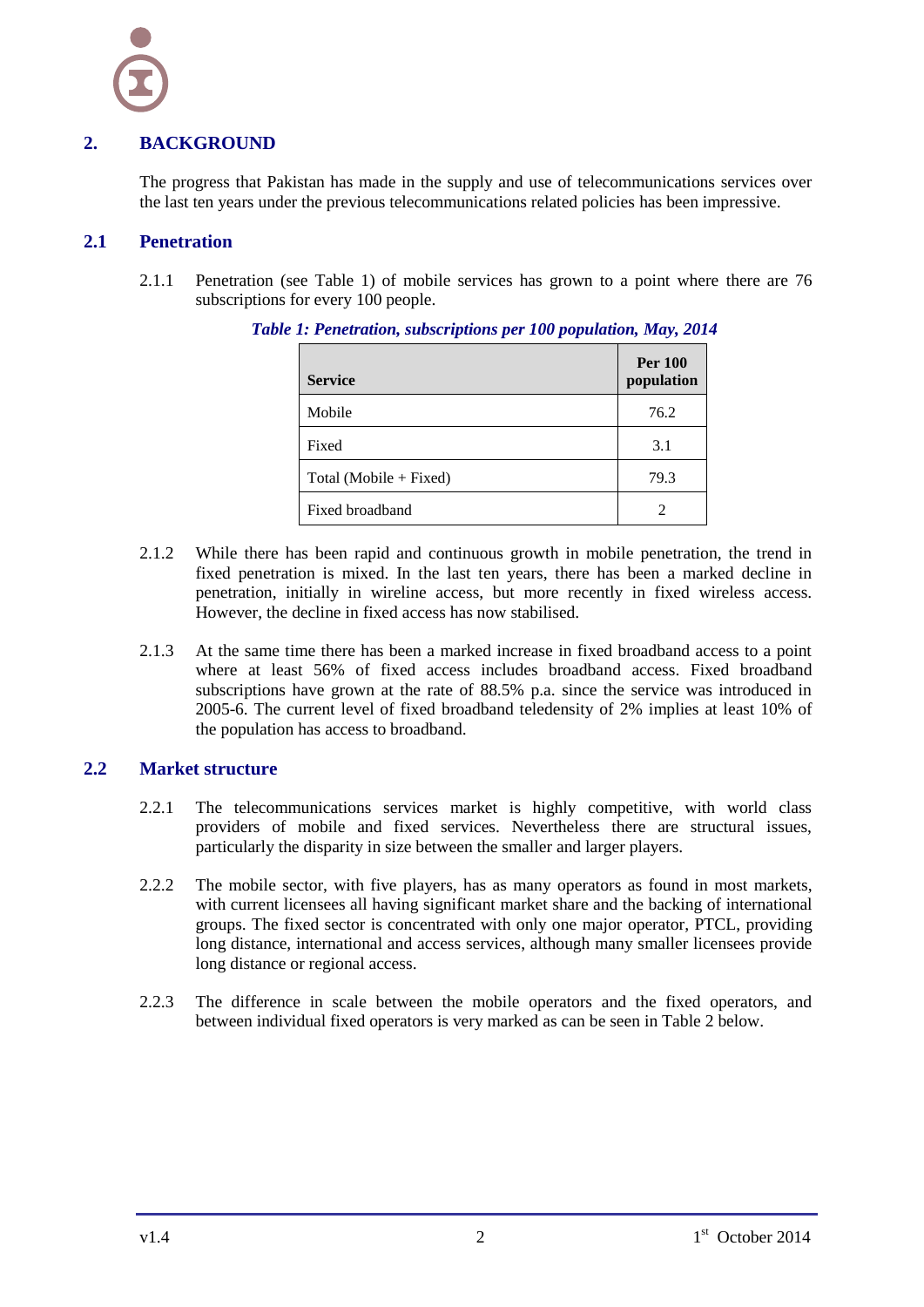

#### <span id="page-5-0"></span>**2. BACKGROUND**

<span id="page-5-1"></span>The progress that Pakistan has made in the supply and use of telecommunications services over the last ten years under the previous telecommunications related policies has been impressive.

#### **2.1 Penetration**

<span id="page-5-3"></span>2.1.1 Penetration (see [Table 1\)](#page-5-3) of mobile services has grown to a point where there are 76 subscriptions for every 100 people.

| <b>Service</b>         | <b>Per 100</b><br>population |
|------------------------|------------------------------|
| Mobile                 | 76.2                         |
| Fixed                  | 3.1                          |
| Total (Mobile + Fixed) | 79.3                         |
| Fixed broadband        |                              |

*Table 1: Penetration, subscriptions per 100 population, May, 2014*

- 2.1.2 While there has been rapid and continuous growth in mobile penetration, the trend in fixed penetration is mixed. In the last ten years, there has been a marked decline in penetration, initially in wireline access, but more recently in fixed wireless access. However, the decline in fixed access has now stabilised.
- 2.1.3 At the same time there has been a marked increase in fixed broadband access to a point where at least 56% of fixed access includes broadband access. Fixed broadband subscriptions have grown at the rate of 88.5% p.a. since the service was introduced in 2005-6. The current level of fixed broadband teledensity of 2% implies at least 10% of the population has access to broadband.

#### <span id="page-5-2"></span>**2.2 Market structure**

- 2.2.1 The telecommunications services market is highly competitive, with world class providers of mobile and fixed services. Nevertheless there are structural issues, particularly the disparity in size between the smaller and larger players.
- 2.2.2 The mobile sector, with five players, has as many operators as found in most markets, with current licensees all having significant market share and the backing of international groups. The fixed sector is concentrated with only one major operator, PTCL, providing long distance, international and access services, although many smaller licensees provide long distance or regional access.
- 2.2.3 The difference in scale between the mobile operators and the fixed operators, and between individual fixed operators is very marked as can be seen in [Table 2](#page-6-2) [below.](#page-6-2)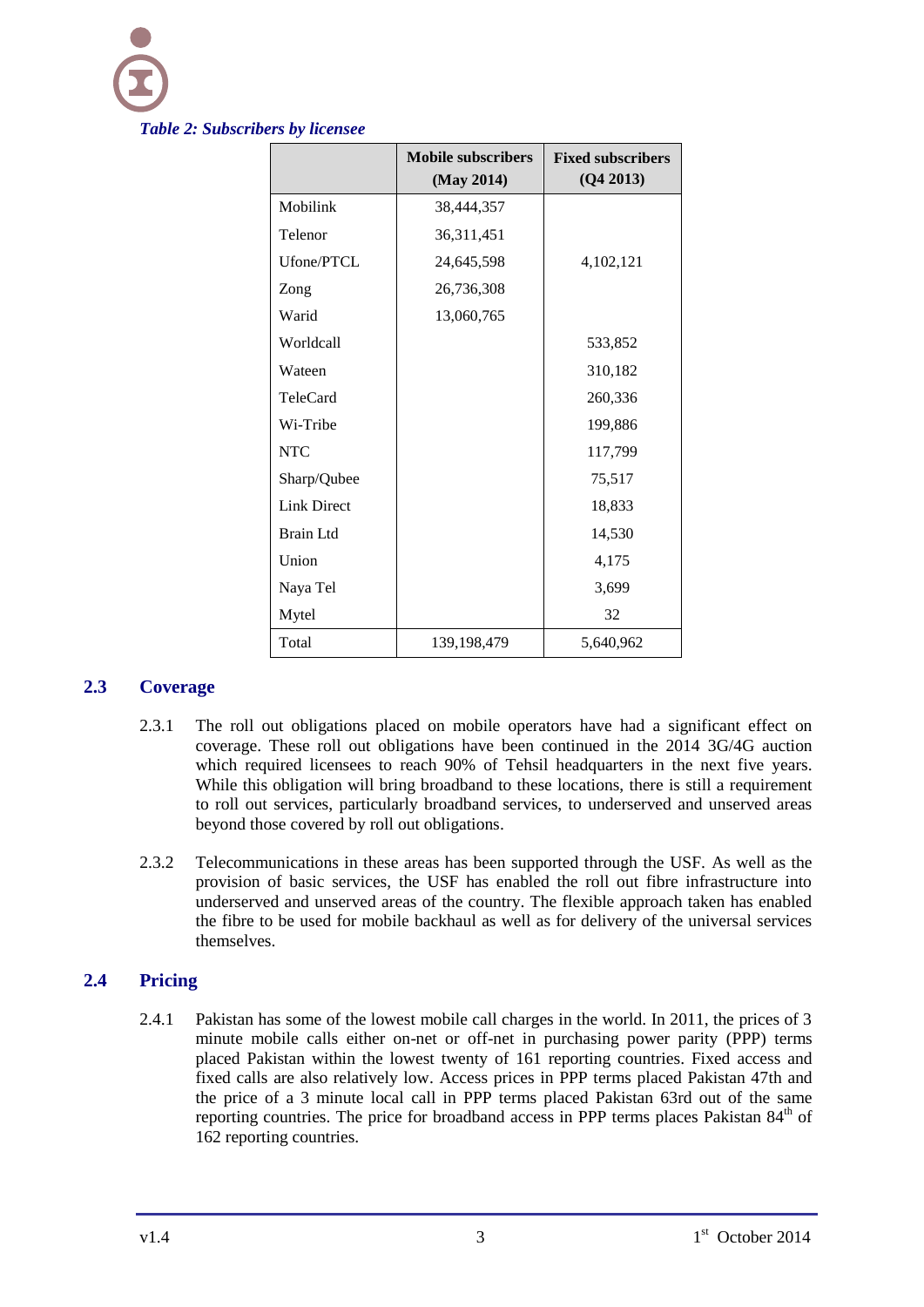<span id="page-6-2"></span>

|                    | <b>Mobile subscribers</b><br>(May 2014) | <b>Fixed subscribers</b><br>(Q4 2013) |
|--------------------|-----------------------------------------|---------------------------------------|
| Mobilink           | 38,444,357                              |                                       |
| Telenor            | 36,311,451                              |                                       |
| Ufone/PTCL         | 24,645,598                              | 4,102,121                             |
| Zong               | 26,736,308                              |                                       |
| Warid              | 13,060,765                              |                                       |
| Worldcall          |                                         | 533,852                               |
| Wateen             |                                         | 310,182                               |
| TeleCard           |                                         | 260,336                               |
| Wi-Tribe           |                                         | 199,886                               |
| <b>NTC</b>         |                                         | 117,799                               |
| Sharp/Qubee        |                                         | 75,517                                |
| <b>Link Direct</b> |                                         | 18,833                                |
| <b>Brain Ltd</b>   |                                         | 14,530                                |
| Union              |                                         | 4,175                                 |
| Naya Tel           |                                         | 3,699                                 |
| Mytel              |                                         | 32                                    |
| Total              | 139, 198, 479                           | 5,640,962                             |

#### <span id="page-6-0"></span>**2.3 Coverage**

- 2.3.1 The roll out obligations placed on mobile operators have had a significant effect on coverage. These roll out obligations have been continued in the 2014 3G/4G auction which required licensees to reach 90% of Tehsil headquarters in the next five years. While this obligation will bring broadband to these locations, there is still a requirement to roll out services, particularly broadband services, to underserved and unserved areas beyond those covered by roll out obligations.
- 2.3.2 Telecommunications in these areas has been supported through the USF. As well as the provision of basic services, the USF has enabled the roll out fibre infrastructure into underserved and unserved areas of the country. The flexible approach taken has enabled the fibre to be used for mobile backhaul as well as for delivery of the universal services themselves.

# **2.4 Pricing**

<span id="page-6-1"></span>2.4.1 Pakistan has some of the lowest mobile call charges in the world. In 2011, the prices of 3 minute mobile calls either on-net or off-net in purchasing power parity (PPP) terms placed Pakistan within the lowest twenty of 161 reporting countries. Fixed access and fixed calls are also relatively low. Access prices in PPP terms placed Pakistan 47th and the price of a 3 minute local call in PPP terms placed Pakistan 63rd out of the same reporting countries. The price for broadband access in PPP terms places Pakistan 84<sup>th</sup> of 162 reporting countries.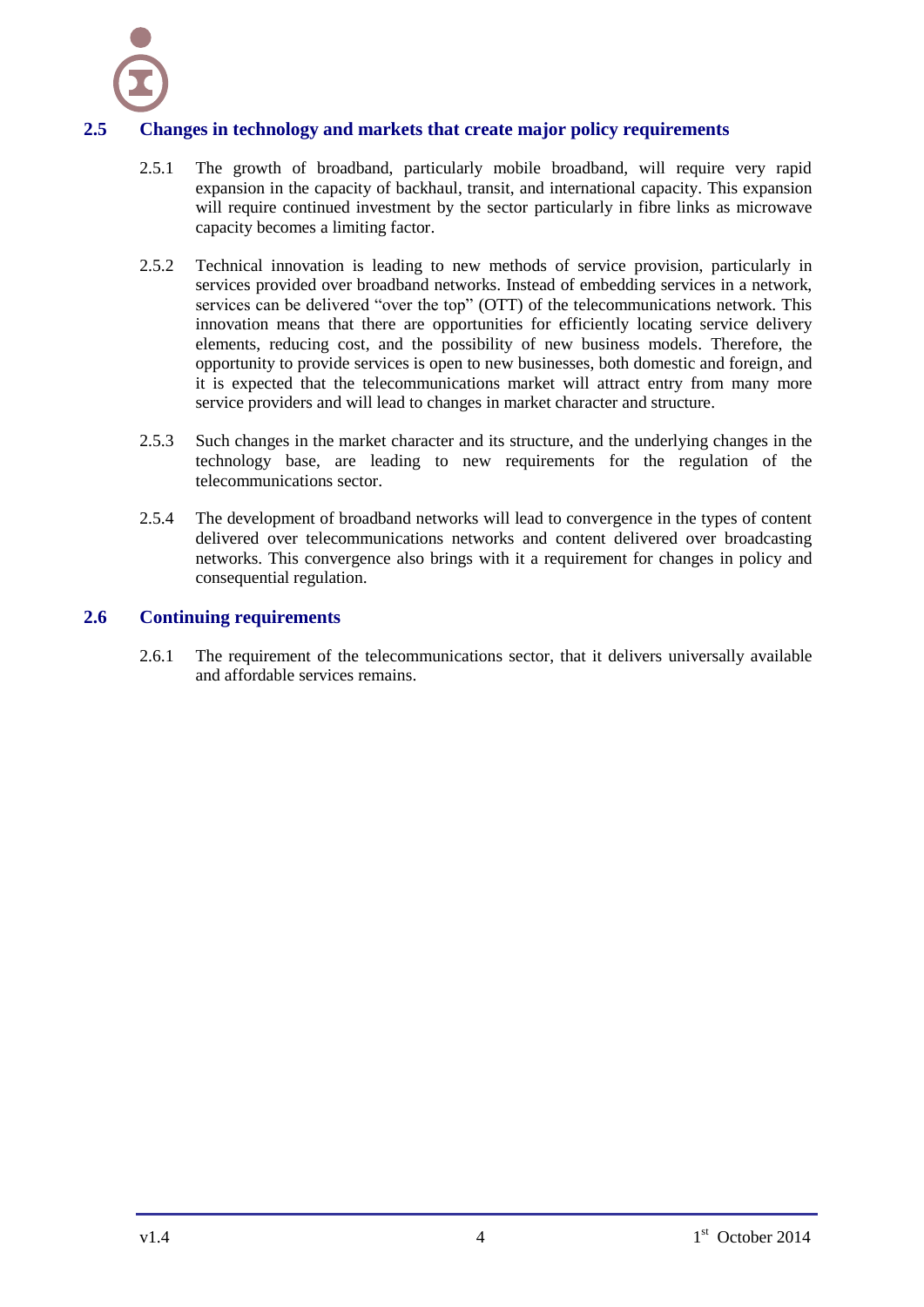

#### **2.5 Changes in technology and markets that create major policy requirements**

- <span id="page-7-0"></span>2.5.1 The growth of broadband, particularly mobile broadband, will require very rapid expansion in the capacity of backhaul, transit, and international capacity. This expansion will require continued investment by the sector particularly in fibre links as microwave capacity becomes a limiting factor.
- 2.5.2 Technical innovation is leading to new methods of service provision, particularly in services provided over broadband networks. Instead of embedding services in a network, services can be delivered "over the top" (OTT) of the telecommunications network. This innovation means that there are opportunities for efficiently locating service delivery elements, reducing cost, and the possibility of new business models. Therefore, the opportunity to provide services is open to new businesses, both domestic and foreign, and it is expected that the telecommunications market will attract entry from many more service providers and will lead to changes in market character and structure.
- 2.5.3 Such changes in the market character and its structure, and the underlying changes in the technology base, are leading to new requirements for the regulation of the telecommunications sector.
- 2.5.4 The development of broadband networks will lead to convergence in the types of content delivered over telecommunications networks and content delivered over broadcasting networks. This convergence also brings with it a requirement for changes in policy and consequential regulation.

#### **2.6 Continuing requirements**

<span id="page-7-1"></span>2.6.1 The requirement of the telecommunications sector, that it delivers universally available and affordable services remains.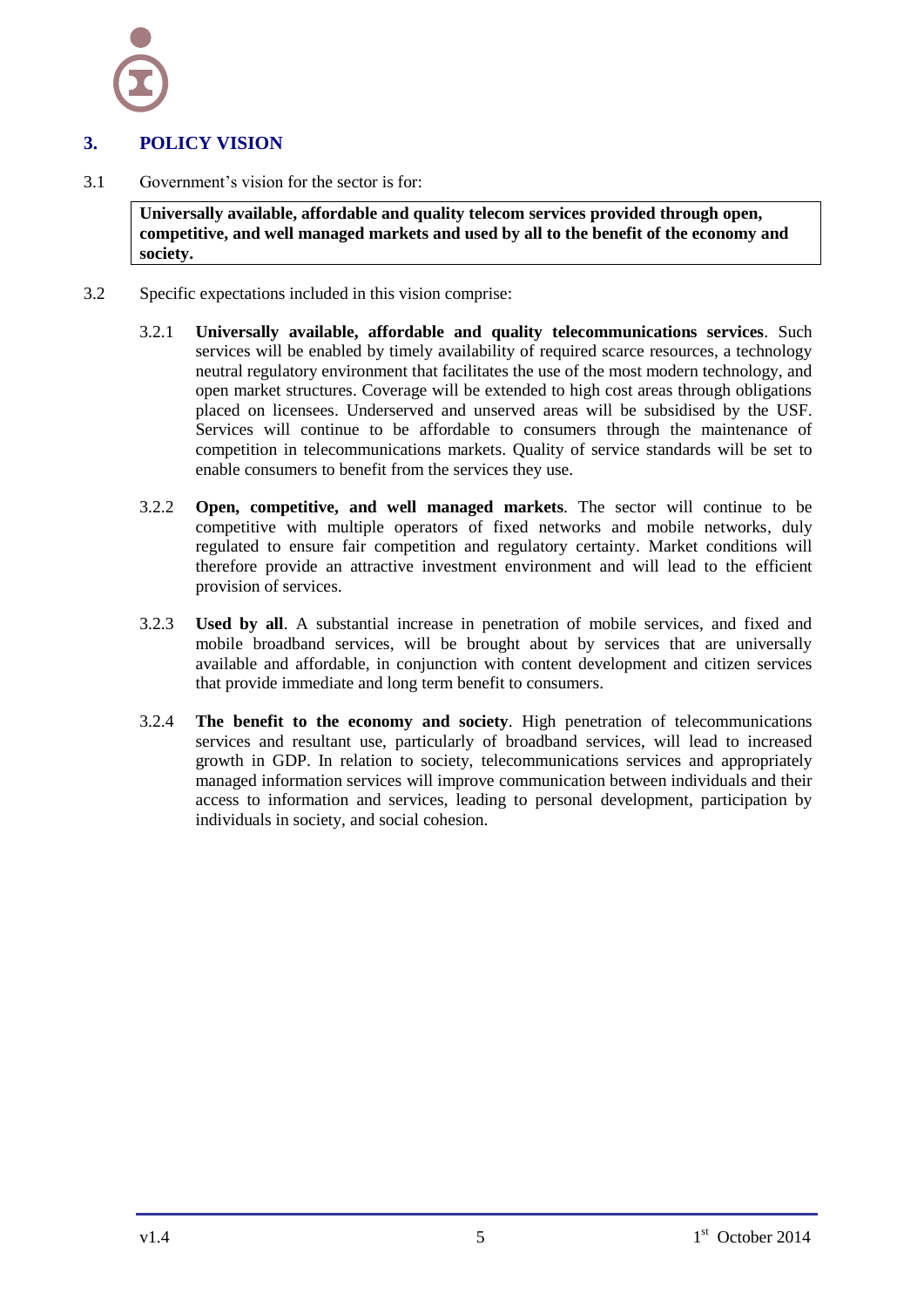

# <span id="page-8-0"></span>**3. POLICY VISION**

3.1 Government"s vision for the sector is for:

**Universally available, affordable and quality telecom services provided through open, competitive, and well managed markets and used by all to the benefit of the economy and society.**

- 3.2 Specific expectations included in this vision comprise:
	- 3.2.1 **Universally available, affordable and quality telecommunications services**. Such services will be enabled by timely availability of required scarce resources, a technology neutral regulatory environment that facilitates the use of the most modern technology, and open market structures. Coverage will be extended to high cost areas through obligations placed on licensees. Underserved and unserved areas will be subsidised by the USF. Services will continue to be affordable to consumers through the maintenance of competition in telecommunications markets. Quality of service standards will be set to enable consumers to benefit from the services they use.
	- 3.2.2 **Open, competitive, and well managed markets**. The sector will continue to be competitive with multiple operators of fixed networks and mobile networks, duly regulated to ensure fair competition and regulatory certainty. Market conditions will therefore provide an attractive investment environment and will lead to the efficient provision of services.
	- 3.2.3 **Used by all**. A substantial increase in penetration of mobile services, and fixed and mobile broadband services, will be brought about by services that are universally available and affordable, in conjunction with content development and citizen services that provide immediate and long term benefit to consumers.
	- 3.2.4 **The benefit to the economy and society**. High penetration of telecommunications services and resultant use, particularly of broadband services, will lead to increased growth in GDP. In relation to society, telecommunications services and appropriately managed information services will improve communication between individuals and their access to information and services, leading to personal development, participation by individuals in society, and social cohesion.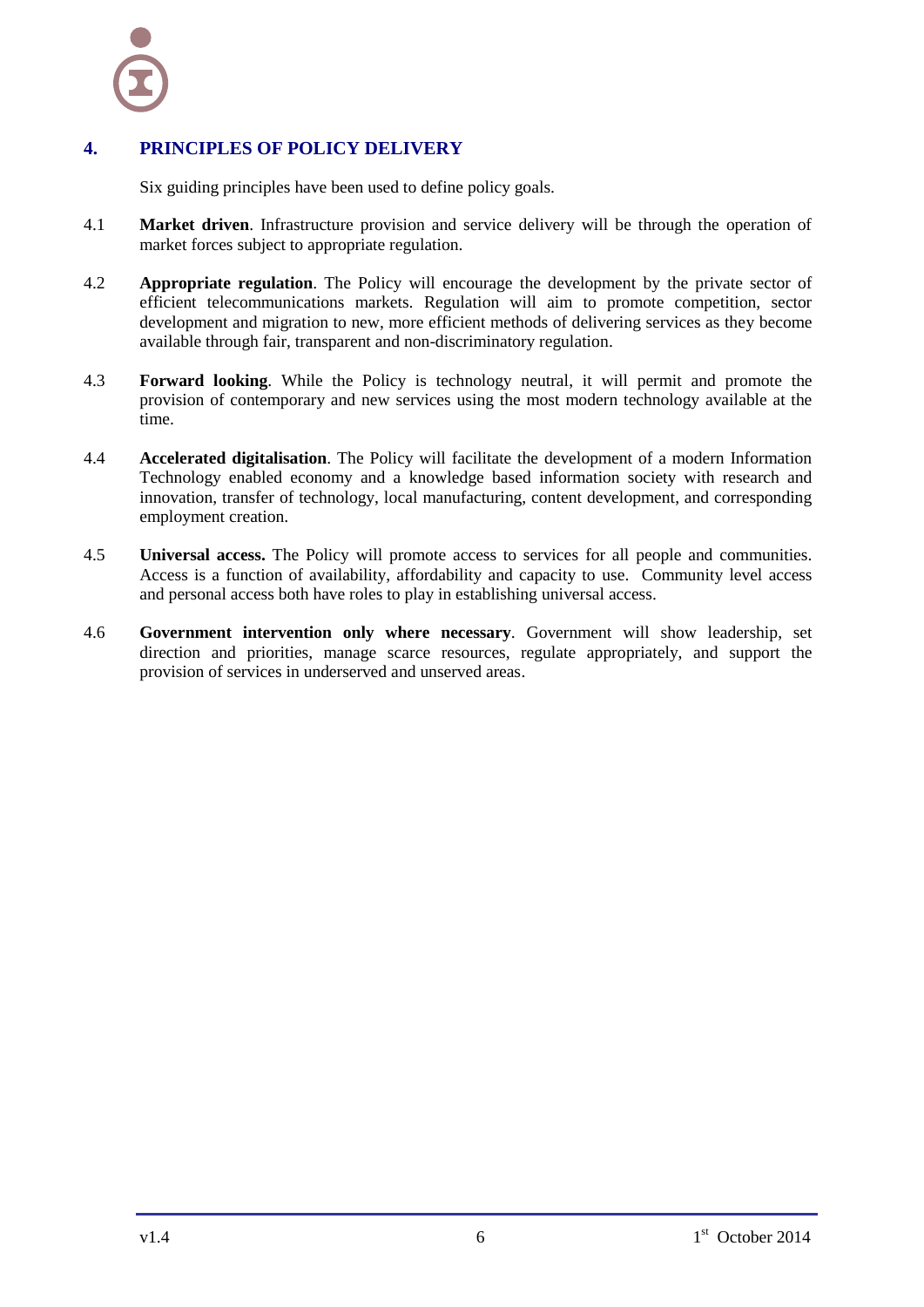

# <span id="page-9-0"></span>**4. PRINCIPLES OF POLICY DELIVERY**

Six guiding principles have been used to define policy goals.

- 4.1 **Market driven**. Infrastructure provision and service delivery will be through the operation of market forces subject to appropriate regulation.
- 4.2 **Appropriate regulation**. The Policy will encourage the development by the private sector of efficient telecommunications markets. Regulation will aim to promote competition, sector development and migration to new, more efficient methods of delivering services as they become available through fair, transparent and non-discriminatory regulation.
- 4.3 **Forward looking**. While the Policy is technology neutral, it will permit and promote the provision of contemporary and new services using the most modern technology available at the time.
- 4.4 **Accelerated digitalisation**. The Policy will facilitate the development of a modern Information Technology enabled economy and a knowledge based information society with research and innovation, transfer of technology, local manufacturing, content development, and corresponding employment creation.
- 4.5 **Universal access.** The Policy will promote access to services for all people and communities. Access is a function of availability, affordability and capacity to use. Community level access and personal access both have roles to play in establishing universal access.
- 4.6 **Government intervention only where necessary**. Government will show leadership, set direction and priorities, manage scarce resources, regulate appropriately, and support the provision of services in underserved and unserved areas.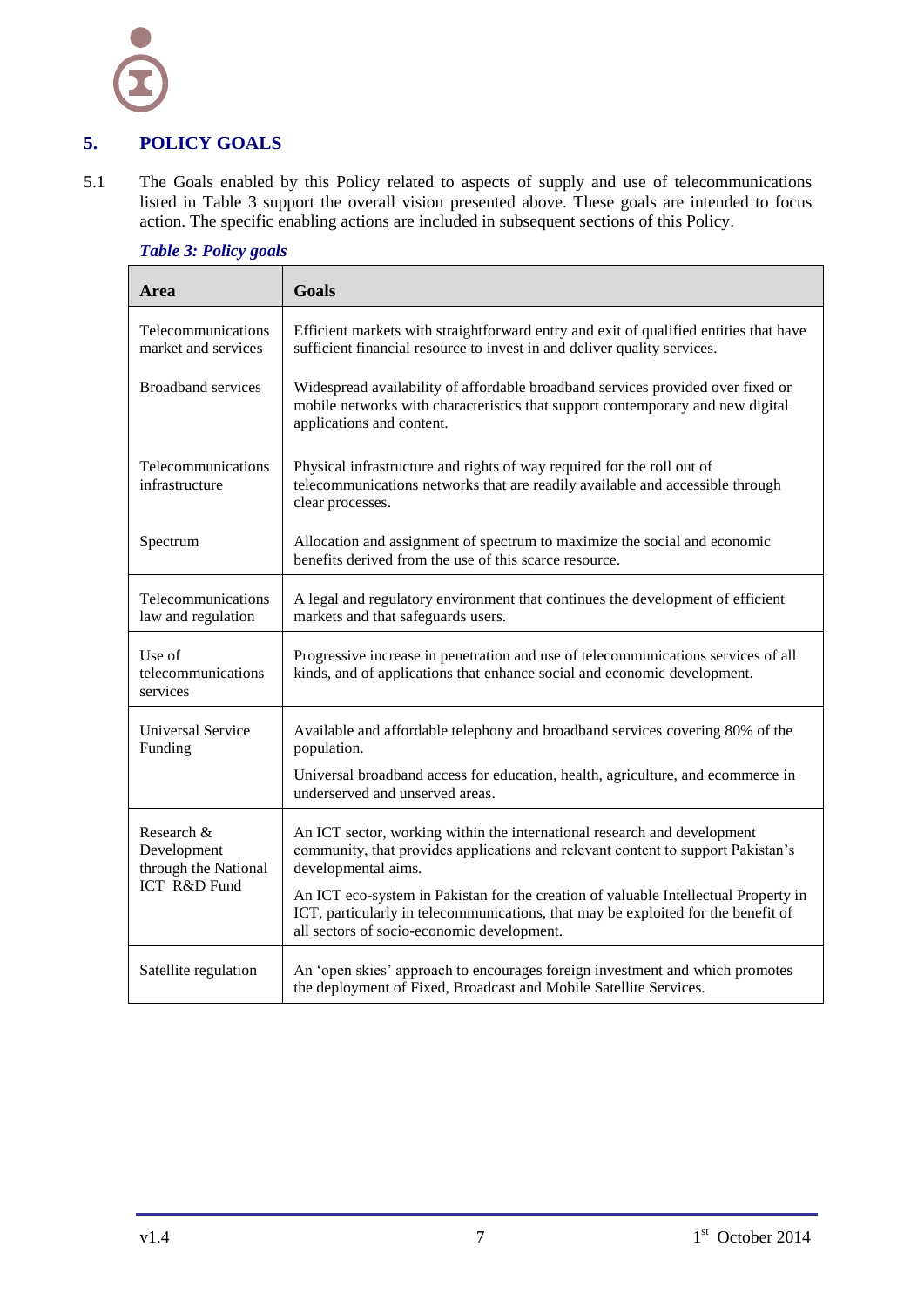

# <span id="page-10-0"></span>**5. POLICY GOALS**

5.1 The Goals enabled by this Policy related to aspects of supply and use of telecommunications listed in [Table 3](#page-10-1) support the overall vision presented above. These goals are intended to focus action. The specific enabling actions are included in subsequent sections of this Policy.

#### <span id="page-10-1"></span>*Table 3: Policy goals*

| Area                                              | Goals                                                                                                                                                                                                                  |
|---------------------------------------------------|------------------------------------------------------------------------------------------------------------------------------------------------------------------------------------------------------------------------|
| Telecommunications<br>market and services         | Efficient markets with straightforward entry and exit of qualified entities that have<br>sufficient financial resource to invest in and deliver quality services.                                                      |
| <b>Broadband services</b>                         | Widespread availability of affordable broadband services provided over fixed or<br>mobile networks with characteristics that support contemporary and new digital<br>applications and content.                         |
| Telecommunications<br>infrastructure              | Physical infrastructure and rights of way required for the roll out of<br>telecommunications networks that are readily available and accessible through<br>clear processes.                                            |
| Spectrum                                          | Allocation and assignment of spectrum to maximize the social and economic<br>benefits derived from the use of this scarce resource.                                                                                    |
| Telecommunications<br>law and regulation          | A legal and regulatory environment that continues the development of efficient<br>markets and that safeguards users.                                                                                                   |
| Use of<br>telecommunications<br>services          | Progressive increase in penetration and use of telecommunications services of all<br>kinds, and of applications that enhance social and economic development.                                                          |
| <b>Universal Service</b><br>Funding               | Available and affordable telephony and broadband services covering 80% of the<br>population.                                                                                                                           |
|                                                   | Universal broadband access for education, health, agriculture, and ecommerce in<br>underserved and unserved areas.                                                                                                     |
| Research &<br>Development<br>through the National | An ICT sector, working within the international research and development<br>community, that provides applications and relevant content to support Pakistan's<br>developmental aims.                                    |
| <b>ICT R&amp;D Fund</b>                           | An ICT eco-system in Pakistan for the creation of valuable Intellectual Property in<br>ICT, particularly in telecommunications, that may be exploited for the benefit of<br>all sectors of socio-economic development. |
| Satellite regulation                              | An 'open skies' approach to encourages foreign investment and which promotes<br>the deployment of Fixed, Broadcast and Mobile Satellite Services.                                                                      |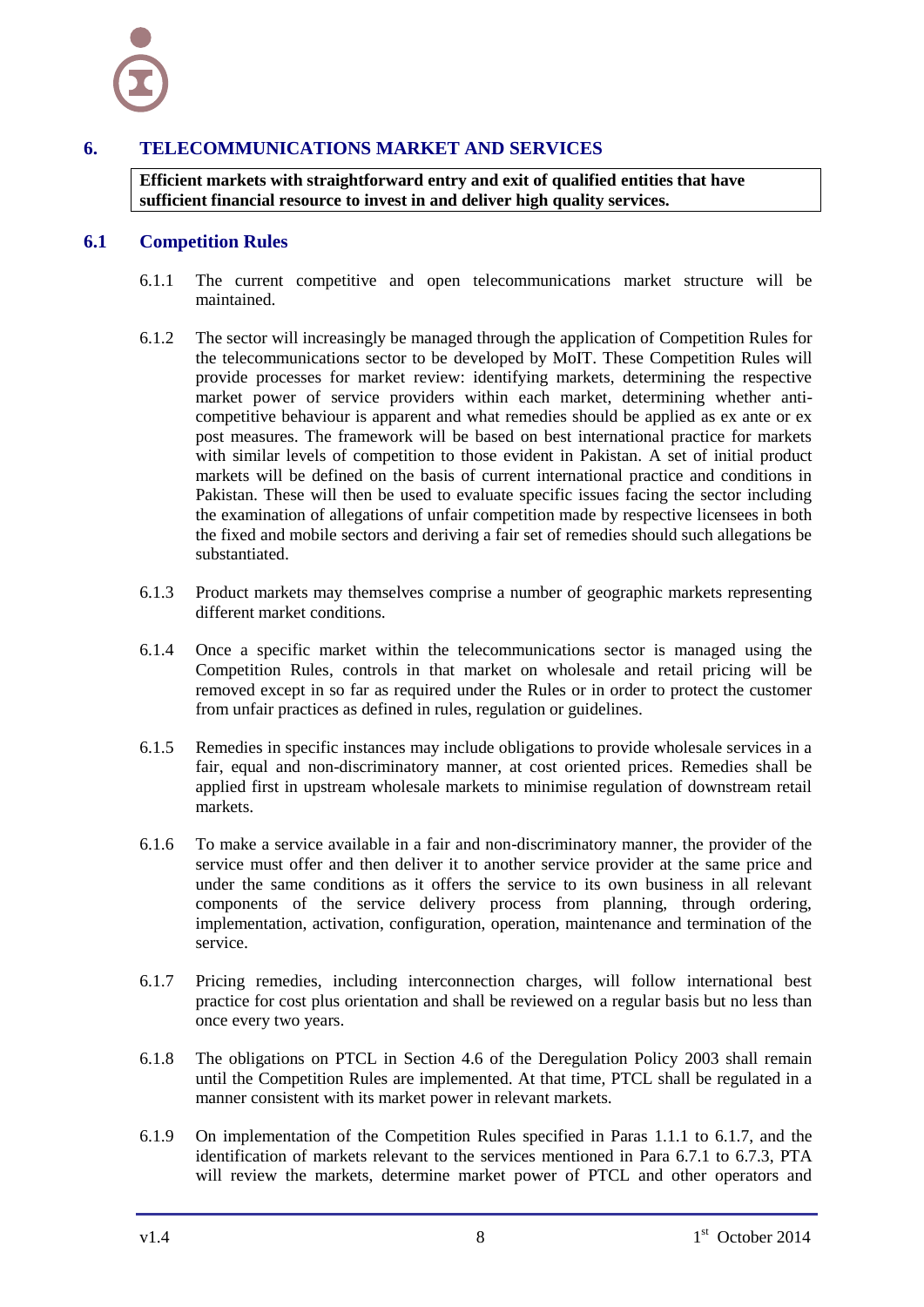# **6. TELECOMMUNICATIONS MARKET AND SERVICES**

<span id="page-11-1"></span><span id="page-11-0"></span>**Efficient markets with straightforward entry and exit of qualified entities that have sufficient financial resource to invest in and deliver high quality services.**

#### **6.1 Competition Rules**

- 6.1.1 The current competitive and open telecommunications market structure will be maintained.
- <span id="page-11-2"></span>6.1.2 The sector will increasingly be managed through the application of Competition Rules for the telecommunications sector to be developed by MoIT. These Competition Rules will provide processes for market review: identifying markets, determining the respective market power of service providers within each market, determining whether anticompetitive behaviour is apparent and what remedies should be applied as ex ante or ex post measures. The framework will be based on best international practice for markets with similar levels of competition to those evident in Pakistan. A set of initial product markets will be defined on the basis of current international practice and conditions in Pakistan. These will then be used to evaluate specific issues facing the sector including the examination of allegations of unfair competition made by respective licensees in both the fixed and mobile sectors and deriving a fair set of remedies should such allegations be substantiated.
- 6.1.3 Product markets may themselves comprise a number of geographic markets representing different market conditions.
- 6.1.4 Once a specific market within the telecommunications sector is managed using the Competition Rules, controls in that market on wholesale and retail pricing will be removed except in so far as required under the Rules or in order to protect the customer from unfair practices as defined in rules, regulation or guidelines.
- 6.1.5 Remedies in specific instances may include obligations to provide wholesale services in a fair, equal and non-discriminatory manner, at cost oriented prices. Remedies shall be applied first in upstream wholesale markets to minimise regulation of downstream retail markets.
- 6.1.6 To make a service available in a fair and non-discriminatory manner, the provider of the service must offer and then deliver it to another service provider at the same price and under the same conditions as it offers the service to its own business in all relevant components of the service delivery process from planning, through ordering, implementation, activation, configuration, operation, maintenance and termination of the service.
- <span id="page-11-3"></span>6.1.7 Pricing remedies, including interconnection charges, will follow international best practice for cost plus orientation and shall be reviewed on a regular basis but no less than once every two years.
- 6.1.8 The obligations on PTCL in Section 4.6 of the Deregulation Policy 2003 shall remain until the Competition Rules are implemented. At that time, PTCL shall be regulated in a manner consistent with its market power in relevant markets.
- 6.1.9 On implementation of the Competition Rules specified in Paras [1.1.1](#page-11-2) to [6.1.7,](#page-11-3) and the identification of markets relevant to the services mentioned in Para [6.7.1](#page-14-2) to [6.7.3,](#page-15-1) PTA will review the markets, determine market power of PTCL and other operators and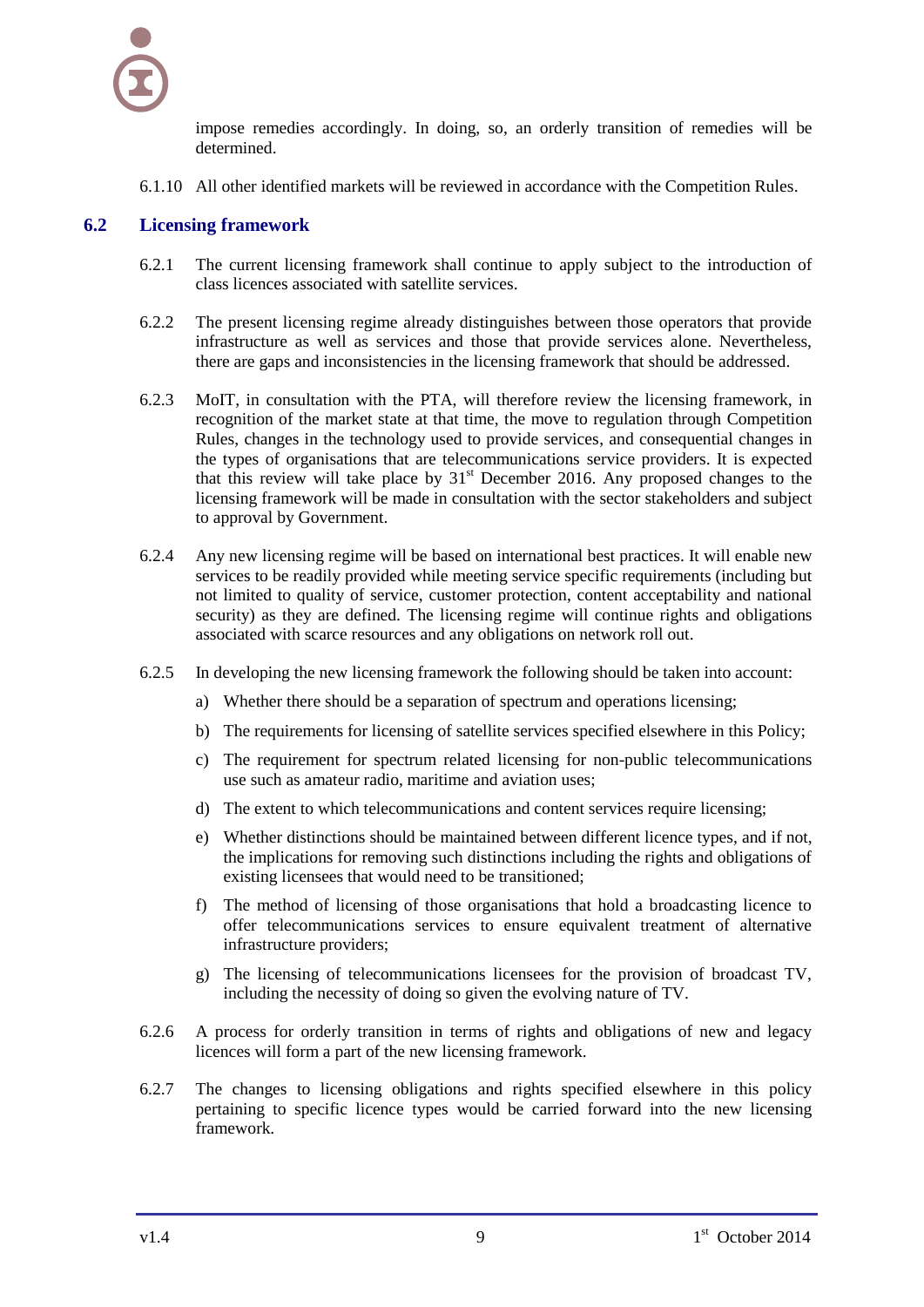

impose remedies accordingly. In doing, so, an orderly transition of remedies will be determined.

<span id="page-12-0"></span>6.1.10 All other identified markets will be reviewed in accordance with the Competition Rules.

## **6.2 Licensing framework**

- 6.2.1 The current licensing framework shall continue to apply subject to the introduction of class licences associated with satellite services.
- 6.2.2 The present licensing regime already distinguishes between those operators that provide infrastructure as well as services and those that provide services alone. Nevertheless, there are gaps and inconsistencies in the licensing framework that should be addressed.
- 6.2.3 MoIT, in consultation with the PTA, will therefore review the licensing framework, in recognition of the market state at that time, the move to regulation through Competition Rules, changes in the technology used to provide services, and consequential changes in the types of organisations that are telecommunications service providers. It is expected that this review will take place by  $31<sup>st</sup>$  December 2016. Any proposed changes to the licensing framework will be made in consultation with the sector stakeholders and subject to approval by Government.
- 6.2.4 Any new licensing regime will be based on international best practices. It will enable new services to be readily provided while meeting service specific requirements (including but not limited to quality of service, customer protection, content acceptability and national security) as they are defined. The licensing regime will continue rights and obligations associated with scarce resources and any obligations on network roll out.
- 6.2.5 In developing the new licensing framework the following should be taken into account:
	- a) Whether there should be a separation of spectrum and operations licensing;
	- b) The requirements for licensing of satellite services specified elsewhere in this Policy;
	- c) The requirement for spectrum related licensing for non-public telecommunications use such as amateur radio, maritime and aviation uses;
	- d) The extent to which telecommunications and content services require licensing;
	- e) Whether distinctions should be maintained between different licence types, and if not, the implications for removing such distinctions including the rights and obligations of existing licensees that would need to be transitioned;
	- f) The method of licensing of those organisations that hold a broadcasting licence to offer telecommunications services to ensure equivalent treatment of alternative infrastructure providers;
	- g) The licensing of telecommunications licensees for the provision of broadcast TV, including the necessity of doing so given the evolving nature of TV.
- 6.2.6 A process for orderly transition in terms of rights and obligations of new and legacy licences will form a part of the new licensing framework.
- 6.2.7 The changes to licensing obligations and rights specified elsewhere in this policy pertaining to specific licence types would be carried forward into the new licensing framework.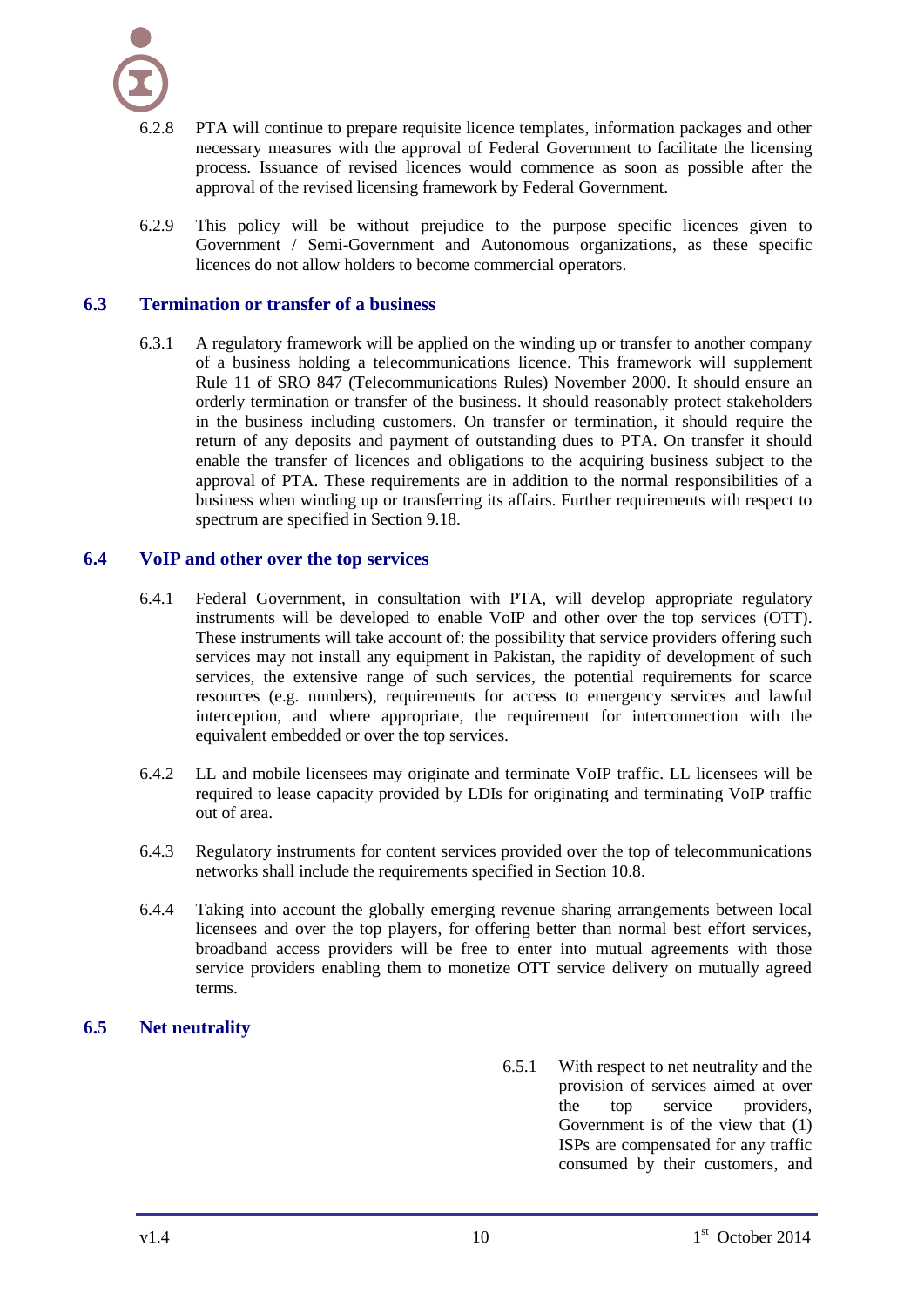

- 6.2.8 PTA will continue to prepare requisite licence templates, information packages and other necessary measures with the approval of Federal Government to facilitate the licensing process. Issuance of revised licences would commence as soon as possible after the approval of the revised licensing framework by Federal Government.
- 6.2.9 This policy will be without prejudice to the purpose specific licences given to Government / Semi-Government and Autonomous organizations, as these specific licences do not allow holders to become commercial operators.

#### <span id="page-13-0"></span>**6.3 Termination or transfer of a business**

6.3.1 A regulatory framework will be applied on the winding up or transfer to another company of a business holding a telecommunications licence. This framework will supplement Rule 11 of SRO 847 (Telecommunications Rules) November 2000. It should ensure an orderly termination or transfer of the business. It should reasonably protect stakeholders in the business including customers. On transfer or termination, it should require the return of any deposits and payment of outstanding dues to PTA. On transfer it should enable the transfer of licences and obligations to the acquiring business subject to the approval of PTA. These requirements are in addition to the normal responsibilities of a business when winding up or transferring its affairs. Further requirements with respect to spectrum are specified in Sectio[n 9.18.](#page-31-0)

#### <span id="page-13-1"></span>**6.4 VoIP and other over the top services**

- 6.4.1 Federal Government, in consultation with PTA, will develop appropriate regulatory instruments will be developed to enable VoIP and other over the top services (OTT). These instruments will take account of: the possibility that service providers offering such services may not install any equipment in Pakistan, the rapidity of development of such services, the extensive range of such services, the potential requirements for scarce resources (e.g. numbers), requirements for access to emergency services and lawful interception, and where appropriate, the requirement for interconnection with the equivalent embedded or over the top services.
- 6.4.2 LL and mobile licensees may originate and terminate VoIP traffic. LL licensees will be required to lease capacity provided by LDIs for originating and terminating VoIP traffic out of area.
- 6.4.3 Regulatory instruments for content services provided over the top of telecommunications networks shall include the requirements specified in Section [10.8.](#page-34-0)
- 6.4.4 Taking into account the globally emerging revenue sharing arrangements between local licensees and over the top players, for offering better than normal best effort services, broadband access providers will be free to enter into mutual agreements with those service providers enabling them to monetize OTT service delivery on mutually agreed terms.

#### <span id="page-13-2"></span>**6.5 Net neutrality**

6.5.1 With respect to net neutrality and the provision of services aimed at over the top service providers, Government is of the view that (1) ISPs are compensated for any traffic consumed by their customers, and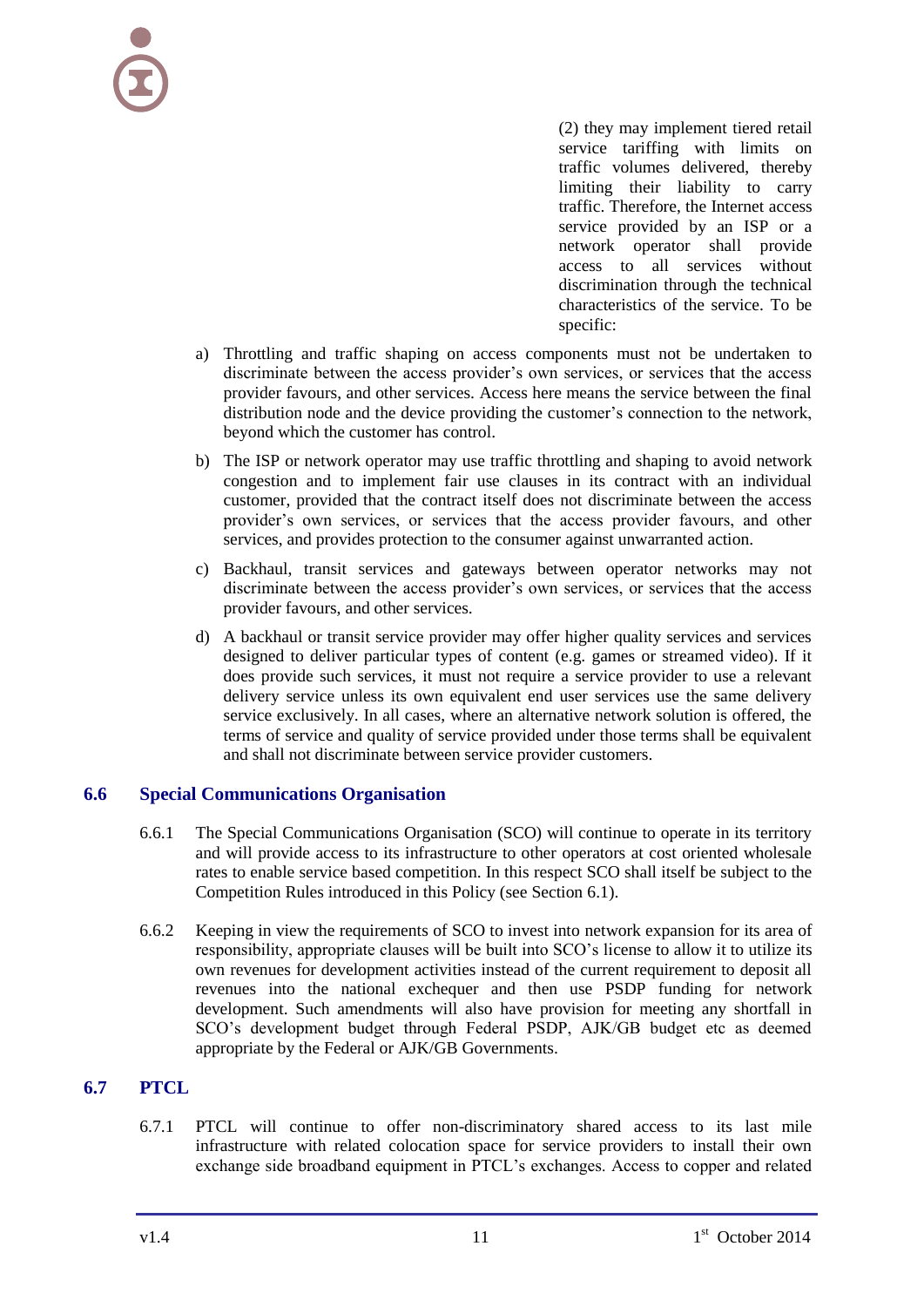(2) they may implement tiered retail service tariffing with limits on traffic volumes delivered, thereby limiting their liability to carry traffic. Therefore, the Internet access service provided by an ISP or a network operator shall provide access to all services without discrimination through the technical characteristics of the service. To be specific:

- a) Throttling and traffic shaping on access components must not be undertaken to discriminate between the access provider's own services, or services that the access provider favours, and other services. Access here means the service between the final distribution node and the device providing the customer's connection to the network, beyond which the customer has control.
- b) The ISP or network operator may use traffic throttling and shaping to avoid network congestion and to implement fair use clauses in its contract with an individual customer, provided that the contract itself does not discriminate between the access provider"s own services, or services that the access provider favours, and other services, and provides protection to the consumer against unwarranted action.
- c) Backhaul, transit services and gateways between operator networks may not discriminate between the access provider's own services, or services that the access provider favours, and other services.
- d) A backhaul or transit service provider may offer higher quality services and services designed to deliver particular types of content (e.g. games or streamed video). If it does provide such services, it must not require a service provider to use a relevant delivery service unless its own equivalent end user services use the same delivery service exclusively. In all cases, where an alternative network solution is offered, the terms of service and quality of service provided under those terms shall be equivalent and shall not discriminate between service provider customers.

# <span id="page-14-0"></span>**6.6 Special Communications Organisation**

- 6.6.1 The Special Communications Organisation (SCO) will continue to operate in its territory and will provide access to its infrastructure to other operators at cost oriented wholesale rates to enable service based competition. In this respect SCO shall itself be subject to the Competition Rules introduced in this Policy (see Section [6.1\)](#page-11-1).
- 6.6.2 Keeping in view the requirements of SCO to invest into network expansion for its area of responsibility, appropriate clauses will be built into SCO"s license to allow it to utilize its own revenues for development activities instead of the current requirement to deposit all revenues into the national exchequer and then use PSDP funding for network development. Such amendments will also have provision for meeting any shortfall in SCO"s development budget through Federal PSDP, AJK/GB budget etc as deemed appropriate by the Federal or AJK/GB Governments.

# **6.7 PTCL**

<span id="page-14-2"></span><span id="page-14-1"></span>6.7.1 PTCL will continue to offer non-discriminatory shared access to its last mile infrastructure with related colocation space for service providers to install their own exchange side broadband equipment in PTCL's exchanges. Access to copper and related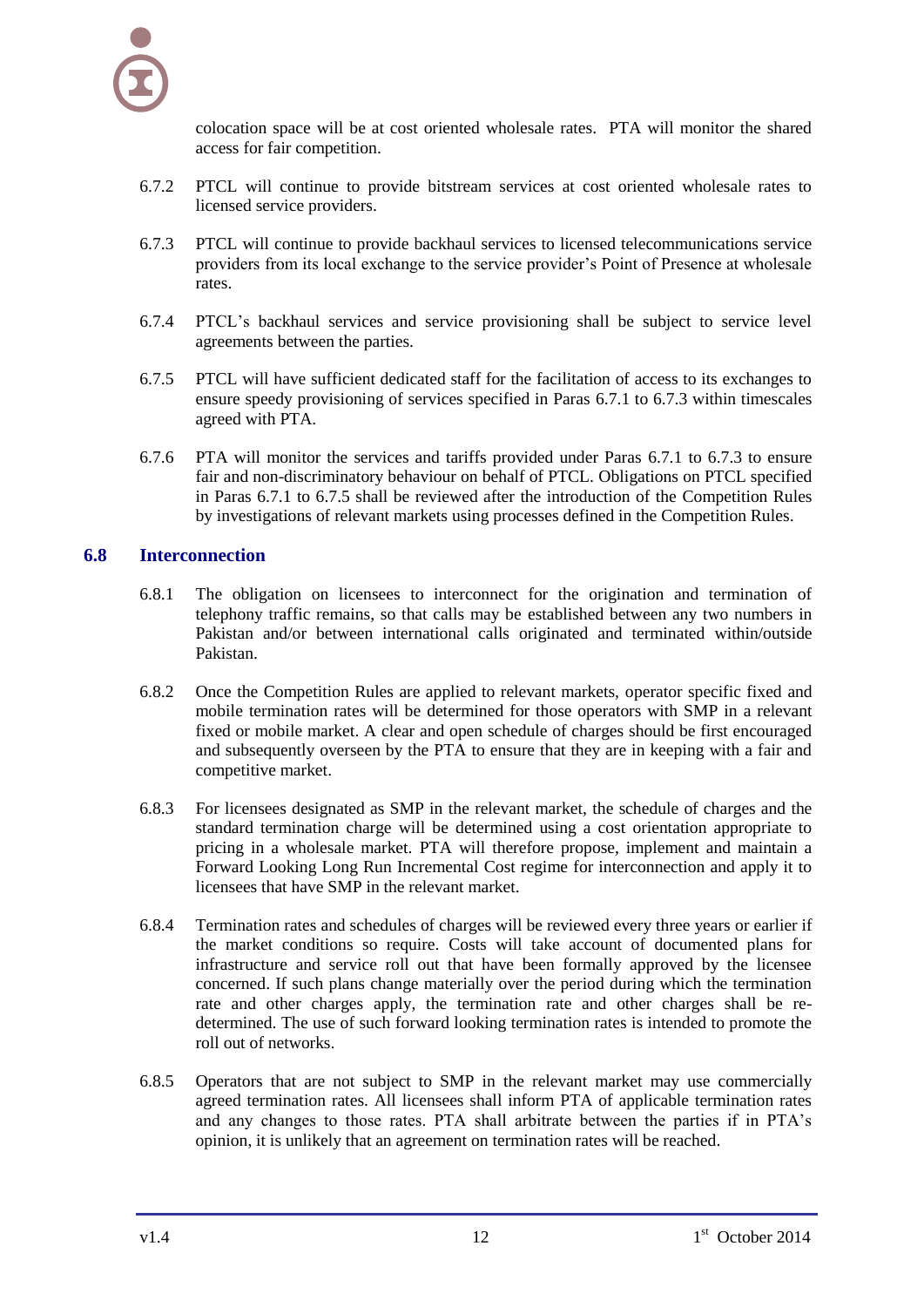

colocation space will be at cost oriented wholesale rates. PTA will monitor the shared access for fair competition.

- 6.7.2 PTCL will continue to provide bitstream services at cost oriented wholesale rates to licensed service providers.
- <span id="page-15-1"></span>6.7.3 PTCL will continue to provide backhaul services to licensed telecommunications service providers from its local exchange to the service provider"s Point of Presence at wholesale rates.
- 6.7.4 PTCL"s backhaul services and service provisioning shall be subject to service level agreements between the parties.
- <span id="page-15-2"></span>6.7.5 PTCL will have sufficient dedicated staff for the facilitation of access to its exchanges to ensure speedy provisioning of services specified in Paras [6.7.1](#page-14-2) to [6.7.3](#page-15-1) within timescales agreed with PTA.
- 6.7.6 PTA will monitor the services and tariffs provided under Paras [6.7.1](#page-14-2) to [6.7.3](#page-15-1) to ensure fair and non-discriminatory behaviour on behalf of PTCL. Obligations on PTCL specified in Paras [6.7.1](#page-14-2) to [6.7.5](#page-15-2) shall be reviewed after the introduction of the Competition Rules by investigations of relevant markets using processes defined in the Competition Rules.

#### <span id="page-15-0"></span>**6.8 Interconnection**

- 6.8.1 The obligation on licensees to interconnect for the origination and termination of telephony traffic remains, so that calls may be established between any two numbers in Pakistan and/or between international calls originated and terminated within/outside Pakistan.
- 6.8.2 Once the Competition Rules are applied to relevant markets, operator specific fixed and mobile termination rates will be determined for those operators with SMP in a relevant fixed or mobile market. A clear and open schedule of charges should be first encouraged and subsequently overseen by the PTA to ensure that they are in keeping with a fair and competitive market.
- 6.8.3 For licensees designated as SMP in the relevant market, the schedule of charges and the standard termination charge will be determined using a cost orientation appropriate to pricing in a wholesale market. PTA will therefore propose, implement and maintain a Forward Looking Long Run Incremental Cost regime for interconnection and apply it to licensees that have SMP in the relevant market.
- 6.8.4 Termination rates and schedules of charges will be reviewed every three years or earlier if the market conditions so require. Costs will take account of documented plans for infrastructure and service roll out that have been formally approved by the licensee concerned. If such plans change materially over the period during which the termination rate and other charges apply, the termination rate and other charges shall be redetermined. The use of such forward looking termination rates is intended to promote the roll out of networks.
- 6.8.5 Operators that are not subject to SMP in the relevant market may use commercially agreed termination rates. All licensees shall inform PTA of applicable termination rates and any changes to those rates. PTA shall arbitrate between the parties if in PTA"s opinion, it is unlikely that an agreement on termination rates will be reached.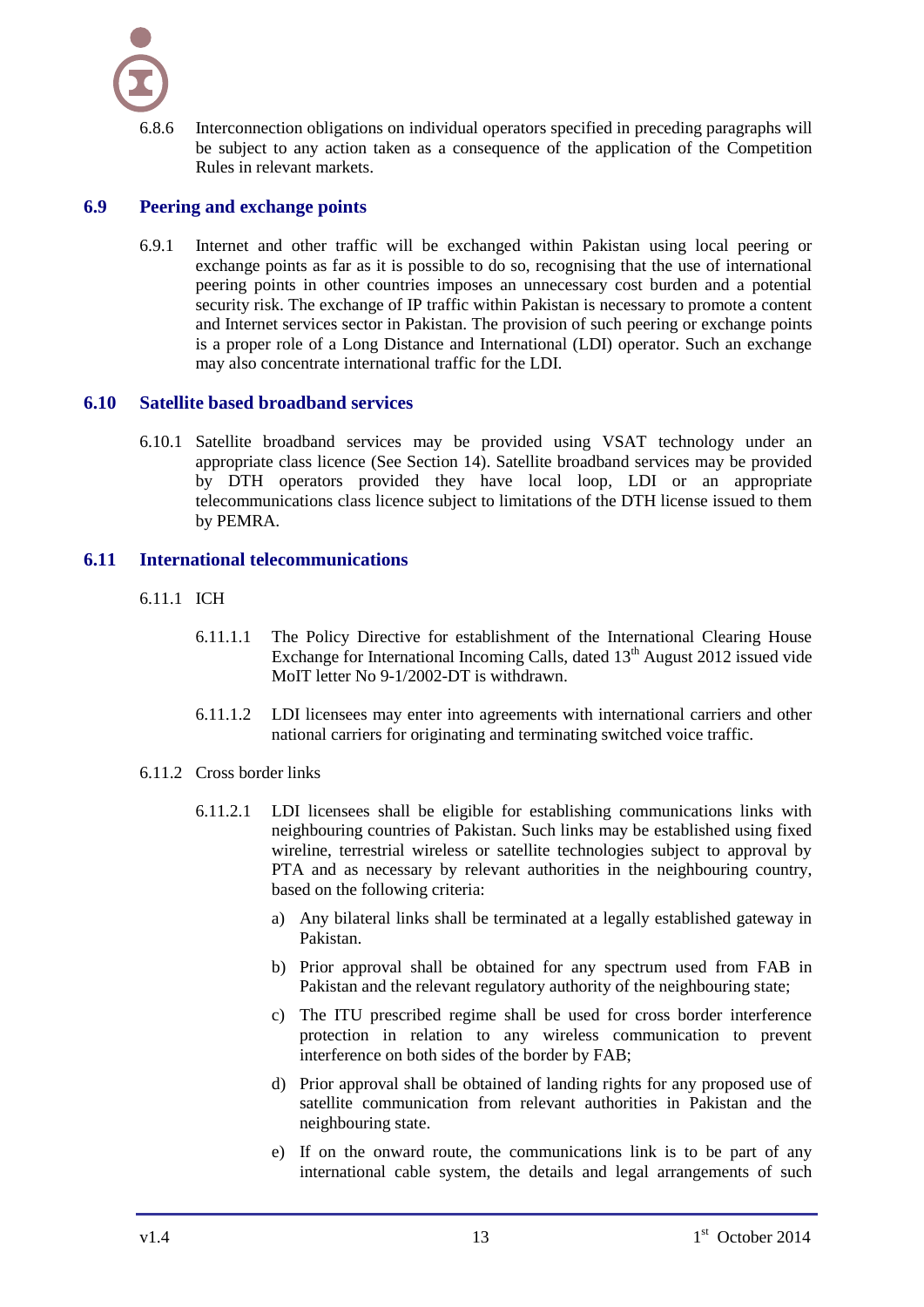

6.8.6 Interconnection obligations on individual operators specified in preceding paragraphs will be subject to any action taken as a consequence of the application of the Competition Rules in relevant markets.

#### <span id="page-16-0"></span>**6.9 Peering and exchange points**

6.9.1 Internet and other traffic will be exchanged within Pakistan using local peering or exchange points as far as it is possible to do so, recognising that the use of international peering points in other countries imposes an unnecessary cost burden and a potential security risk. The exchange of IP traffic within Pakistan is necessary to promote a content and Internet services sector in Pakistan. The provision of such peering or exchange points is a proper role of a Long Distance and International (LDI) operator. Such an exchange may also concentrate international traffic for the LDI.

#### <span id="page-16-1"></span>**6.10 Satellite based broadband services**

6.10.1 Satellite broadband services may be provided using VSAT technology under an appropriate class licence (See Section [14\)](#page-44-0). Satellite broadband services may be provided by DTH operators provided they have local loop, LDI or an appropriate telecommunications class licence subject to limitations of the DTH license issued to them by PEMRA.

#### <span id="page-16-2"></span>**6.11 International telecommunications**

- <span id="page-16-3"></span>6.11.1 ICH
	- 6.11.1.1 The Policy Directive for establishment of the International Clearing House Exchange for International Incoming Calls, dated  $13<sup>th</sup>$  August 2012 issued vide MoIT letter No 9-1/2002-DT is withdrawn.
	- 6.11.1.2 LDI licensees may enter into agreements with international carriers and other national carriers for originating and terminating switched voice traffic.
- 6.11.2 Cross border links
	- 6.11.2.1 LDI licensees shall be eligible for establishing communications links with neighbouring countries of Pakistan. Such links may be established using fixed wireline, terrestrial wireless or satellite technologies subject to approval by PTA and as necessary by relevant authorities in the neighbouring country, based on the following criteria:
		- a) Any bilateral links shall be terminated at a legally established gateway in Pakistan.
		- b) Prior approval shall be obtained for any spectrum used from FAB in Pakistan and the relevant regulatory authority of the neighbouring state;
		- c) The ITU prescribed regime shall be used for cross border interference protection in relation to any wireless communication to prevent interference on both sides of the border by FAB;
		- d) Prior approval shall be obtained of landing rights for any proposed use of satellite communication from relevant authorities in Pakistan and the neighbouring state.
		- e) If on the onward route, the communications link is to be part of any international cable system, the details and legal arrangements of such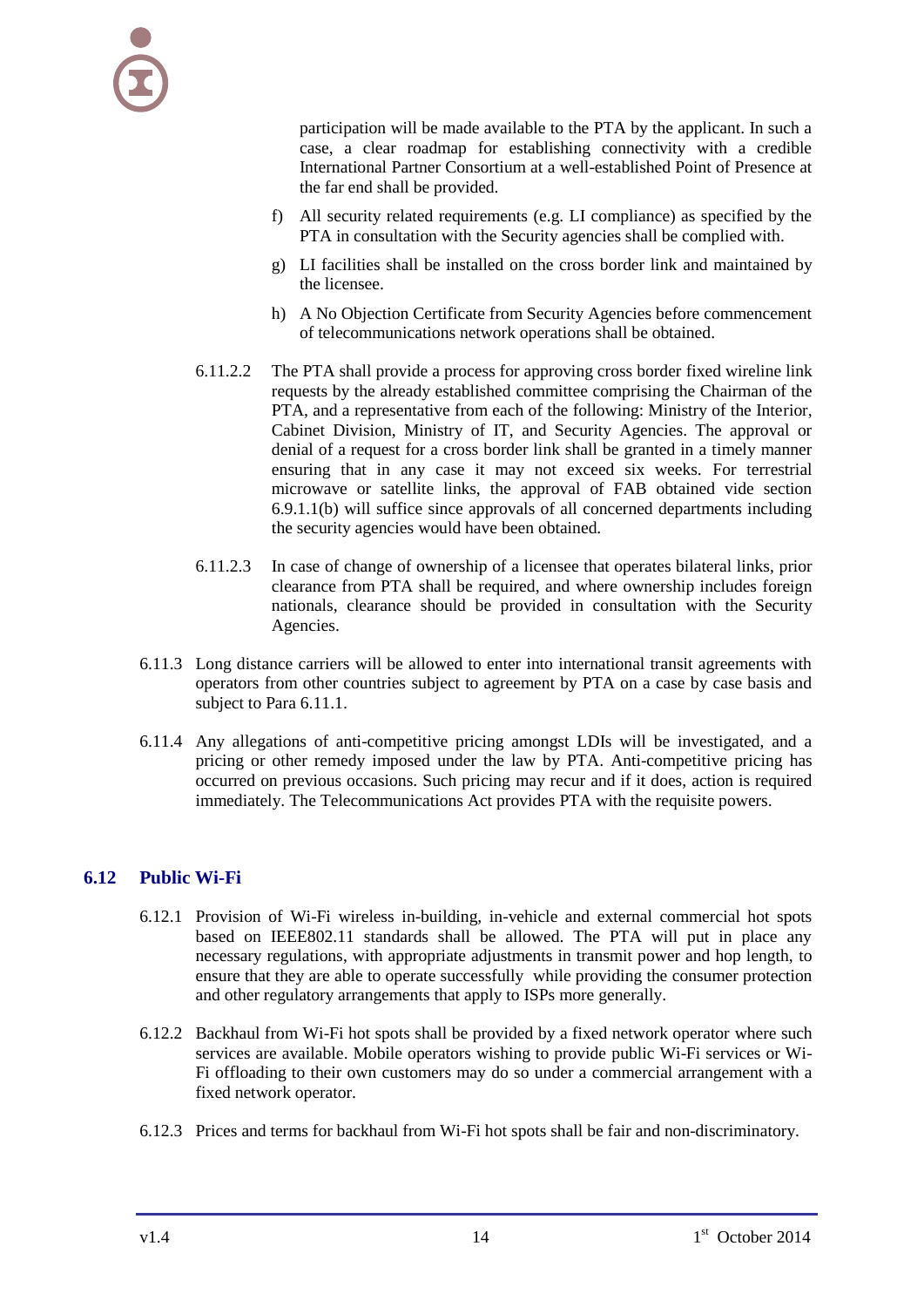participation will be made available to the PTA by the applicant. In such a case, a clear roadmap for establishing connectivity with a credible International Partner Consortium at a well-established Point of Presence at the far end shall be provided.

- f) All security related requirements (e.g. LI compliance) as specified by the PTA in consultation with the Security agencies shall be complied with.
- g) LI facilities shall be installed on the cross border link and maintained by the licensee.
- h) A No Objection Certificate from Security Agencies before commencement of telecommunications network operations shall be obtained.
- 6.11.2.2 The PTA shall provide a process for approving cross border fixed wireline link requests by the already established committee comprising the Chairman of the PTA, and a representative from each of the following: Ministry of the Interior, Cabinet Division, Ministry of IT, and Security Agencies. The approval or denial of a request for a cross border link shall be granted in a timely manner ensuring that in any case it may not exceed six weeks. For terrestrial microwave or satellite links, the approval of FAB obtained vide section 6.9.1.1(b) will suffice since approvals of all concerned departments including the security agencies would have been obtained.
- 6.11.2.3 In case of change of ownership of a licensee that operates bilateral links, prior clearance from PTA shall be required, and where ownership includes foreign nationals, clearance should be provided in consultation with the Security Agencies.
- 6.11.3 Long distance carriers will be allowed to enter into international transit agreements with operators from other countries subject to agreement by PTA on a case by case basis and subject to Para [6.11.1.](#page-16-3)
- 6.11.4 Any allegations of anti-competitive pricing amongst LDIs will be investigated, and a pricing or other remedy imposed under the law by PTA. Anti-competitive pricing has occurred on previous occasions. Such pricing may recur and if it does, action is required immediately. The Telecommunications Act provides PTA with the requisite powers.

# <span id="page-17-0"></span>**6.12 Public Wi-Fi**

- 6.12.1 Provision of Wi-Fi wireless in-building, in-vehicle and external commercial hot spots based on IEEE802.11 standards shall be allowed. The PTA will put in place any necessary regulations, with appropriate adjustments in transmit power and hop length, to ensure that they are able to operate successfully while providing the consumer protection and other regulatory arrangements that apply to ISPs more generally.
- 6.12.2 Backhaul from Wi-Fi hot spots shall be provided by a fixed network operator where such services are available. Mobile operators wishing to provide public Wi-Fi services or Wi-Fi offloading to their own customers may do so under a commercial arrangement with a fixed network operator.
- 6.12.3 Prices and terms for backhaul from Wi-Fi hot spots shall be fair and non-discriminatory.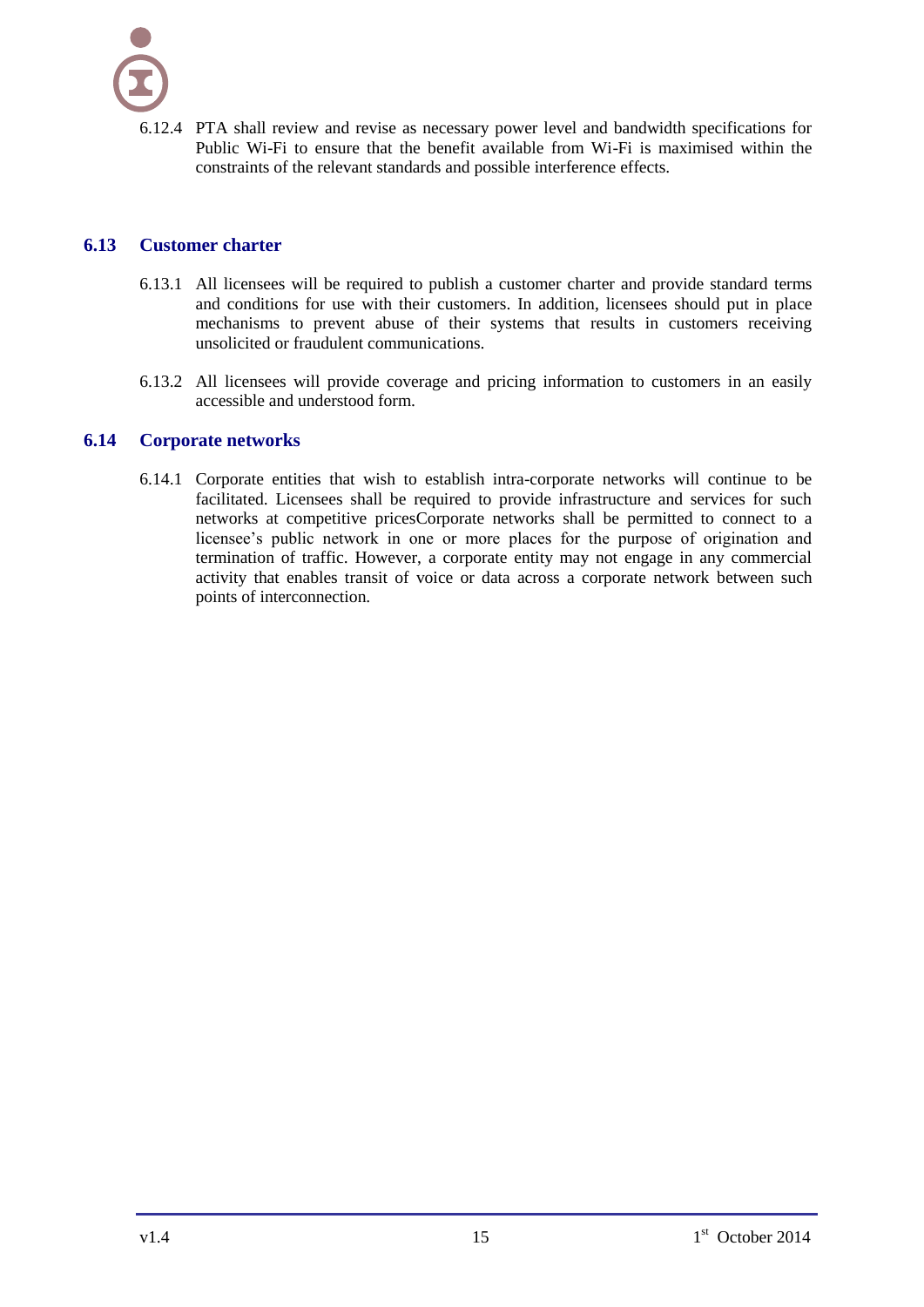6.12.4 PTA shall review and revise as necessary power level and bandwidth specifications for Public Wi-Fi to ensure that the benefit available from Wi-Fi is maximised within the constraints of the relevant standards and possible interference effects.

## <span id="page-18-0"></span>**6.13 Customer charter**

- 6.13.1 All licensees will be required to publish a customer charter and provide standard terms and conditions for use with their customers. In addition, licensees should put in place mechanisms to prevent abuse of their systems that results in customers receiving unsolicited or fraudulent communications.
- <span id="page-18-1"></span>6.13.2 All licensees will provide coverage and pricing information to customers in an easily accessible and understood form.

#### **6.14 Corporate networks**

6.14.1 Corporate entities that wish to establish intra-corporate networks will continue to be facilitated. Licensees shall be required to provide infrastructure and services for such networks at competitive pricesCorporate networks shall be permitted to connect to a licensee's public network in one or more places for the purpose of origination and termination of traffic. However, a corporate entity may not engage in any commercial activity that enables transit of voice or data across a corporate network between such points of interconnection.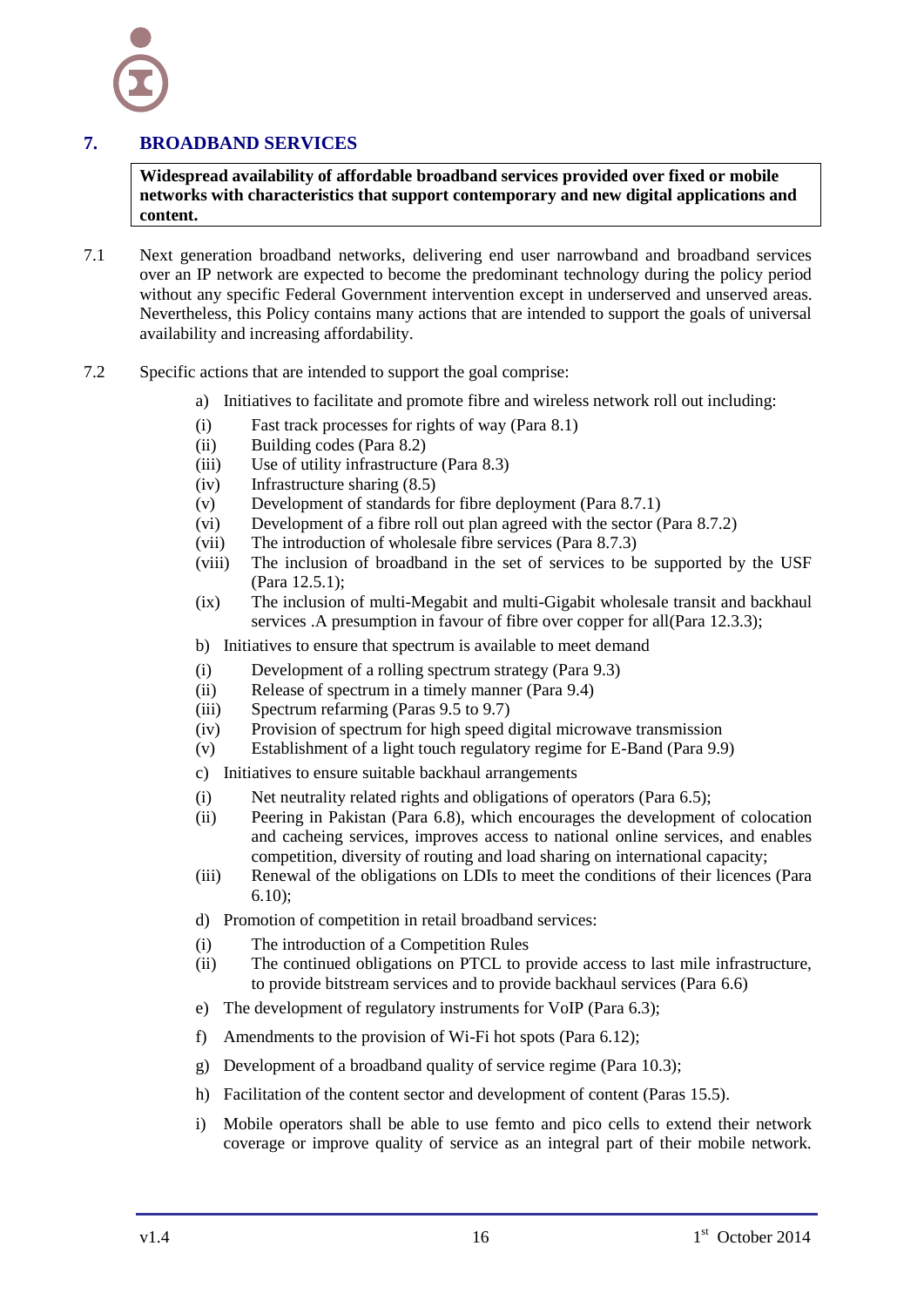# **7. BROADBAND SERVICES**

<span id="page-19-0"></span>**Widespread availability of affordable broadband services provided over fixed or mobile networks with characteristics that support contemporary and new digital applications and content.**

- 7.1 Next generation broadband networks, delivering end user narrowband and broadband services over an IP network are expected to become the predominant technology during the policy period without any specific Federal Government intervention except in underserved and unserved areas. Nevertheless, this Policy contains many actions that are intended to support the goals of universal availability and increasing affordability.
- 7.2 Specific actions that are intended to support the goal comprise:
	- a) Initiatives to facilitate and promote fibre and wireless network roll out including:
	- (i) Fast track processes for rights of way (Para [8.1\)](#page-21-1)
	- (ii) Building codes (Para [8.2\)](#page-21-2)
	- (iii) Use of utility infrastructure (Para [8.3\)](#page-22-0)
	- (iv) Infrastructure sharing [\(8.5\)](#page-22-2)
	- (v) Development of standards for fibre deployment (Para [8.7.1\)](#page-22-5)
	- (vi) Development of a fibre roll out plan agreed with the sector (Para [8.7.2\)](#page-23-1)
	- (vii) The introduction of wholesale fibre services (Para [8.7.3\)](#page-23-2)
	- (viii) The inclusion of broadband in the set of services to be supported by the USF (Para [12.5.1\)](#page-39-2);
	- (ix) The inclusion of multi-Megabit and multi-Gigabit wholesale transit and backhaul services .A presumption in favour of fibre over copper for all(Para [12.3.3\)](#page-38-4);
	- b) Initiatives to ensure that spectrum is available to meet demand
	- (i) Development of a rolling spectrum strategy (Para [9.3\)](#page-25-3)
	- (ii) Release of spectrum in a timely manner (Para [9.4\)](#page-26-0)
	- (iii) Spectrum refarming (Paras [9.5](#page-26-1) to [9.7\)](#page-27-1)
	- (iv) Provision of spectrum for high speed digital microwave transmission
	- (v) Establishment of a light touch regulatory regime for E-Band (Para [9.9\)](#page-28-0)
	- c) Initiatives to ensure suitable backhaul arrangements
	- (i) Net neutrality related rights and obligations of operators (Para [6.5\)](#page-13-2);
	- (ii) Peering in Pakistan (Para [6.8\)](#page-15-0), which encourages the development of colocation and cacheing services, improves access to national online services, and enables competition, diversity of routing and load sharing on international capacity;
	- (iii) Renewal of the obligations on LDIs to meet the conditions of their licences (Para 6.10);
	- d) Promotion of competition in retail broadband services:
	- (i) The introduction of a Competition Rules
	- (ii) The continued obligations on PTCL to provide access to last mile infrastructure, to provide bitstream services and to provide backhaul services (Para [6.6\)](#page-14-0)
	- e) The development of regulatory instruments for VoIP (Para [6.3\)](#page-13-0);
	- f) Amendments to the provision of Wi-Fi hot spots (Para [6.12\)](#page-17-0);
	- g) Development of a broadband quality of service regime (Para [10.3\)](#page-32-3);
	- h) Facilitation of the content sector and development of content (Paras [15.5\)](#page-49-5).
	- i) Mobile operators shall be able to use femto and pico cells to extend their network coverage or improve quality of service as an integral part of their mobile network.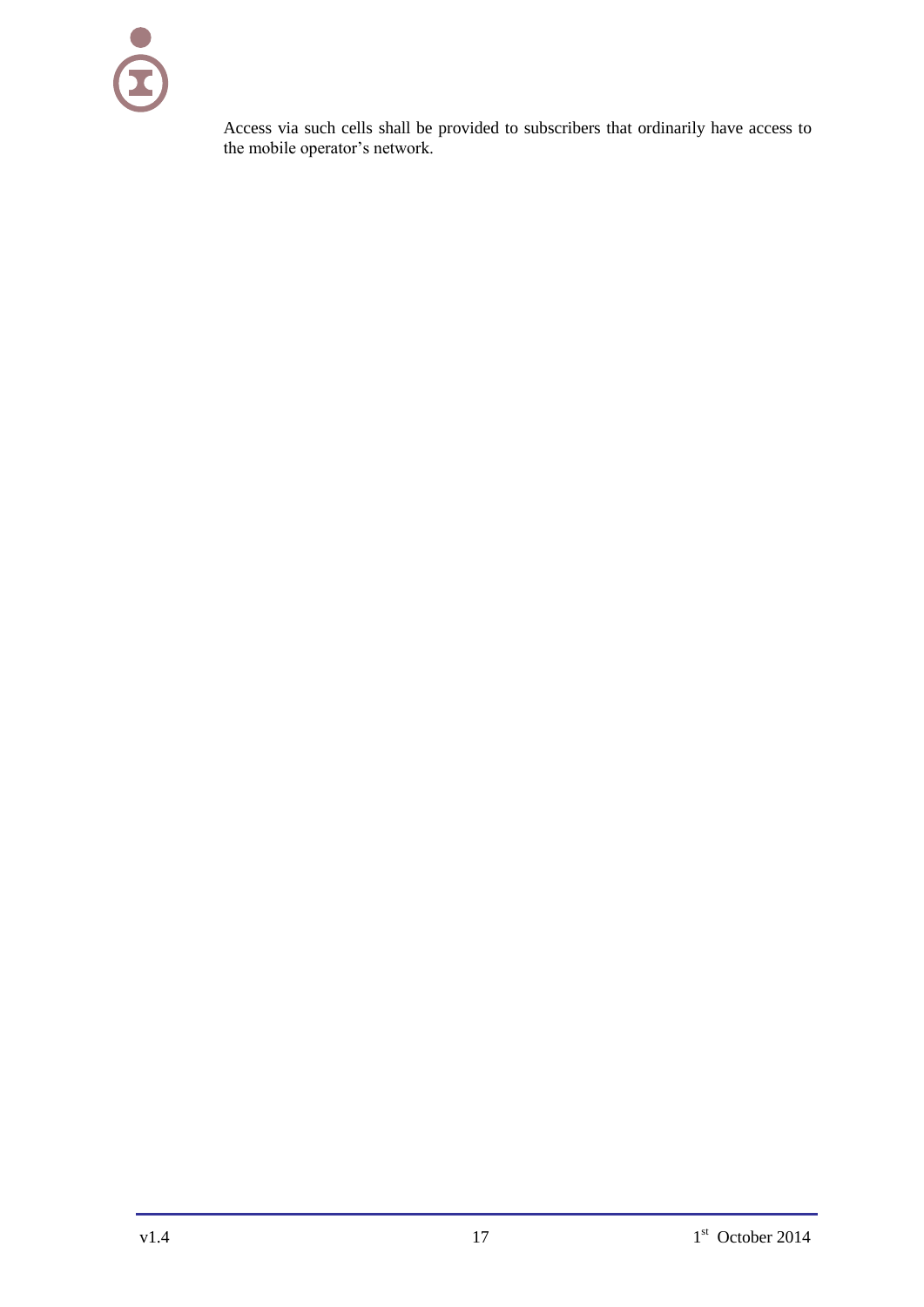Access via such cells shall be provided to subscribers that ordinarily have access to the mobile operator's network.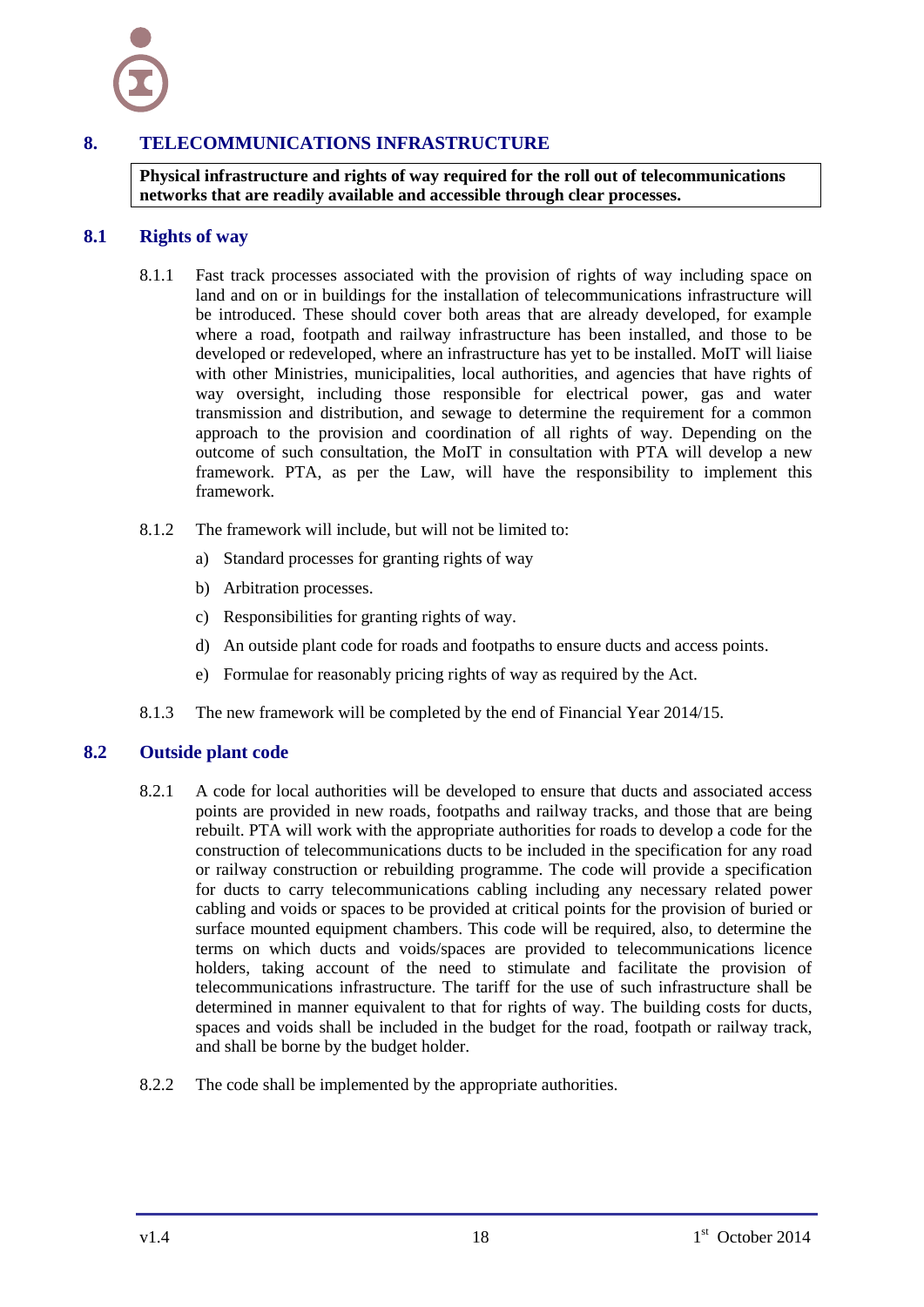### **8. TELECOMMUNICATIONS INFRASTRUCTURE**

<span id="page-21-1"></span><span id="page-21-0"></span>**Physical infrastructure and rights of way required for the roll out of telecommunications networks that are readily available and accessible through clear processes.**

#### **8.1 Rights of way**

- 8.1.1 Fast track processes associated with the provision of rights of way including space on land and on or in buildings for the installation of telecommunications infrastructure will be introduced. These should cover both areas that are already developed, for example where a road, footpath and railway infrastructure has been installed, and those to be developed or redeveloped, where an infrastructure has yet to be installed. MoIT will liaise with other Ministries, municipalities, local authorities, and agencies that have rights of way oversight, including those responsible for electrical power, gas and water transmission and distribution, and sewage to determine the requirement for a common approach to the provision and coordination of all rights of way. Depending on the outcome of such consultation, the MoIT in consultation with PTA will develop a new framework. PTA, as per the Law, will have the responsibility to implement this framework.
- 8.1.2 The framework will include, but will not be limited to:
	- a) Standard processes for granting rights of way
	- b) Arbitration processes.
	- c) Responsibilities for granting rights of way.
	- d) An outside plant code for roads and footpaths to ensure ducts and access points.
	- e) Formulae for reasonably pricing rights of way as required by the Act.
- <span id="page-21-2"></span>8.1.3 The new framework will be completed by the end of Financial Year 2014/15.

#### **8.2 Outside plant code**

- 8.2.1 A code for local authorities will be developed to ensure that ducts and associated access points are provided in new roads, footpaths and railway tracks, and those that are being rebuilt. PTA will work with the appropriate authorities for roads to develop a code for the construction of telecommunications ducts to be included in the specification for any road or railway construction or rebuilding programme. The code will provide a specification for ducts to carry telecommunications cabling including any necessary related power cabling and voids or spaces to be provided at critical points for the provision of buried or surface mounted equipment chambers. This code will be required, also, to determine the terms on which ducts and voids/spaces are provided to telecommunications licence holders, taking account of the need to stimulate and facilitate the provision of telecommunications infrastructure. The tariff for the use of such infrastructure shall be determined in manner equivalent to that for rights of way. The building costs for ducts, spaces and voids shall be included in the budget for the road, footpath or railway track, and shall be borne by the budget holder.
- 8.2.2 The code shall be implemented by the appropriate authorities.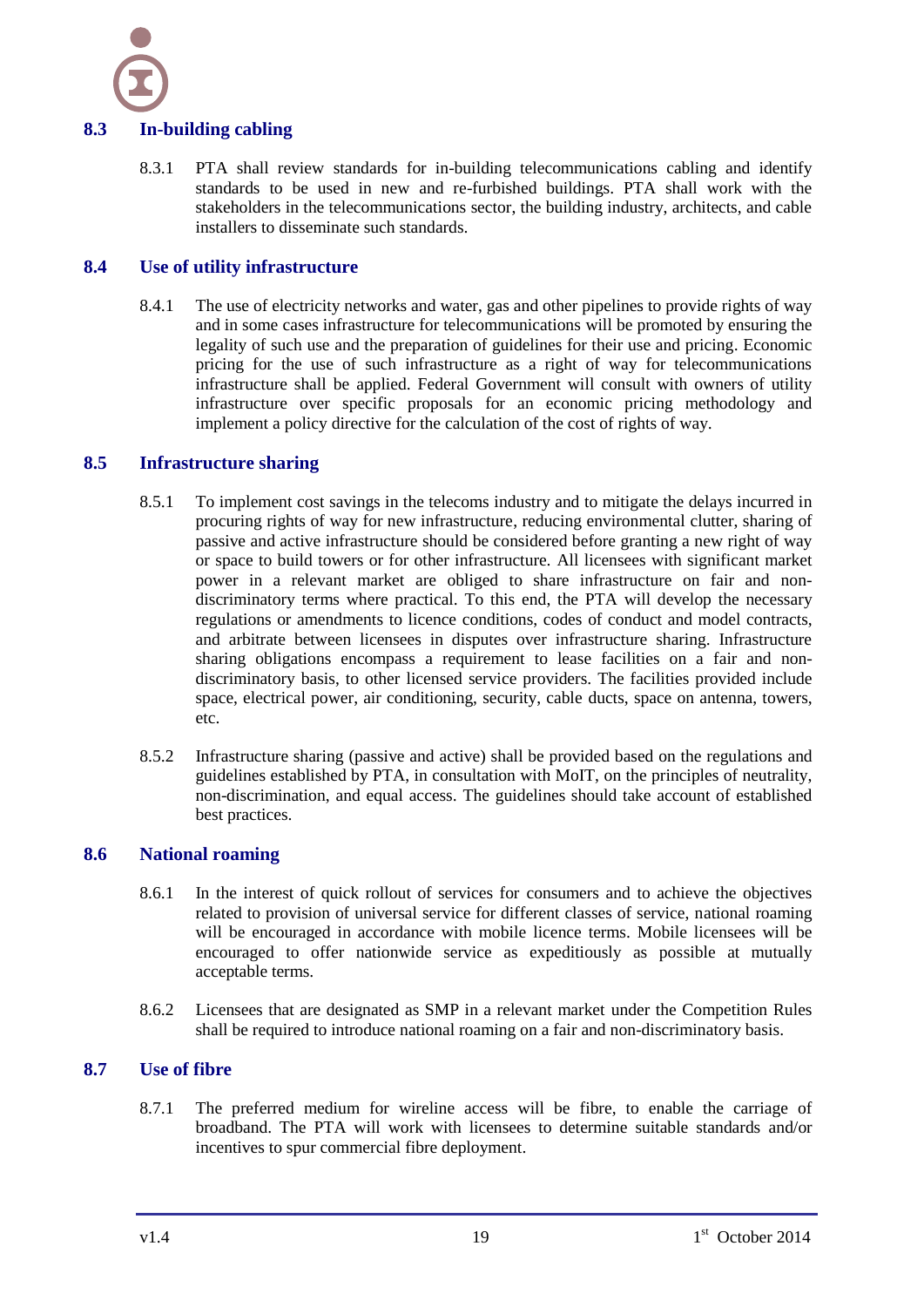

# **8.3 In-building cabling**

<span id="page-22-0"></span>8.3.1 PTA shall review standards for in-building telecommunications cabling and identify standards to be used in new and re-furbished buildings. PTA shall work with the stakeholders in the telecommunications sector, the building industry, architects, and cable installers to disseminate such standards.

#### **8.4 Use of utility infrastructure**

<span id="page-22-1"></span>8.4.1 The use of electricity networks and water, gas and other pipelines to provide rights of way and in some cases infrastructure for telecommunications will be promoted by ensuring the legality of such use and the preparation of guidelines for their use and pricing. Economic pricing for the use of such infrastructure as a right of way for telecommunications infrastructure shall be applied. Federal Government will consult with owners of utility infrastructure over specific proposals for an economic pricing methodology and implement a policy directive for the calculation of the cost of rights of way.

#### <span id="page-22-2"></span>**8.5 Infrastructure sharing**

- 8.5.1 To implement cost savings in the telecoms industry and to mitigate the delays incurred in procuring rights of way for new infrastructure, reducing environmental clutter, sharing of passive and active infrastructure should be considered before granting a new right of way or space to build towers or for other infrastructure. All licensees with significant market power in a relevant market are obliged to share infrastructure on fair and nondiscriminatory terms where practical. To this end, the PTA will develop the necessary regulations or amendments to licence conditions, codes of conduct and model contracts, and arbitrate between licensees in disputes over infrastructure sharing. Infrastructure sharing obligations encompass a requirement to lease facilities on a fair and nondiscriminatory basis, to other licensed service providers. The facilities provided include space, electrical power, air conditioning, security, cable ducts, space on antenna, towers, etc.
- 8.5.2 Infrastructure sharing (passive and active) shall be provided based on the regulations and guidelines established by PTA, in consultation with MoIT, on the principles of neutrality, non-discrimination, and equal access. The guidelines should take account of established best practices.

#### **8.6 National roaming**

- <span id="page-22-3"></span>8.6.1 In the interest of quick rollout of services for consumers and to achieve the objectives related to provision of universal service for different classes of service, national roaming will be encouraged in accordance with mobile licence terms. Mobile licensees will be encouraged to offer nationwide service as expeditiously as possible at mutually acceptable terms.
- <span id="page-22-4"></span>8.6.2 Licensees that are designated as SMP in a relevant market under the Competition Rules shall be required to introduce national roaming on a fair and non-discriminatory basis.

#### **8.7 Use of fibre**

<span id="page-22-5"></span>8.7.1 The preferred medium for wireline access will be fibre, to enable the carriage of broadband. The PTA will work with licensees to determine suitable standards and/or incentives to spur commercial fibre deployment.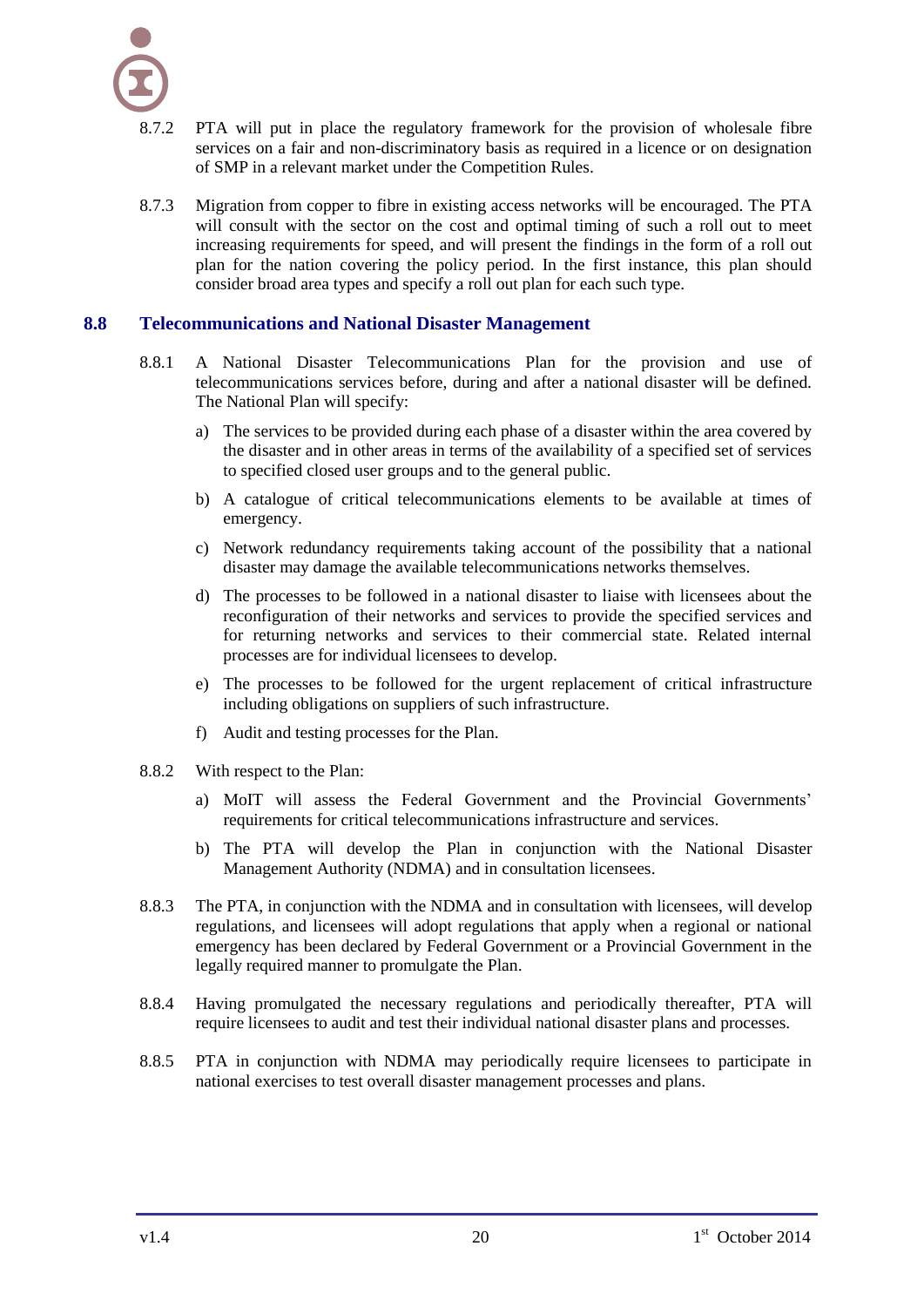

- <span id="page-23-1"></span>8.7.2 PTA will put in place the regulatory framework for the provision of wholesale fibre services on a fair and non-discriminatory basis as required in a licence or on designation of SMP in a relevant market under the Competition Rules.
- <span id="page-23-2"></span>8.7.3 Migration from copper to fibre in existing access networks will be encouraged. The PTA will consult with the sector on the cost and optimal timing of such a roll out to meet increasing requirements for speed, and will present the findings in the form of a roll out plan for the nation covering the policy period. In the first instance, this plan should consider broad area types and specify a roll out plan for each such type.

#### **8.8 Telecommunications and National Disaster Management**

- <span id="page-23-0"></span>8.8.1 A National Disaster Telecommunications Plan for the provision and use of telecommunications services before, during and after a national disaster will be defined. The National Plan will specify:
	- a) The services to be provided during each phase of a disaster within the area covered by the disaster and in other areas in terms of the availability of a specified set of services to specified closed user groups and to the general public.
	- b) A catalogue of critical telecommunications elements to be available at times of emergency.
	- c) Network redundancy requirements taking account of the possibility that a national disaster may damage the available telecommunications networks themselves.
	- d) The processes to be followed in a national disaster to liaise with licensees about the reconfiguration of their networks and services to provide the specified services and for returning networks and services to their commercial state. Related internal processes are for individual licensees to develop.
	- e) The processes to be followed for the urgent replacement of critical infrastructure including obligations on suppliers of such infrastructure.
	- f) Audit and testing processes for the Plan.
- 8.8.2 With respect to the Plan:
	- a) MoIT will assess the Federal Government and the Provincial Governments' requirements for critical telecommunications infrastructure and services.
	- b) The PTA will develop the Plan in conjunction with the National Disaster Management Authority (NDMA) and in consultation licensees.
- 8.8.3 The PTA, in conjunction with the NDMA and in consultation with licensees, will develop regulations, and licensees will adopt regulations that apply when a regional or national emergency has been declared by Federal Government or a Provincial Government in the legally required manner to promulgate the Plan.
- 8.8.4 Having promulgated the necessary regulations and periodically thereafter, PTA will require licensees to audit and test their individual national disaster plans and processes.
- 8.8.5 PTA in conjunction with NDMA may periodically require licensees to participate in national exercises to test overall disaster management processes and plans.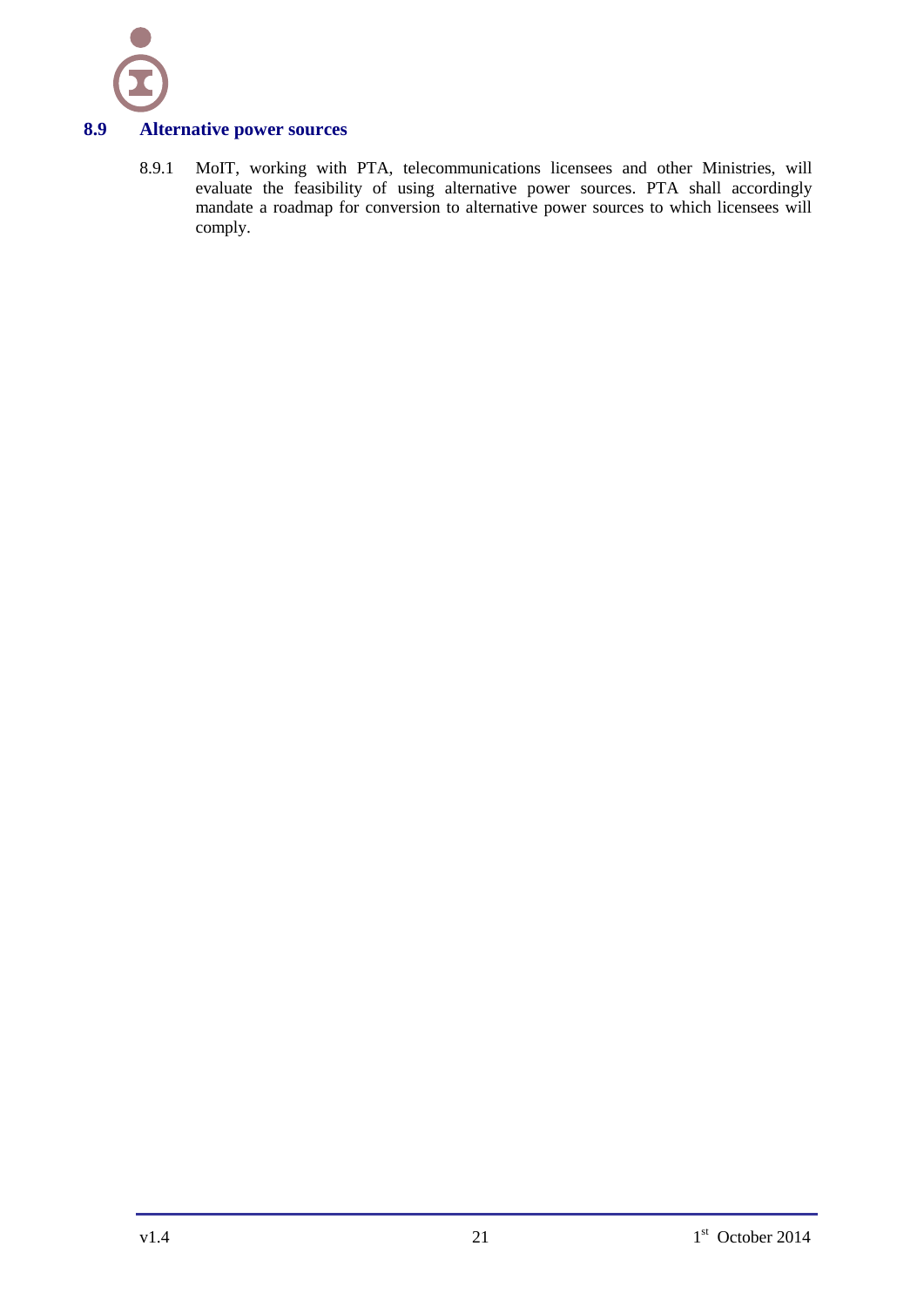

# **8.9 Alternative power sources**

<span id="page-24-0"></span>8.9.1 MoIT, working with PTA, telecommunications licensees and other Ministries, will evaluate the feasibility of using alternative power sources. PTA shall accordingly mandate a roadmap for conversion to alternative power sources to which licensees will comply.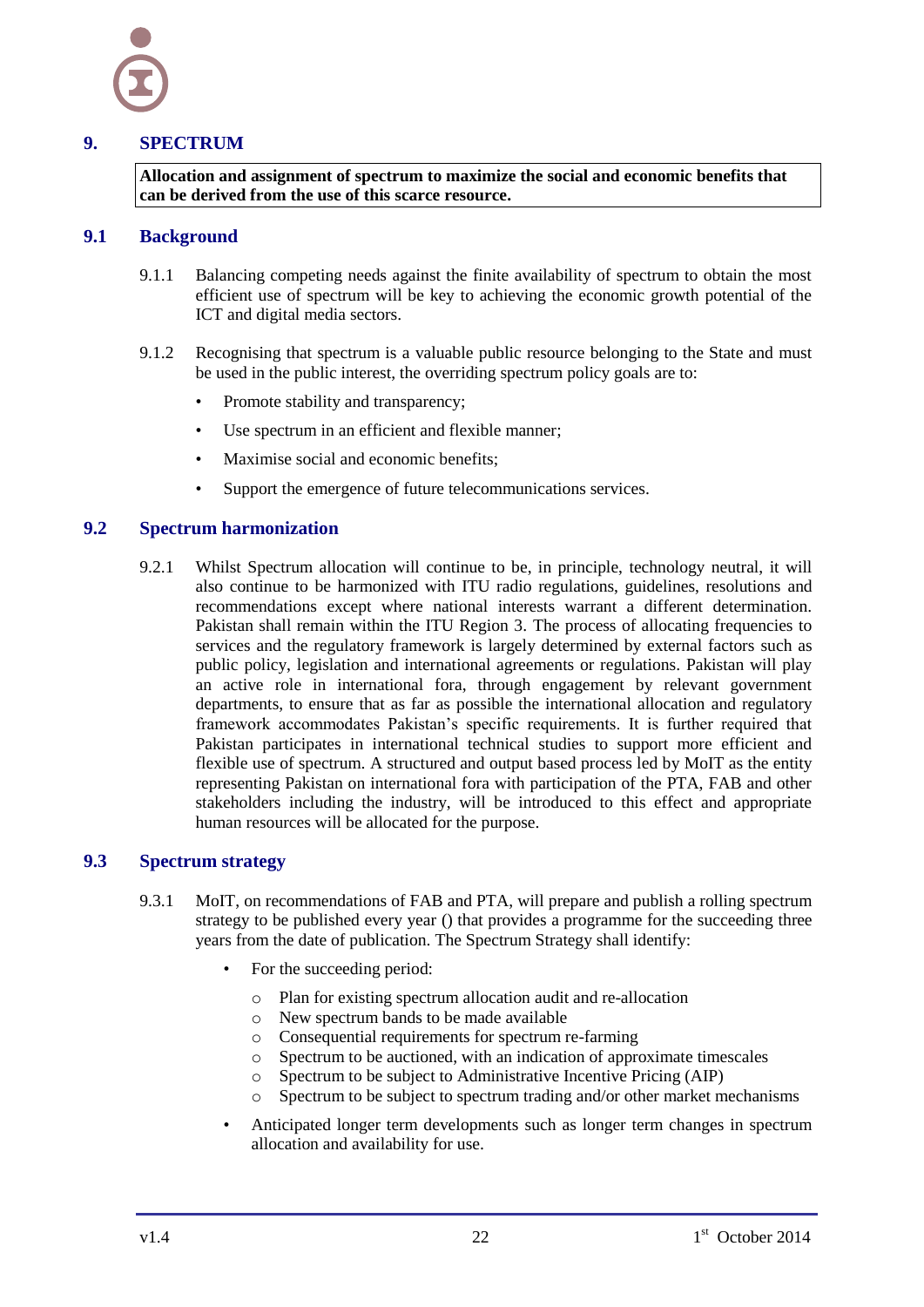

#### **9. SPECTRUM**

<span id="page-25-1"></span><span id="page-25-0"></span>**Allocation and assignment of spectrum to maximize the social and economic benefits that can be derived from the use of this scarce resource.**

#### **9.1 Background**

- 9.1.1 Balancing competing needs against the finite availability of spectrum to obtain the most efficient use of spectrum will be key to achieving the economic growth potential of the ICT and digital media sectors.
- 9.1.2 Recognising that spectrum is a valuable public resource belonging to the State and must be used in the public interest, the overriding spectrum policy goals are to:
	- Promote stability and transparency;
	- Use spectrum in an efficient and flexible manner;
	- Maximise social and economic benefits:
	- Support the emergence of future telecommunications services.

#### <span id="page-25-2"></span>**9.2 Spectrum harmonization**

9.2.1 Whilst Spectrum allocation will continue to be, in principle, technology neutral, it will also continue to be harmonized with ITU radio regulations, guidelines, resolutions and recommendations except where national interests warrant a different determination. Pakistan shall remain within the ITU Region 3. The process of allocating frequencies to services and the regulatory framework is largely determined by external factors such as public policy, legislation and international agreements or regulations. Pakistan will play an active role in international fora, through engagement by relevant government departments, to ensure that as far as possible the international allocation and regulatory framework accommodates Pakistan"s specific requirements. It is further required that Pakistan participates in international technical studies to support more efficient and flexible use of spectrum. A structured and output based process led by MoIT as the entity representing Pakistan on international fora with participation of the PTA, FAB and other stakeholders including the industry, will be introduced to this effect and appropriate human resources will be allocated for the purpose.

#### <span id="page-25-3"></span>**9.3 Spectrum strategy**

- 9.3.1 MoIT, on recommendations of FAB and PTA, will prepare and publish a rolling spectrum strategy to be published every year () that provides a programme for the succeeding three years from the date of publication. The Spectrum Strategy shall identify:
	- For the succeeding period:
		- o Plan for existing spectrum allocation audit and re-allocation
		- o New spectrum bands to be made available
		- o Consequential requirements for spectrum re-farming
		- o Spectrum to be auctioned, with an indication of approximate timescales
		- o Spectrum to be subject to Administrative Incentive Pricing (AIP)
		- o Spectrum to be subject to spectrum trading and/or other market mechanisms
	- Anticipated longer term developments such as longer term changes in spectrum allocation and availability for use.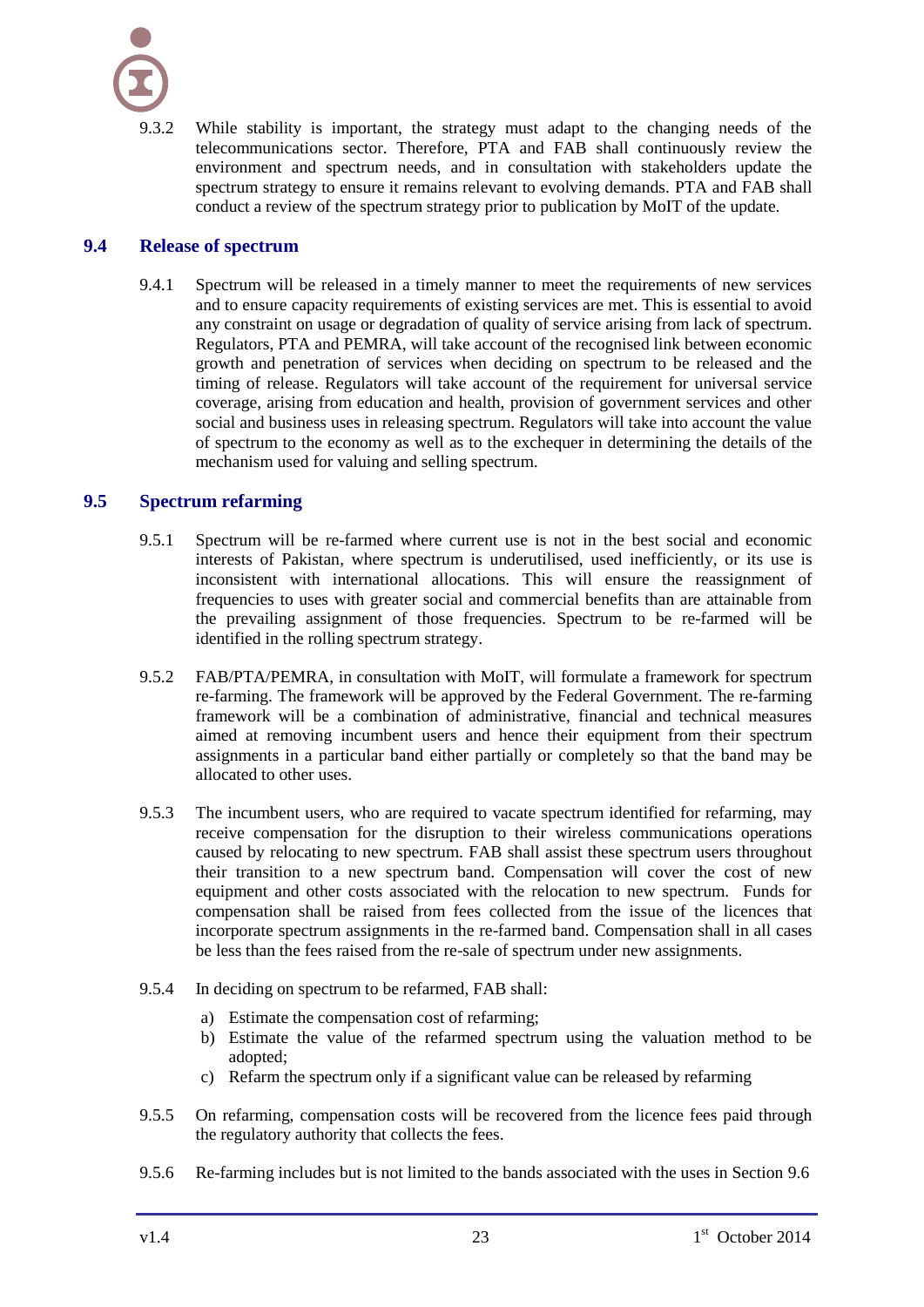9.3.2 While stability is important, the strategy must adapt to the changing needs of the telecommunications sector. Therefore, PTA and FAB shall continuously review the environment and spectrum needs, and in consultation with stakeholders update the spectrum strategy to ensure it remains relevant to evolving demands. PTA and FAB shall conduct a review of the spectrum strategy prior to publication by MoIT of the update.

#### **9.4 Release of spectrum**

<span id="page-26-0"></span>9.4.1 Spectrum will be released in a timely manner to meet the requirements of new services and to ensure capacity requirements of existing services are met. This is essential to avoid any constraint on usage or degradation of quality of service arising from lack of spectrum. Regulators, PTA and PEMRA, will take account of the recognised link between economic growth and penetration of services when deciding on spectrum to be released and the timing of release. Regulators will take account of the requirement for universal service coverage, arising from education and health, provision of government services and other social and business uses in releasing spectrum. Regulators will take into account the value of spectrum to the economy as well as to the exchequer in determining the details of the mechanism used for valuing and selling spectrum.

#### <span id="page-26-1"></span>**9.5 Spectrum refarming**

- 9.5.1 Spectrum will be re-farmed where current use is not in the best social and economic interests of Pakistan, where spectrum is underutilised, used inefficiently, or its use is inconsistent with international allocations. This will ensure the reassignment of frequencies to uses with greater social and commercial benefits than are attainable from the prevailing assignment of those frequencies. Spectrum to be re-farmed will be identified in the rolling spectrum strategy.
- 9.5.2 FAB/PTA/PEMRA, in consultation with MoIT, will formulate a framework for spectrum re-farming. The framework will be approved by the Federal Government. The re-farming framework will be a combination of administrative, financial and technical measures aimed at removing incumbent users and hence their equipment from their spectrum assignments in a particular band either partially or completely so that the band may be allocated to other uses.
- 9.5.3 The incumbent users, who are required to vacate spectrum identified for refarming, may receive compensation for the disruption to their wireless communications operations caused by relocating to new spectrum. FAB shall assist these spectrum users throughout their transition to a new spectrum band. Compensation will cover the cost of new equipment and other costs associated with the relocation to new spectrum. Funds for compensation shall be raised from fees collected from the issue of the licences that incorporate spectrum assignments in the re-farmed band. Compensation shall in all cases be less than the fees raised from the re-sale of spectrum under new assignments.
- 9.5.4 In deciding on spectrum to be refarmed, FAB shall:
	- a) Estimate the compensation cost of refarming;
	- b) Estimate the value of the refarmed spectrum using the valuation method to be adopted;
	- c) Refarm the spectrum only if a significant value can be released by refarming
- 9.5.5 On refarming, compensation costs will be recovered from the licence fees paid through the regulatory authority that collects the fees.
- 9.5.6 Re-farming includes but is not limited to the bands associated with the uses in Section [9.6](#page-27-0)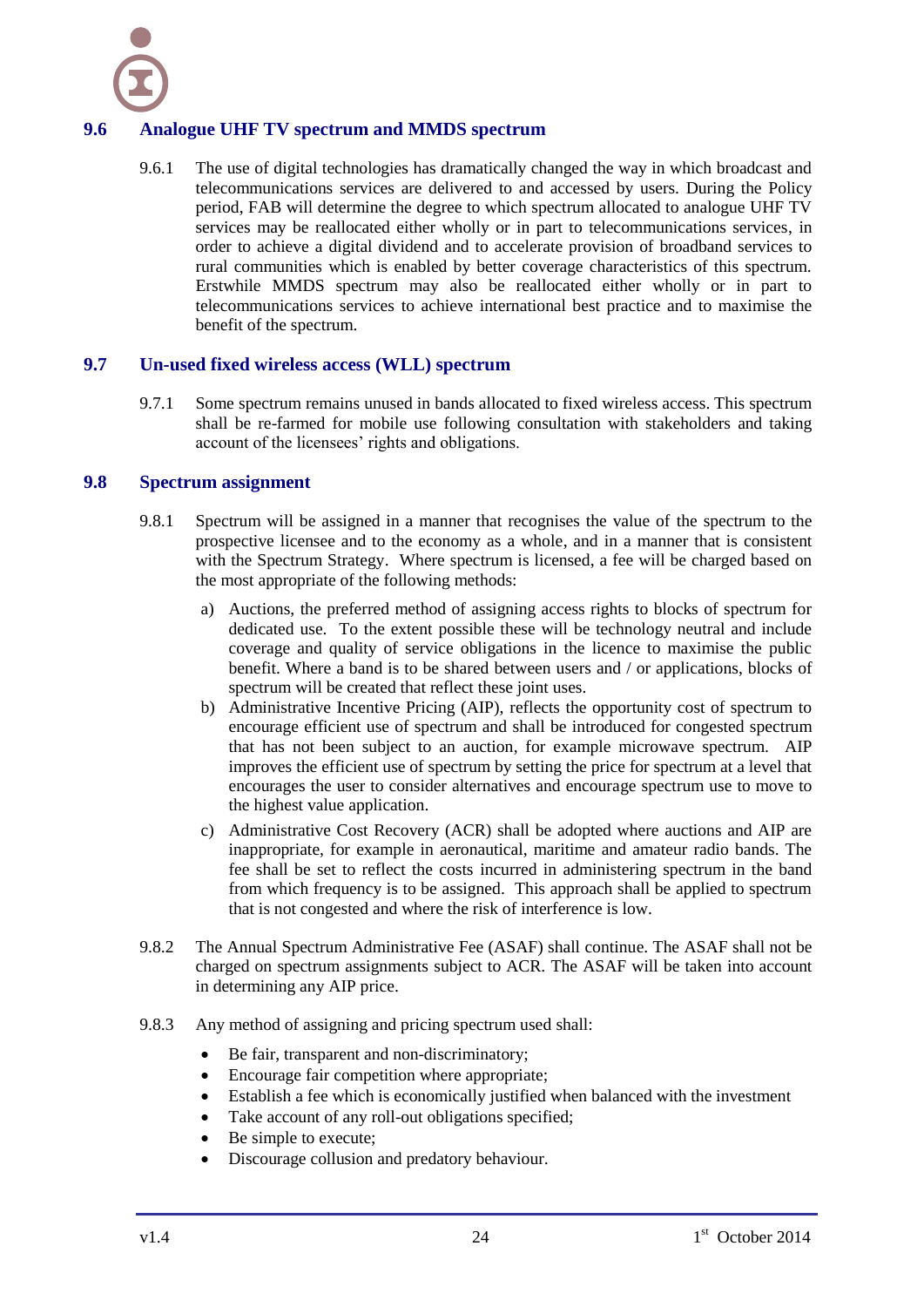

### **9.6 Analogue UHF TV spectrum and MMDS spectrum**

<span id="page-27-0"></span>9.6.1 The use of digital technologies has dramatically changed the way in which broadcast and telecommunications services are delivered to and accessed by users. During the Policy period, FAB will determine the degree to which spectrum allocated to analogue UHF TV services may be reallocated either wholly or in part to telecommunications services, in order to achieve a digital dividend and to accelerate provision of broadband services to rural communities which is enabled by better coverage characteristics of this spectrum. Erstwhile MMDS spectrum may also be reallocated either wholly or in part to telecommunications services to achieve international best practice and to maximise the benefit of the spectrum.

#### <span id="page-27-1"></span>**9.7 Un-used fixed wireless access (WLL) spectrum**

9.7.1 Some spectrum remains unused in bands allocated to fixed wireless access. This spectrum shall be re-farmed for mobile use following consultation with stakeholders and taking account of the licensees' rights and obligations.

#### <span id="page-27-2"></span>**9.8 Spectrum assignment**

- 9.8.1 Spectrum will be assigned in a manner that recognises the value of the spectrum to the prospective licensee and to the economy as a whole, and in a manner that is consistent with the Spectrum Strategy. Where spectrum is licensed, a fee will be charged based on the most appropriate of the following methods:
	- a) Auctions, the preferred method of assigning access rights to blocks of spectrum for dedicated use. To the extent possible these will be technology neutral and include coverage and quality of service obligations in the licence to maximise the public benefit. Where a band is to be shared between users and / or applications, blocks of spectrum will be created that reflect these joint uses.
	- b) Administrative Incentive Pricing (AIP), reflects the opportunity cost of spectrum to encourage efficient use of spectrum and shall be introduced for congested spectrum that has not been subject to an auction, for example microwave spectrum. AIP improves the efficient use of spectrum by setting the price for spectrum at a level that encourages the user to consider alternatives and encourage spectrum use to move to the highest value application.
	- c) Administrative Cost Recovery (ACR) shall be adopted where auctions and AIP are inappropriate, for example in aeronautical, maritime and amateur radio bands. The fee shall be set to reflect the costs incurred in administering spectrum in the band from which frequency is to be assigned. This approach shall be applied to spectrum that is not congested and where the risk of interference is low.
- 9.8.2 The Annual Spectrum Administrative Fee (ASAF) shall continue. The ASAF shall not be charged on spectrum assignments subject to ACR. The ASAF will be taken into account in determining any AIP price.
- 9.8.3 Any method of assigning and pricing spectrum used shall:
	- Be fair, transparent and non-discriminatory;
	- Encourage fair competition where appropriate;
	- Establish a fee which is economically justified when balanced with the investment
	- Take account of any roll-out obligations specified;
	- Be simple to execute;
	- Discourage collusion and predatory behaviour.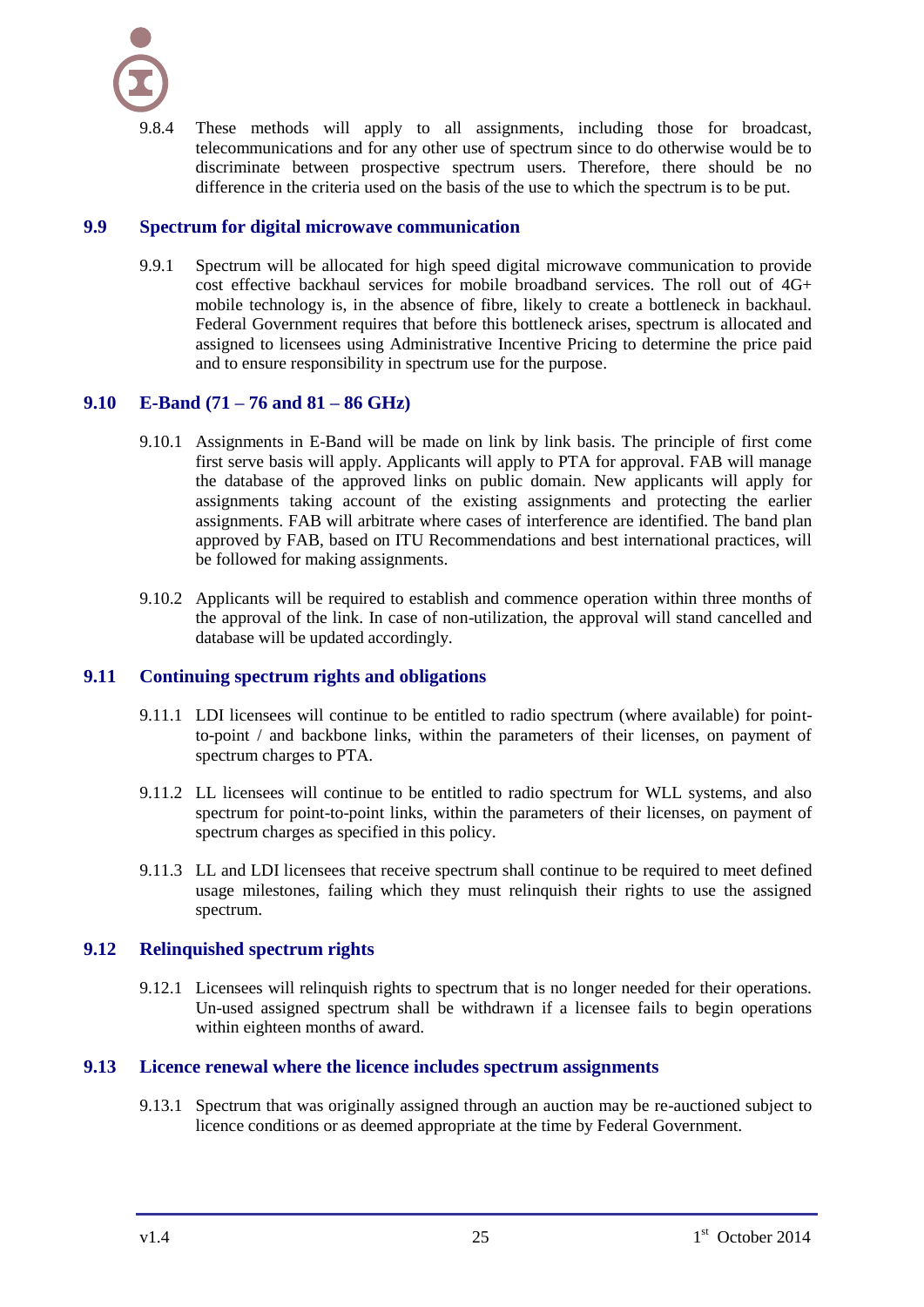9.8.4 These methods will apply to all assignments, including those for broadcast, telecommunications and for any other use of spectrum since to do otherwise would be to discriminate between prospective spectrum users. Therefore, there should be no difference in the criteria used on the basis of the use to which the spectrum is to be put.

#### <span id="page-28-0"></span>**9.9 Spectrum for digital microwave communication**

9.9.1 Spectrum will be allocated for high speed digital microwave communication to provide cost effective backhaul services for mobile broadband services. The roll out of 4G+ mobile technology is, in the absence of fibre, likely to create a bottleneck in backhaul. Federal Government requires that before this bottleneck arises, spectrum is allocated and assigned to licensees using Administrative Incentive Pricing to determine the price paid and to ensure responsibility in spectrum use for the purpose.

# <span id="page-28-1"></span>**9.10 E-Band (71 – 76 and 81 – 86 GHz)**

- 9.10.1 Assignments in E-Band will be made on link by link basis. The principle of first come first serve basis will apply. Applicants will apply to PTA for approval. FAB will manage the database of the approved links on public domain. New applicants will apply for assignments taking account of the existing assignments and protecting the earlier assignments. FAB will arbitrate where cases of interference are identified. The band plan approved by FAB, based on ITU Recommendations and best international practices, will be followed for making assignments.
- 9.10.2 Applicants will be required to establish and commence operation within three months of the approval of the link. In case of non-utilization, the approval will stand cancelled and database will be updated accordingly.

#### <span id="page-28-2"></span>**9.11 Continuing spectrum rights and obligations**

- 9.11.1 LDI licensees will continue to be entitled to radio spectrum (where available) for pointto-point / and backbone links, within the parameters of their licenses, on payment of spectrum charges to PTA.
- 9.11.2 LL licensees will continue to be entitled to radio spectrum for WLL systems, and also spectrum for point-to-point links, within the parameters of their licenses, on payment of spectrum charges as specified in this policy.
- 9.11.3 LL and LDI licensees that receive spectrum shall continue to be required to meet defined usage milestones, failing which they must relinquish their rights to use the assigned spectrum.

### <span id="page-28-3"></span>**9.12 Relinquished spectrum rights**

9.12.1 Licensees will relinquish rights to spectrum that is no longer needed for their operations. Un-used assigned spectrum shall be withdrawn if a licensee fails to begin operations within eighteen months of award.

#### **9.13 Licence renewal where the licence includes spectrum assignments**

<span id="page-28-4"></span>9.13.1 Spectrum that was originally assigned through an auction may be re-auctioned subject to licence conditions or as deemed appropriate at the time by Federal Government.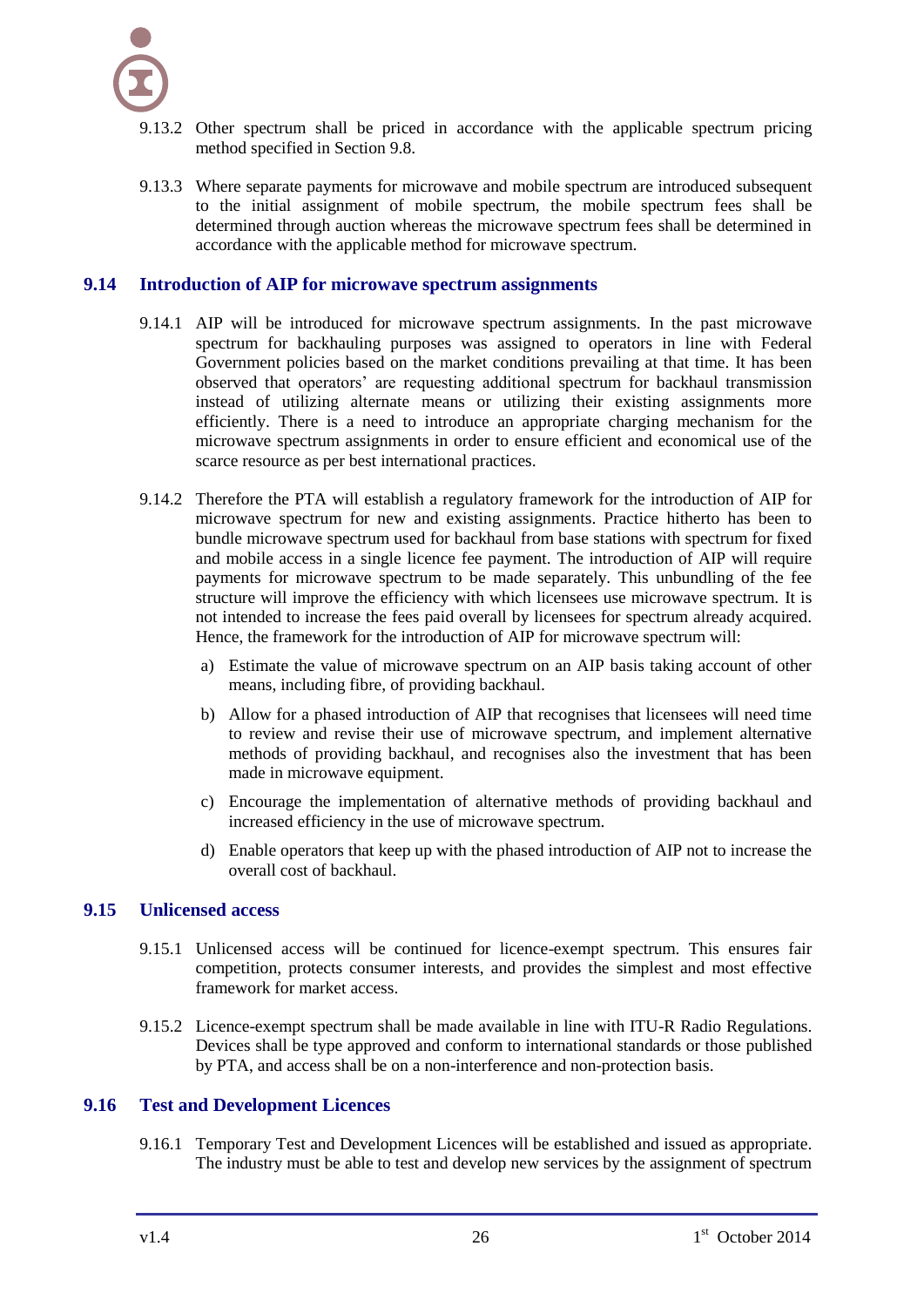

- 9.13.2 Other spectrum shall be priced in accordance with the applicable spectrum pricing method specified in Section [9.8.](#page-27-2)
- 9.13.3 Where separate payments for microwave and mobile spectrum are introduced subsequent to the initial assignment of mobile spectrum, the mobile spectrum fees shall be determined through auction whereas the microwave spectrum fees shall be determined in accordance with the applicable method for microwave spectrum.

#### <span id="page-29-0"></span>**9.14 Introduction of AIP for microwave spectrum assignments**

- 9.14.1 AIP will be introduced for microwave spectrum assignments. In the past microwave spectrum for backhauling purposes was assigned to operators in line with Federal Government policies based on the market conditions prevailing at that time. It has been observed that operators" are requesting additional spectrum for backhaul transmission instead of utilizing alternate means or utilizing their existing assignments more efficiently. There is a need to introduce an appropriate charging mechanism for the microwave spectrum assignments in order to ensure efficient and economical use of the scarce resource as per best international practices.
- 9.14.2 Therefore the PTA will establish a regulatory framework for the introduction of AIP for microwave spectrum for new and existing assignments. Practice hitherto has been to bundle microwave spectrum used for backhaul from base stations with spectrum for fixed and mobile access in a single licence fee payment. The introduction of AIP will require payments for microwave spectrum to be made separately. This unbundling of the fee structure will improve the efficiency with which licensees use microwave spectrum. It is not intended to increase the fees paid overall by licensees for spectrum already acquired. Hence, the framework for the introduction of AIP for microwave spectrum will:
	- a) Estimate the value of microwave spectrum on an AIP basis taking account of other means, including fibre, of providing backhaul.
	- b) Allow for a phased introduction of AIP that recognises that licensees will need time to review and revise their use of microwave spectrum, and implement alternative methods of providing backhaul, and recognises also the investment that has been made in microwave equipment.
	- c) Encourage the implementation of alternative methods of providing backhaul and increased efficiency in the use of microwave spectrum.
	- d) Enable operators that keep up with the phased introduction of AIP not to increase the overall cost of backhaul.

#### <span id="page-29-1"></span>**9.15 Unlicensed access**

- 9.15.1 Unlicensed access will be continued for licence-exempt spectrum. This ensures fair competition, protects consumer interests, and provides the simplest and most effective framework for market access.
- 9.15.2 Licence-exempt spectrum shall be made available in line with ITU-R Radio Regulations. Devices shall be type approved and conform to international standards or those published by PTA, and access shall be on a non-interference and non-protection basis.

#### <span id="page-29-2"></span>**9.16 Test and Development Licences**

9.16.1 Temporary Test and Development Licences will be established and issued as appropriate. The industry must be able to test and develop new services by the assignment of spectrum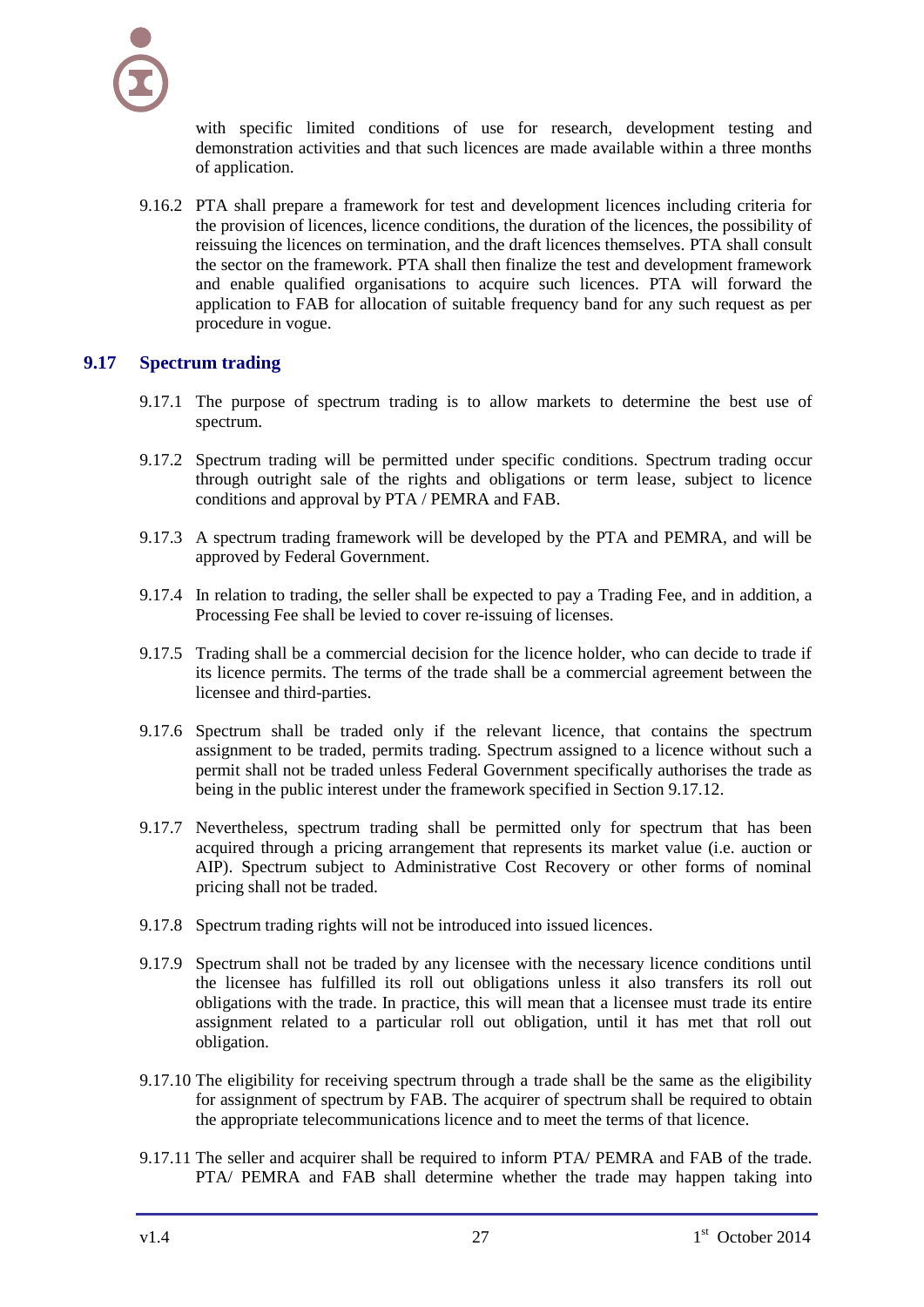

with specific limited conditions of use for research, development testing and demonstration activities and that such licences are made available within a three months of application.

9.16.2 PTA shall prepare a framework for test and development licences including criteria for the provision of licences, licence conditions, the duration of the licences, the possibility of reissuing the licences on termination, and the draft licences themselves. PTA shall consult the sector on the framework. PTA shall then finalize the test and development framework and enable qualified organisations to acquire such licences. PTA will forward the application to FAB for allocation of suitable frequency band for any such request as per procedure in vogue.

#### <span id="page-30-0"></span>**9.17 Spectrum trading**

- 9.17.1 The purpose of spectrum trading is to allow markets to determine the best use of spectrum.
- 9.17.2 Spectrum trading will be permitted under specific conditions. Spectrum trading occur through outright sale of the rights and obligations or term lease, subject to licence conditions and approval by PTA / PEMRA and FAB.
- 9.17.3 A spectrum trading framework will be developed by the PTA and PEMRA, and will be approved by Federal Government.
- 9.17.4 In relation to trading, the seller shall be expected to pay a Trading Fee, and in addition, a Processing Fee shall be levied to cover re-issuing of licenses.
- 9.17.5 Trading shall be a commercial decision for the licence holder, who can decide to trade if its licence permits. The terms of the trade shall be a commercial agreement between the licensee and third-parties.
- 9.17.6 Spectrum shall be traded only if the relevant licence, that contains the spectrum assignment to be traded, permits trading. Spectrum assigned to a licence without such a permit shall not be traded unless Federal Government specifically authorises the trade as being in the public interest under the framework specified in Sectio[n 9.17.12.](#page-31-2)
- 9.17.7 Nevertheless, spectrum trading shall be permitted only for spectrum that has been acquired through a pricing arrangement that represents its market value (i.e. auction or AIP). Spectrum subject to Administrative Cost Recovery or other forms of nominal pricing shall not be traded.
- 9.17.8 Spectrum trading rights will not be introduced into issued licences.
- 9.17.9 Spectrum shall not be traded by any licensee with the necessary licence conditions until the licensee has fulfilled its roll out obligations unless it also transfers its roll out obligations with the trade. In practice, this will mean that a licensee must trade its entire assignment related to a particular roll out obligation, until it has met that roll out obligation.
- 9.17.10 The eligibility for receiving spectrum through a trade shall be the same as the eligibility for assignment of spectrum by FAB. The acquirer of spectrum shall be required to obtain the appropriate telecommunications licence and to meet the terms of that licence.
- 9.17.11 The seller and acquirer shall be required to inform PTA/ PEMRA and FAB of the trade. PTA/ PEMRA and FAB shall determine whether the trade may happen taking into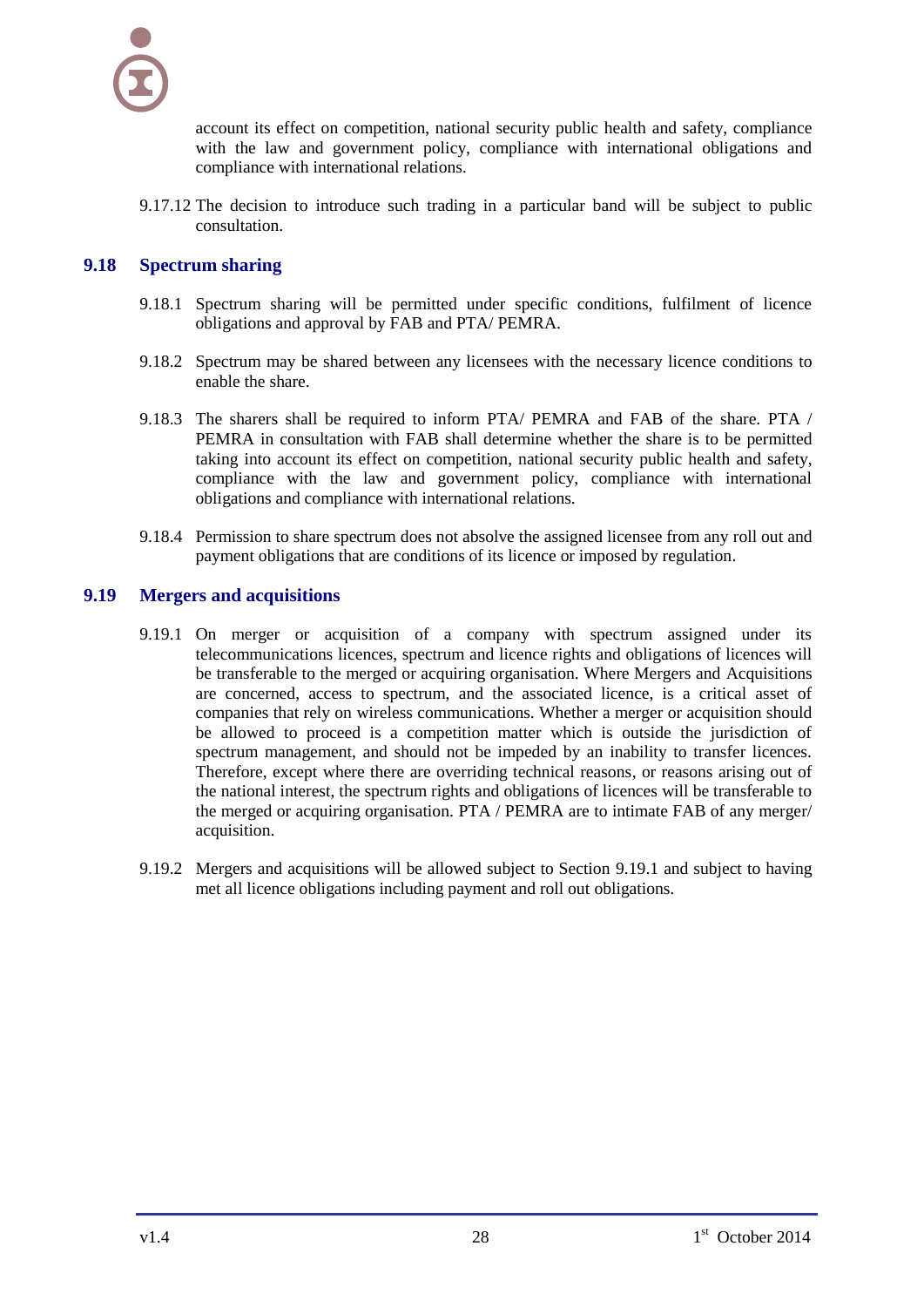account its effect on competition, national security public health and safety, compliance with the law and government policy, compliance with international obligations and compliance with international relations.

<span id="page-31-2"></span><span id="page-31-0"></span>9.17.12 The decision to introduce such trading in a particular band will be subject to public consultation.

#### **9.18 Spectrum sharing**

- 9.18.1 Spectrum sharing will be permitted under specific conditions, fulfilment of licence obligations and approval by FAB and PTA/ PEMRA.
- 9.18.2 Spectrum may be shared between any licensees with the necessary licence conditions to enable the share.
- 9.18.3 The sharers shall be required to inform PTA/ PEMRA and FAB of the share. PTA / PEMRA in consultation with FAB shall determine whether the share is to be permitted taking into account its effect on competition, national security public health and safety, compliance with the law and government policy, compliance with international obligations and compliance with international relations.
- <span id="page-31-1"></span>9.18.4 Permission to share spectrum does not absolve the assigned licensee from any roll out and payment obligations that are conditions of its licence or imposed by regulation.

#### **9.19 Mergers and acquisitions**

- <span id="page-31-3"></span>9.19.1 On merger or acquisition of a company with spectrum assigned under its telecommunications licences, spectrum and licence rights and obligations of licences will be transferable to the merged or acquiring organisation. Where Mergers and Acquisitions are concerned, access to spectrum, and the associated licence, is a critical asset of companies that rely on wireless communications. Whether a merger or acquisition should be allowed to proceed is a competition matter which is outside the jurisdiction of spectrum management, and should not be impeded by an inability to transfer licences. Therefore, except where there are overriding technical reasons, or reasons arising out of the national interest, the spectrum rights and obligations of licences will be transferable to the merged or acquiring organisation. PTA / PEMRA are to intimate FAB of any merger/ acquisition.
- 9.19.2 Mergers and acquisitions will be allowed subject to Section [9.19.1](#page-31-3) and subject to having met all licence obligations including payment and roll out obligations.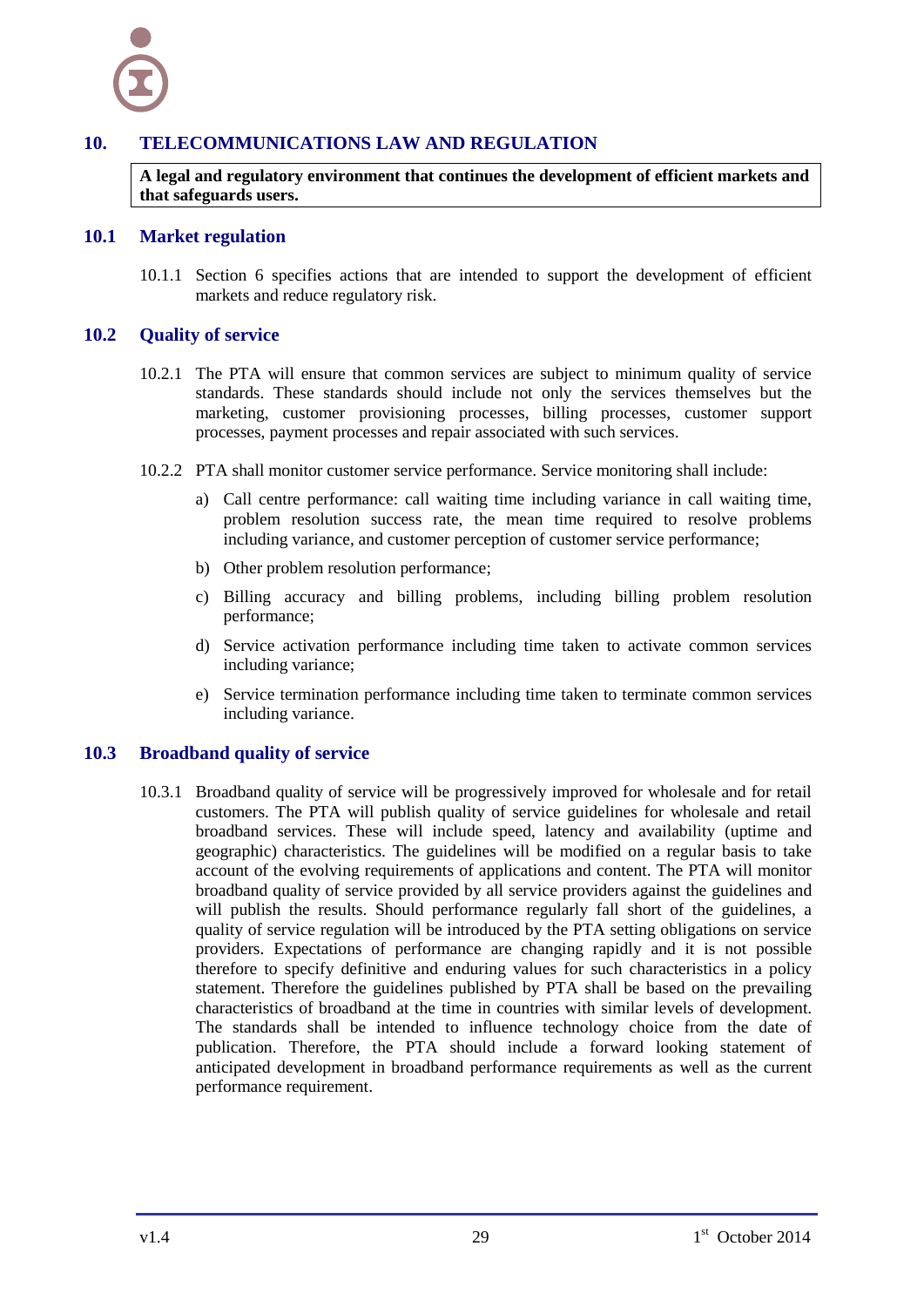#### **10. TELECOMMUNICATIONS LAW AND REGULATION**

<span id="page-32-1"></span><span id="page-32-0"></span>**A legal and regulatory environment that continues the development of efficient markets and that safeguards users.**

#### **10.1 Market regulation**

<span id="page-32-2"></span>10.1.1 Section [6](#page-11-0) specifies actions that are intended to support the development of efficient markets and reduce regulatory risk.

#### **10.2 Quality of service**

- 10.2.1 The PTA will ensure that common services are subject to minimum quality of service standards. These standards should include not only the services themselves but the marketing, customer provisioning processes, billing processes, customer support processes, payment processes and repair associated with such services.
- 10.2.2 PTA shall monitor customer service performance. Service monitoring shall include:
	- a) Call centre performance: call waiting time including variance in call waiting time, problem resolution success rate, the mean time required to resolve problems including variance, and customer perception of customer service performance;
	- b) Other problem resolution performance;
	- c) Billing accuracy and billing problems, including billing problem resolution performance;
	- d) Service activation performance including time taken to activate common services including variance;
	- e) Service termination performance including time taken to terminate common services including variance.

#### **10.3 Broadband quality of service**

<span id="page-32-3"></span>10.3.1 Broadband quality of service will be progressively improved for wholesale and for retail customers. The PTA will publish quality of service guidelines for wholesale and retail broadband services. These will include speed, latency and availability (uptime and geographic) characteristics. The guidelines will be modified on a regular basis to take account of the evolving requirements of applications and content. The PTA will monitor broadband quality of service provided by all service providers against the guidelines and will publish the results. Should performance regularly fall short of the guidelines, a quality of service regulation will be introduced by the PTA setting obligations on service providers. Expectations of performance are changing rapidly and it is not possible therefore to specify definitive and enduring values for such characteristics in a policy statement. Therefore the guidelines published by PTA shall be based on the prevailing characteristics of broadband at the time in countries with similar levels of development. The standards shall be intended to influence technology choice from the date of publication. Therefore, the PTA should include a forward looking statement of anticipated development in broadband performance requirements as well as the current performance requirement.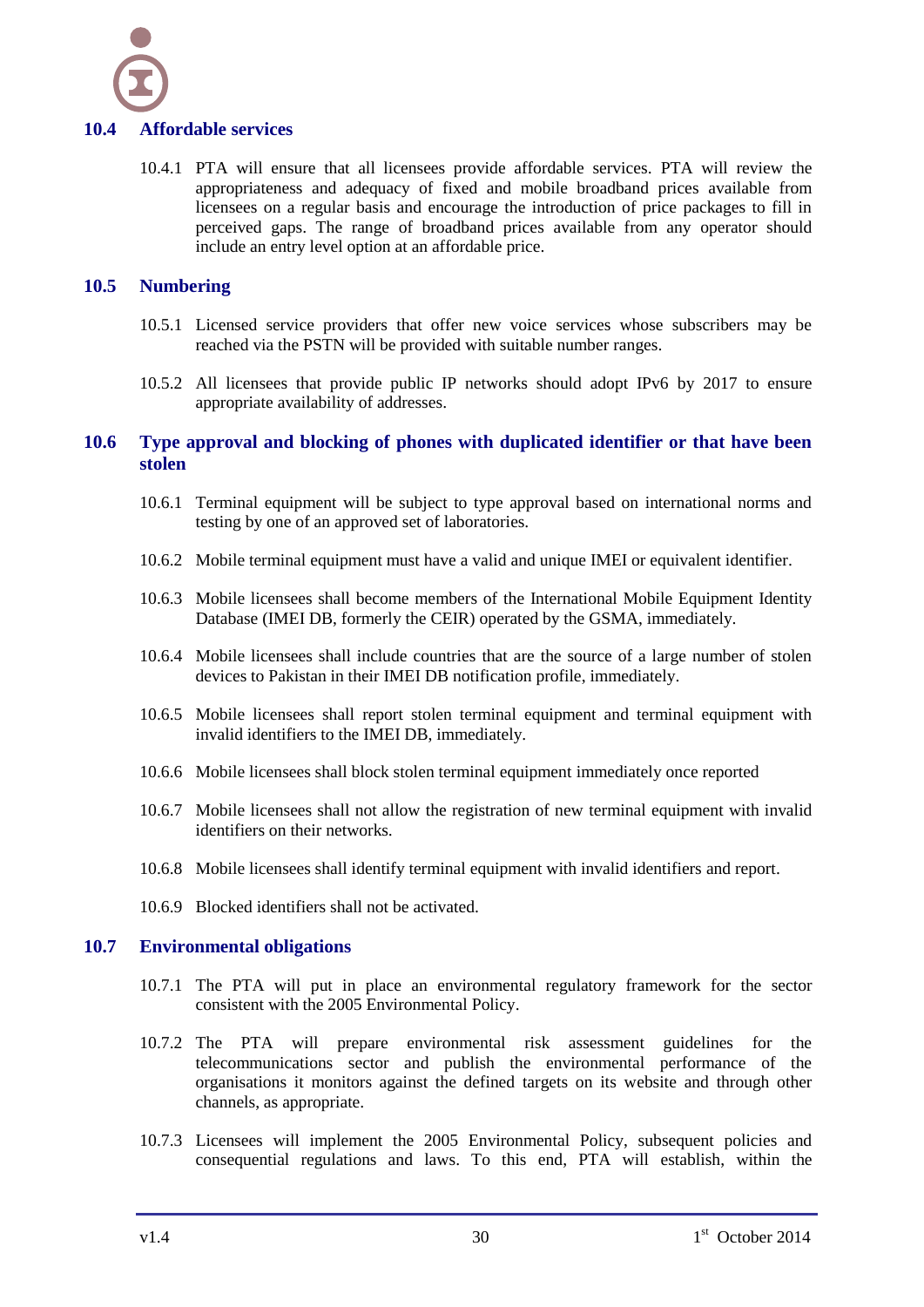

#### **10.4 Affordable services**

<span id="page-33-0"></span>10.4.1 PTA will ensure that all licensees provide affordable services. PTA will review the appropriateness and adequacy of fixed and mobile broadband prices available from licensees on a regular basis and encourage the introduction of price packages to fill in perceived gaps. The range of broadband prices available from any operator should include an entry level option at an affordable price.

#### **10.5 Numbering**

- <span id="page-33-1"></span>10.5.1 Licensed service providers that offer new voice services whose subscribers may be reached via the PSTN will be provided with suitable number ranges.
- <span id="page-33-2"></span>10.5.2 All licensees that provide public IP networks should adopt IPv6 by 2017 to ensure appropriate availability of addresses.

#### **10.6 Type approval and blocking of phones with duplicated identifier or that have been stolen**

- 10.6.1 Terminal equipment will be subject to type approval based on international norms and testing by one of an approved set of laboratories.
- 10.6.2 Mobile terminal equipment must have a valid and unique IMEI or equivalent identifier.
- 10.6.3 Mobile licensees shall become members of the International Mobile Equipment Identity Database (IMEI DB, formerly the CEIR) operated by the GSMA, immediately.
- 10.6.4 Mobile licensees shall include countries that are the source of a large number of stolen devices to Pakistan in their IMEI DB notification profile, immediately.
- 10.6.5 Mobile licensees shall report stolen terminal equipment and terminal equipment with invalid identifiers to the IMEI DB, immediately.
- 10.6.6 Mobile licensees shall block stolen terminal equipment immediately once reported
- 10.6.7 Mobile licensees shall not allow the registration of new terminal equipment with invalid identifiers on their networks.
- 10.6.8 Mobile licensees shall identify terminal equipment with invalid identifiers and report.
- <span id="page-33-3"></span>10.6.9 Blocked identifiers shall not be activated.

#### **10.7 Environmental obligations**

- 10.7.1 The PTA will put in place an environmental regulatory framework for the sector consistent with the 2005 Environmental Policy.
- 10.7.2 The PTA will prepare environmental risk assessment guidelines for the telecommunications sector and publish the environmental performance of the organisations it monitors against the defined targets on its website and through other channels, as appropriate.
- 10.7.3 Licensees will implement the 2005 Environmental Policy, subsequent policies and consequential regulations and laws. To this end, PTA will establish, within the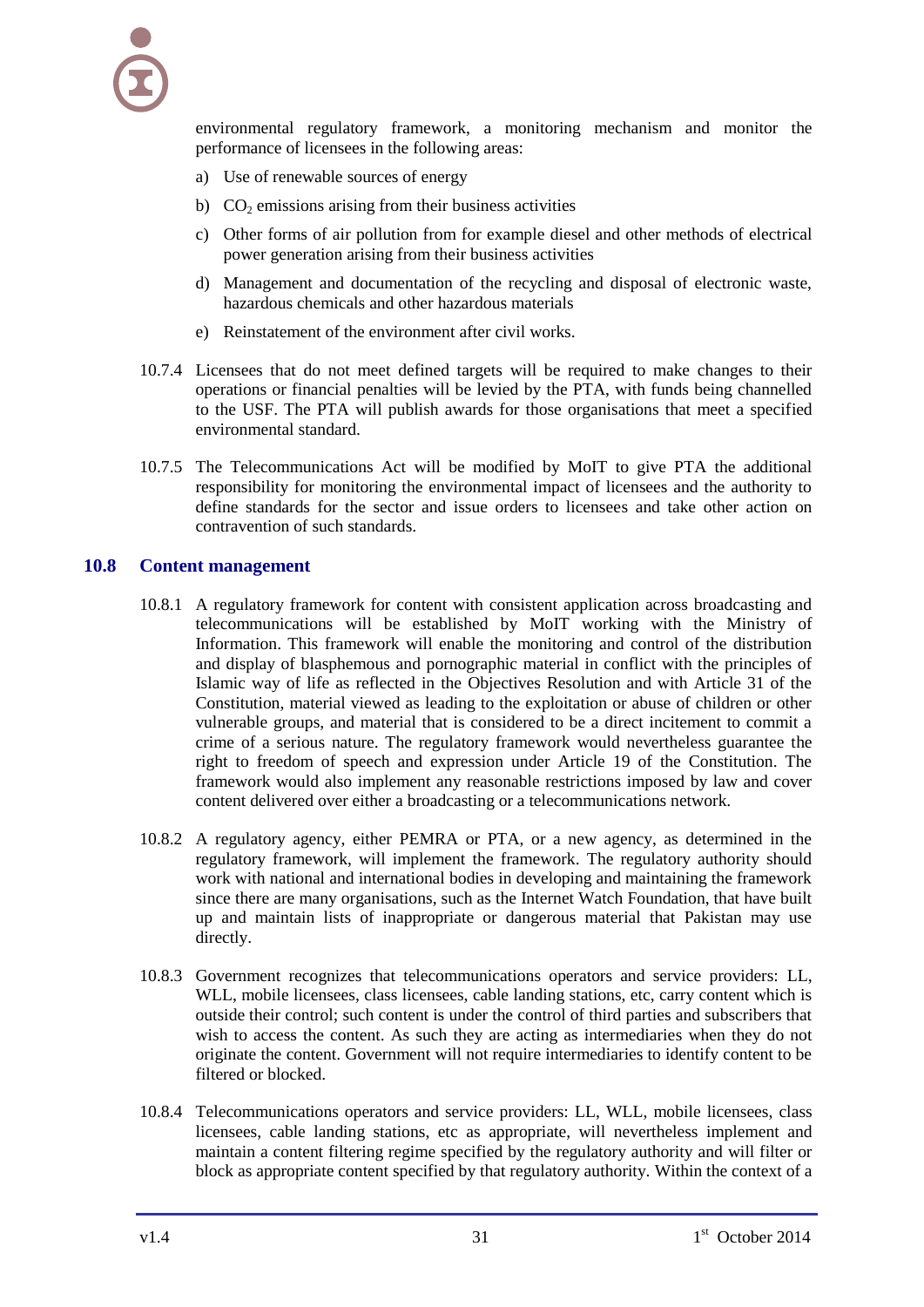environmental regulatory framework, a monitoring mechanism and monitor the performance of licensees in the following areas:

- a) Use of renewable sources of energy
- b)  $CO<sub>2</sub>$  emissions arising from their business activities
- c) Other forms of air pollution from for example diesel and other methods of electrical power generation arising from their business activities
- d) Management and documentation of the recycling and disposal of electronic waste, hazardous chemicals and other hazardous materials
- e) Reinstatement of the environment after civil works.
- 10.7.4 Licensees that do not meet defined targets will be required to make changes to their operations or financial penalties will be levied by the PTA, with funds being channelled to the USF. The PTA will publish awards for those organisations that meet a specified environmental standard.
- 10.7.5 The Telecommunications Act will be modified by MoIT to give PTA the additional responsibility for monitoring the environmental impact of licensees and the authority to define standards for the sector and issue orders to licensees and take other action on contravention of such standards.

#### <span id="page-34-0"></span>**10.8 Content management**

- 10.8.1 A regulatory framework for content with consistent application across broadcasting and telecommunications will be established by MoIT working with the Ministry of Information. This framework will enable the monitoring and control of the distribution and display of blasphemous and pornographic material in conflict with the principles of Islamic way of life as reflected in the Objectives Resolution and with Article 31 of the Constitution, material viewed as leading to the exploitation or abuse of children or other vulnerable groups, and material that is considered to be a direct incitement to commit a crime of a serious nature. The regulatory framework would nevertheless guarantee the right to freedom of speech and expression under Article 19 of the Constitution. The framework would also implement any reasonable restrictions imposed by law and cover content delivered over either a broadcasting or a telecommunications network.
- 10.8.2 A regulatory agency, either PEMRA or PTA, or a new agency, as determined in the regulatory framework, will implement the framework. The regulatory authority should work with national and international bodies in developing and maintaining the framework since there are many organisations, such as the Internet Watch Foundation, that have built up and maintain lists of inappropriate or dangerous material that Pakistan may use directly.
- 10.8.3 Government recognizes that telecommunications operators and service providers: LL, WLL, mobile licensees, class licensees, cable landing stations, etc, carry content which is outside their control; such content is under the control of third parties and subscribers that wish to access the content. As such they are acting as intermediaries when they do not originate the content. Government will not require intermediaries to identify content to be filtered or blocked.
- 10.8.4 Telecommunications operators and service providers: LL, WLL, mobile licensees, class licensees, cable landing stations, etc as appropriate, will nevertheless implement and maintain a content filtering regime specified by the regulatory authority and will filter or block as appropriate content specified by that regulatory authority. Within the context of a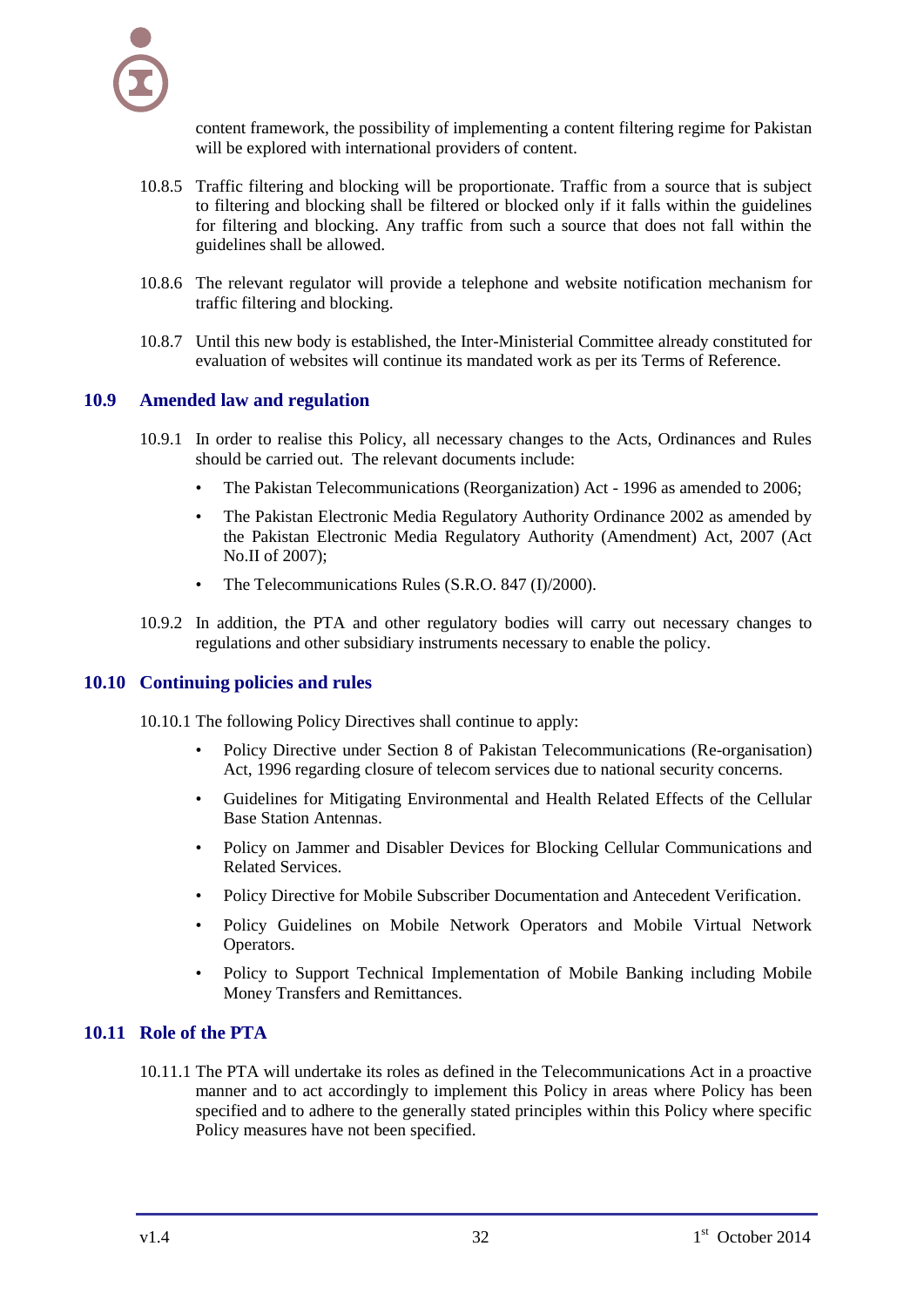

content framework, the possibility of implementing a content filtering regime for Pakistan will be explored with international providers of content.

- 10.8.5 Traffic filtering and blocking will be proportionate. Traffic from a source that is subject to filtering and blocking shall be filtered or blocked only if it falls within the guidelines for filtering and blocking. Any traffic from such a source that does not fall within the guidelines shall be allowed.
- 10.8.6 The relevant regulator will provide a telephone and website notification mechanism for traffic filtering and blocking.
- <span id="page-35-0"></span>10.8.7 Until this new body is established, the Inter-Ministerial Committee already constituted for evaluation of websites will continue its mandated work as per its Terms of Reference.

#### **10.9 Amended law and regulation**

- 10.9.1 In order to realise this Policy, all necessary changes to the Acts, Ordinances and Rules should be carried out. The relevant documents include:
	- The Pakistan Telecommunications (Reorganization) Act 1996 as amended to 2006;
	- The Pakistan Electronic Media Regulatory Authority Ordinance 2002 as amended by the Pakistan Electronic Media Regulatory Authority (Amendment) Act, 2007 (Act No.II of 2007);
	- The Telecommunications Rules (S.R.O. 847 (I)/2000).
- <span id="page-35-1"></span>10.9.2 In addition, the PTA and other regulatory bodies will carry out necessary changes to regulations and other subsidiary instruments necessary to enable the policy.

#### **10.10 Continuing policies and rules**

10.10.1 The following Policy Directives shall continue to apply:

- Policy Directive under Section 8 of Pakistan Telecommunications (Re-organisation) Act, 1996 regarding closure of telecom services due to national security concerns.
- Guidelines for Mitigating Environmental and Health Related Effects of the Cellular Base Station Antennas.
- Policy on Jammer and Disabler Devices for Blocking Cellular Communications and Related Services.
- Policy Directive for Mobile Subscriber Documentation and Antecedent Verification.
- Policy Guidelines on Mobile Network Operators and Mobile Virtual Network Operators.
- Policy to Support Technical Implementation of Mobile Banking including Mobile Money Transfers and Remittances.

#### <span id="page-35-2"></span>**10.11 Role of the PTA**

10.11.1 The PTA will undertake its roles as defined in the Telecommunications Act in a proactive manner and to act accordingly to implement this Policy in areas where Policy has been specified and to adhere to the generally stated principles within this Policy where specific Policy measures have not been specified.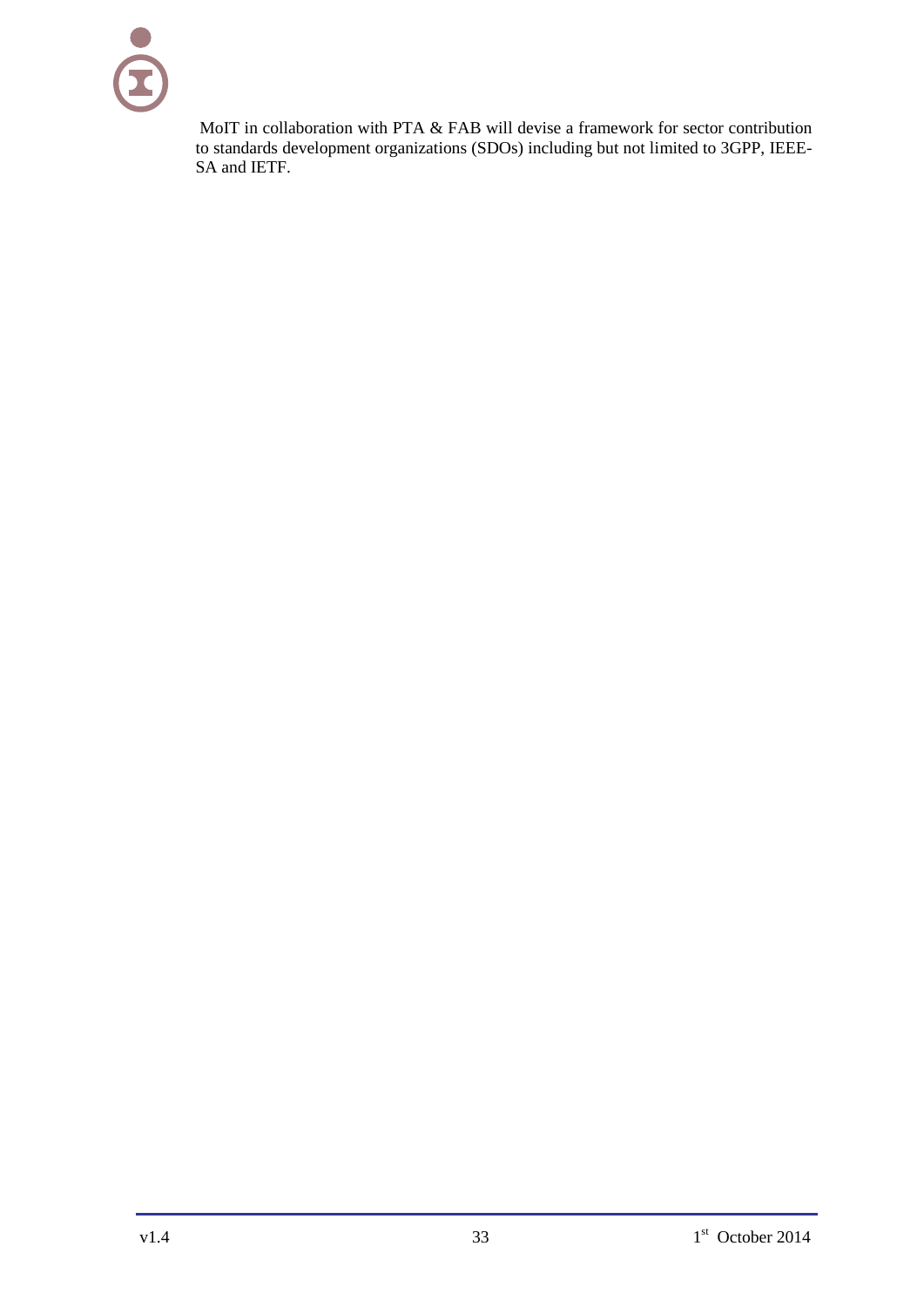MoIT in collaboration with PTA & FAB will devise a framework for sector contribution to standards development organizations (SDOs) including but not limited to 3GPP, IEEE-SA and IETF.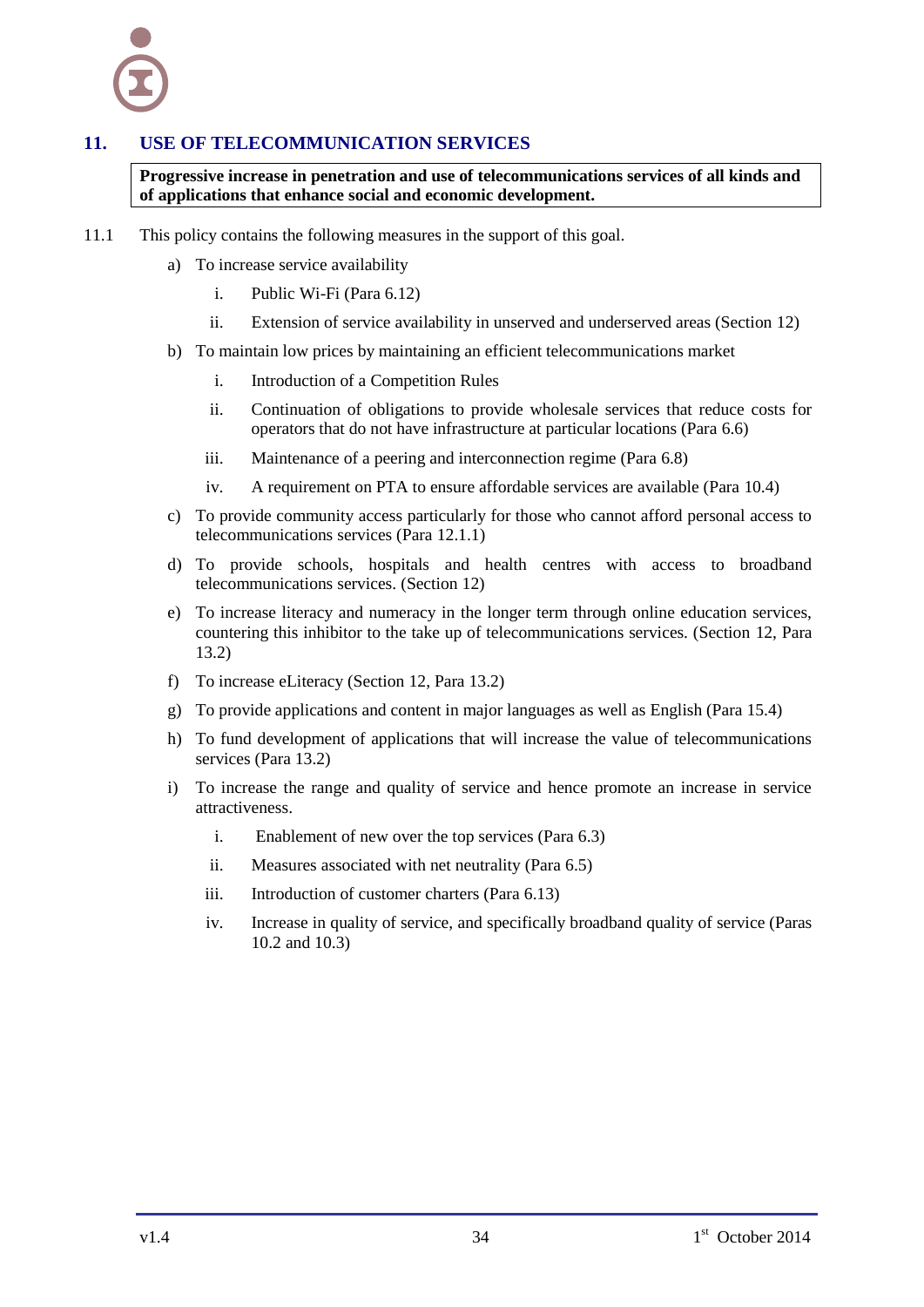# **11. USE OF TELECOMMUNICATION SERVICES**

<span id="page-37-0"></span>**Progressive increase in penetration and use of telecommunications services of all kinds and of applications that enhance social and economic development.**

- 11.1 This policy contains the following measures in the support of this goal.
	- a) To increase service availability
		- i. Public Wi-Fi (Para [6.12\)](#page-17-0)
		- ii. Extension of service availability in unserved and underserved areas (Section [12\)](#page-38-0)
	- b) To maintain low prices by maintaining an efficient telecommunications market
		- i. Introduction of a Competition Rules
		- ii. Continuation of obligations to provide wholesale services that reduce costs for operators that do not have infrastructure at particular locations (Para [6.6\)](#page-14-0)
		- iii. Maintenance of a peering and interconnection regime (Para [6.8\)](#page-15-0)
		- iv. A requirement on PTA to ensure affordable services are available (Para [10.4\)](#page-33-0)
	- c) To provide community access particularly for those who cannot afford personal access to telecommunications services (Para [12.1.1\)](#page-38-5)
	- d) To provide schools, hospitals and health centres with access to broadband telecommunications services. (Sectio[n 12\)](#page-38-0)
	- e) To increase literacy and numeracy in the longer term through online education services, countering this inhibitor to the take up of telecommunications services. (Section [12,](#page-38-0) Para [13.2\)](#page-42-2)
	- f) To increase eLiteracy (Section [12,](#page-38-0) Para [13.2\)](#page-42-2)
	- g) To provide applications and content in major languages as well as English (Para [15.4\)](#page-49-4)
	- h) To fund development of applications that will increase the value of telecommunications services (Para [13.2\)](#page-42-2)
	- i) To increase the range and quality of service and hence promote an increase in service attractiveness.
		- i. Enablement of new over the top services (Para [6.3\)](#page-13-0)
		- ii. Measures associated with net neutrality (Para [6.5\)](#page-13-2)
		- iii. Introduction of customer charters (Para [6.13\)](#page-18-0)
		- iv. Increase in quality of service, and specifically broadband quality of service (Paras [10.2](#page-32-2) an[d 10.3\)](#page-32-3)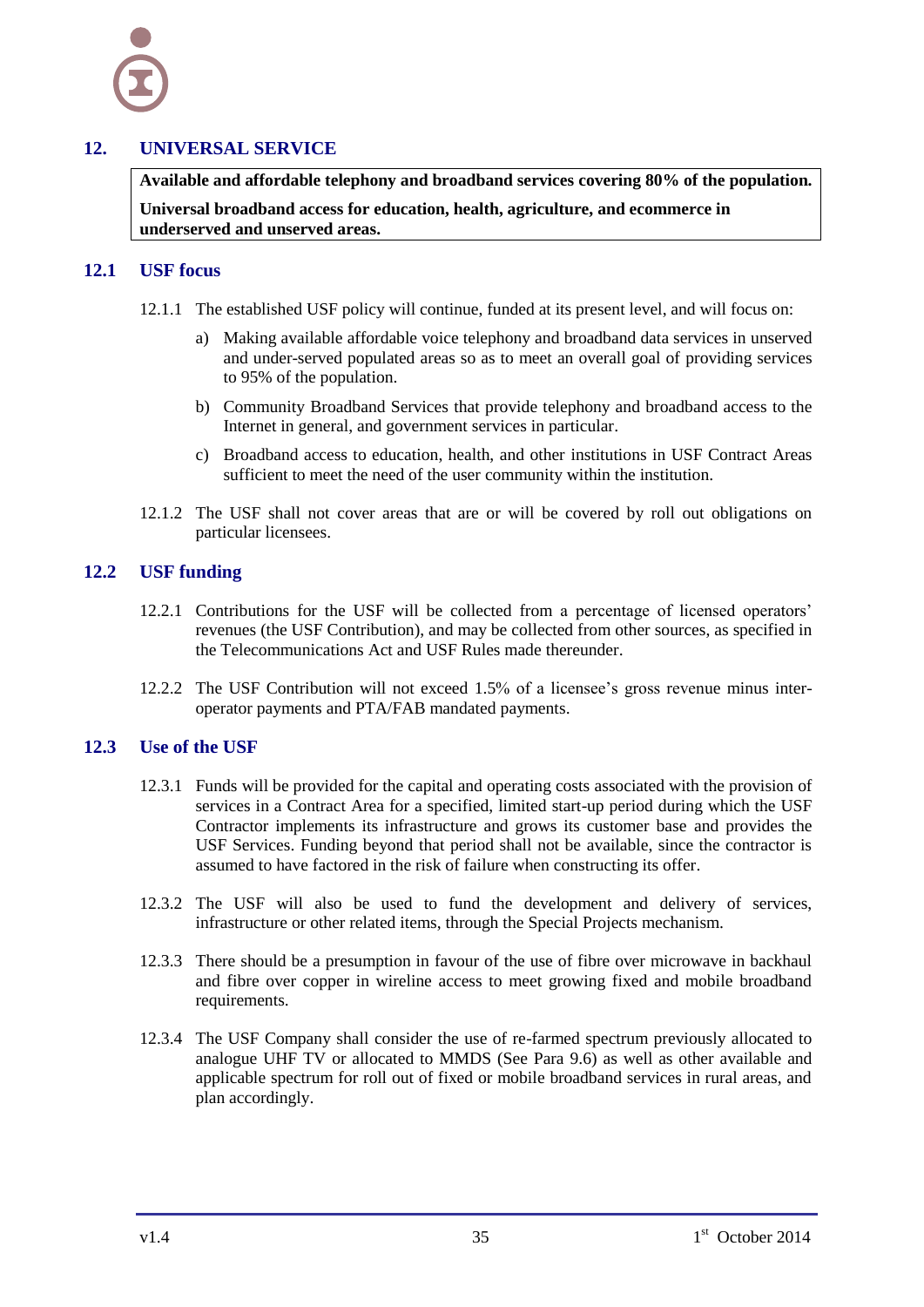# **12. UNIVERSAL SERVICE**

<span id="page-38-0"></span>**Available and affordable telephony and broadband services covering 80% of the population.**

<span id="page-38-1"></span>**Universal broadband access for education, health, agriculture, and ecommerce in underserved and unserved areas.**

#### **12.1 USF focus**

- <span id="page-38-5"></span>12.1.1 The established USF policy will continue, funded at its present level, and will focus on:
	- a) Making available affordable voice telephony and broadband data services in unserved and under-served populated areas so as to meet an overall goal of providing services to 95% of the population.
	- b) Community Broadband Services that provide telephony and broadband access to the Internet in general, and government services in particular.
	- c) Broadband access to education, health, and other institutions in USF Contract Areas sufficient to meet the need of the user community within the institution.
- <span id="page-38-2"></span>12.1.2 The USF shall not cover areas that are or will be covered by roll out obligations on particular licensees.

#### **12.2 USF funding**

- 12.2.1 Contributions for the USF will be collected from a percentage of licensed operators" revenues (the USF Contribution), and may be collected from other sources, as specified in the Telecommunications Act and USF Rules made thereunder.
- <span id="page-38-3"></span>12.2.2 The USF Contribution will not exceed 1.5% of a licensee"s gross revenue minus interoperator payments and PTA/FAB mandated payments.

#### **12.3 Use of the USF**

- 12.3.1 Funds will be provided for the capital and operating costs associated with the provision of services in a Contract Area for a specified, limited start-up period during which the USF Contractor implements its infrastructure and grows its customer base and provides the USF Services. Funding beyond that period shall not be available, since the contractor is assumed to have factored in the risk of failure when constructing its offer.
- 12.3.2 The USF will also be used to fund the development and delivery of services, infrastructure or other related items, through the Special Projects mechanism.
- <span id="page-38-4"></span>12.3.3 There should be a presumption in favour of the use of fibre over microwave in backhaul and fibre over copper in wireline access to meet growing fixed and mobile broadband requirements.
- 12.3.4 The USF Company shall consider the use of re-farmed spectrum previously allocated to analogue UHF TV or allocated to MMDS (See Para [9.6\)](#page-27-0) as well as other available and applicable spectrum for roll out of fixed or mobile broadband services in rural areas, and plan accordingly.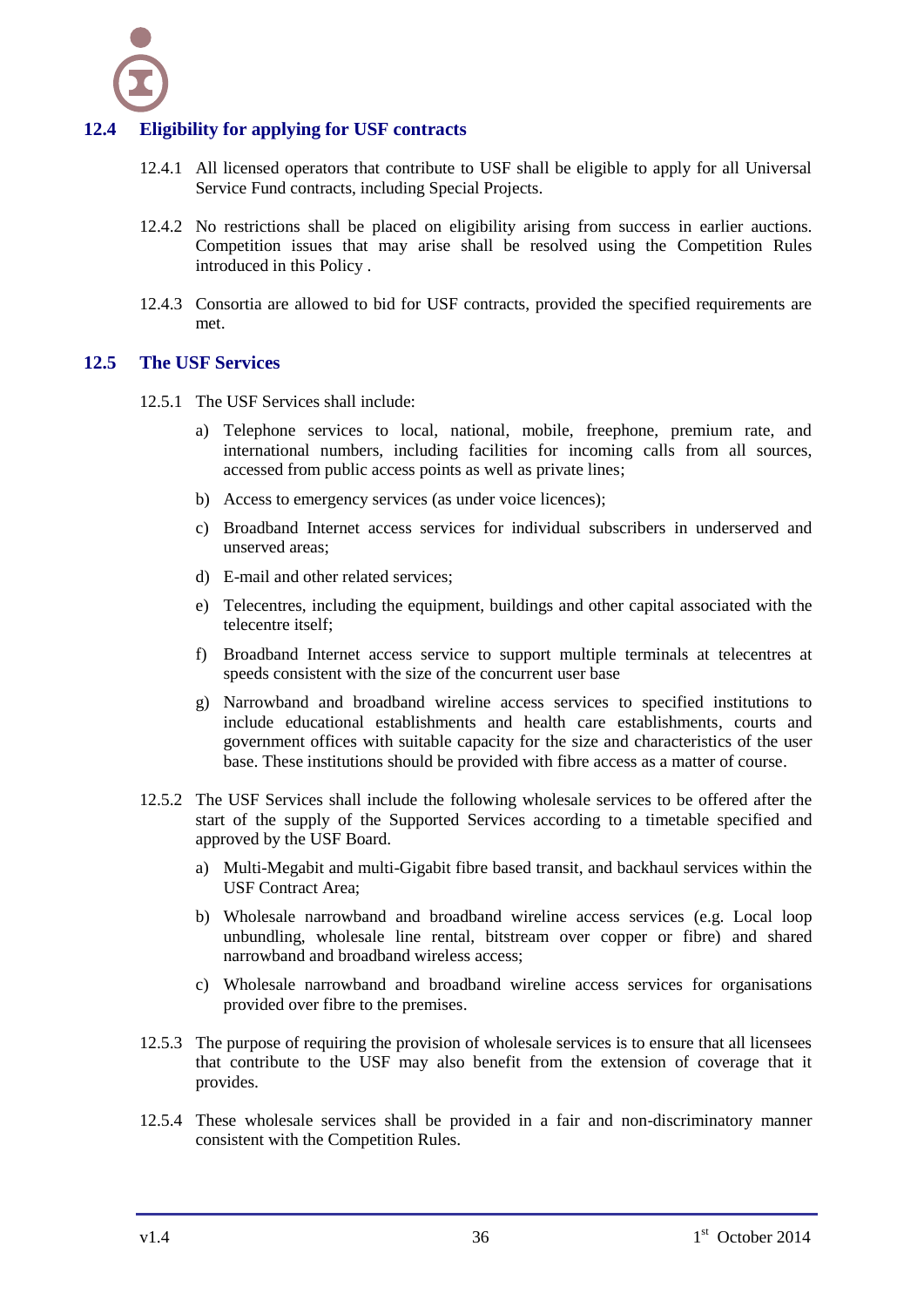

# **12.4 Eligibility for applying for USF contracts**

- <span id="page-39-0"></span>12.4.1 All licensed operators that contribute to USF shall be eligible to apply for all Universal Service Fund contracts, including Special Projects.
- 12.4.2 No restrictions shall be placed on eligibility arising from success in earlier auctions. Competition issues that may arise shall be resolved using the Competition Rules introduced in this Policy .
- <span id="page-39-1"></span>12.4.3 Consortia are allowed to bid for USF contracts, provided the specified requirements are met.

#### **12.5 The USF Services**

- <span id="page-39-2"></span>12.5.1 The USF Services shall include:
	- a) Telephone services to local, national, mobile, freephone, premium rate, and international numbers, including facilities for incoming calls from all sources, accessed from public access points as well as private lines;
	- b) Access to emergency services (as under voice licences);
	- c) Broadband Internet access services for individual subscribers in underserved and unserved areas;
	- d) E-mail and other related services;
	- e) Telecentres, including the equipment, buildings and other capital associated with the telecentre itself;
	- f) Broadband Internet access service to support multiple terminals at telecentres at speeds consistent with the size of the concurrent user base
	- g) Narrowband and broadband wireline access services to specified institutions to include educational establishments and health care establishments, courts and government offices with suitable capacity for the size and characteristics of the user base. These institutions should be provided with fibre access as a matter of course.
- 12.5.2 The USF Services shall include the following wholesale services to be offered after the start of the supply of the Supported Services according to a timetable specified and approved by the USF Board.
	- a) Multi-Megabit and multi-Gigabit fibre based transit, and backhaul services within the USF Contract Area;
	- b) Wholesale narrowband and broadband wireline access services (e.g. Local loop unbundling, wholesale line rental, bitstream over copper or fibre) and shared narrowband and broadband wireless access;
	- c) Wholesale narrowband and broadband wireline access services for organisations provided over fibre to the premises.
- 12.5.3 The purpose of requiring the provision of wholesale services is to ensure that all licensees that contribute to the USF may also benefit from the extension of coverage that it provides.
- 12.5.4 These wholesale services shall be provided in a fair and non-discriminatory manner consistent with the Competition Rules.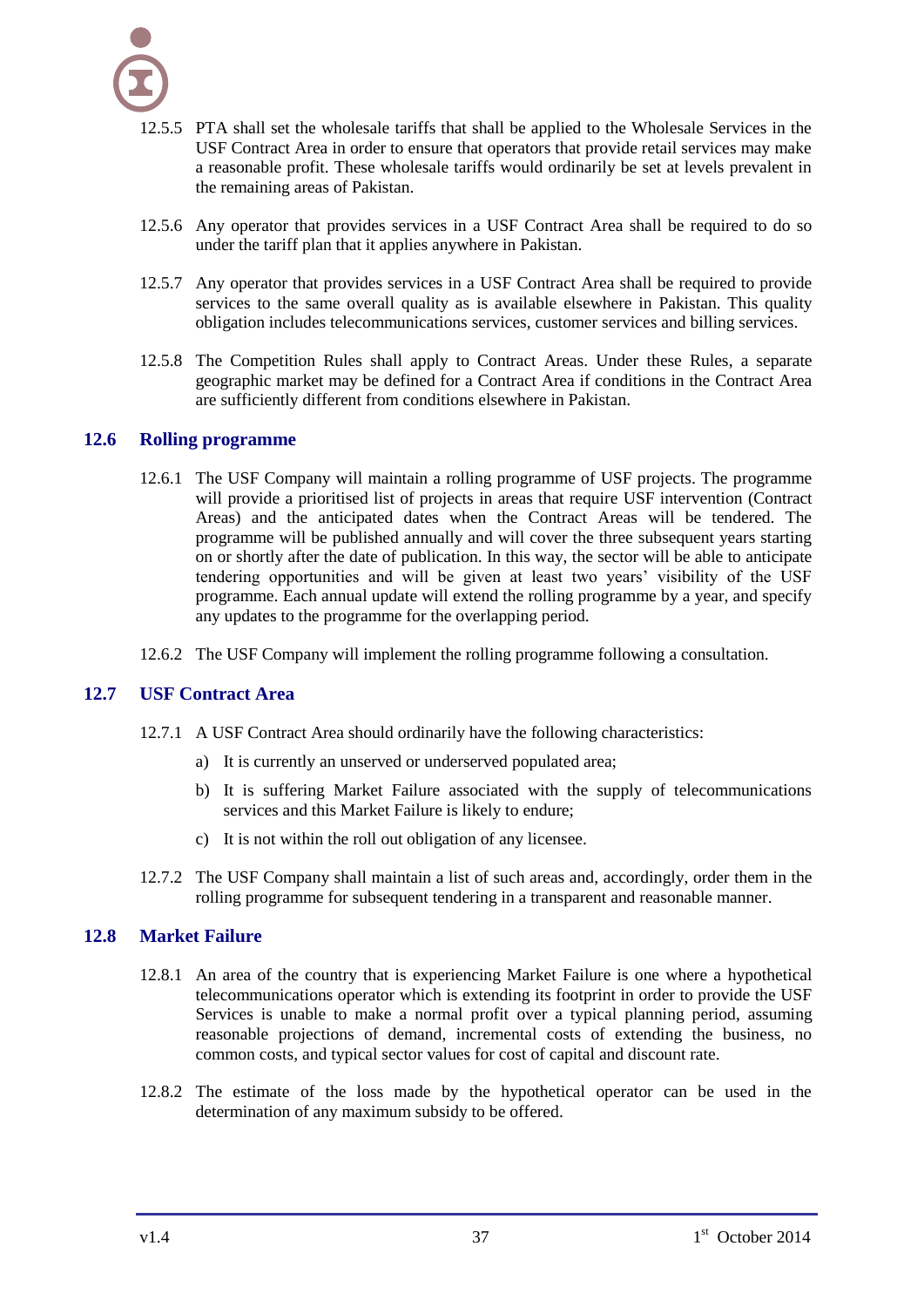

- 12.5.5 PTA shall set the wholesale tariffs that shall be applied to the Wholesale Services in the USF Contract Area in order to ensure that operators that provide retail services may make a reasonable profit. These wholesale tariffs would ordinarily be set at levels prevalent in the remaining areas of Pakistan.
- 12.5.6 Any operator that provides services in a USF Contract Area shall be required to do so under the tariff plan that it applies anywhere in Pakistan.
- 12.5.7 Any operator that provides services in a USF Contract Area shall be required to provide services to the same overall quality as is available elsewhere in Pakistan. This quality obligation includes telecommunications services, customer services and billing services.
- 12.5.8 The Competition Rules shall apply to Contract Areas. Under these Rules, a separate geographic market may be defined for a Contract Area if conditions in the Contract Area are sufficiently different from conditions elsewhere in Pakistan.

#### <span id="page-40-0"></span>**12.6 Rolling programme**

- 12.6.1 The USF Company will maintain a rolling programme of USF projects. The programme will provide a prioritised list of projects in areas that require USF intervention (Contract Areas) and the anticipated dates when the Contract Areas will be tendered. The programme will be published annually and will cover the three subsequent years starting on or shortly after the date of publication. In this way, the sector will be able to anticipate tendering opportunities and will be given at least two years' visibility of the USF programme. Each annual update will extend the rolling programme by a year, and specify any updates to the programme for the overlapping period.
- <span id="page-40-1"></span>12.6.2 The USF Company will implement the rolling programme following a consultation.

#### **12.7 USF Contract Area**

- 12.7.1 A USF Contract Area should ordinarily have the following characteristics:
	- a) It is currently an unserved or underserved populated area;
	- b) It is suffering Market Failure associated with the supply of telecommunications services and this Market Failure is likely to endure;
	- c) It is not within the roll out obligation of any licensee.
- <span id="page-40-2"></span>12.7.2 The USF Company shall maintain a list of such areas and, accordingly, order them in the rolling programme for subsequent tendering in a transparent and reasonable manner.

#### **12.8 Market Failure**

- 12.8.1 An area of the country that is experiencing Market Failure is one where a hypothetical telecommunications operator which is extending its footprint in order to provide the USF Services is unable to make a normal profit over a typical planning period, assuming reasonable projections of demand, incremental costs of extending the business, no common costs, and typical sector values for cost of capital and discount rate.
- 12.8.2 The estimate of the loss made by the hypothetical operator can be used in the determination of any maximum subsidy to be offered.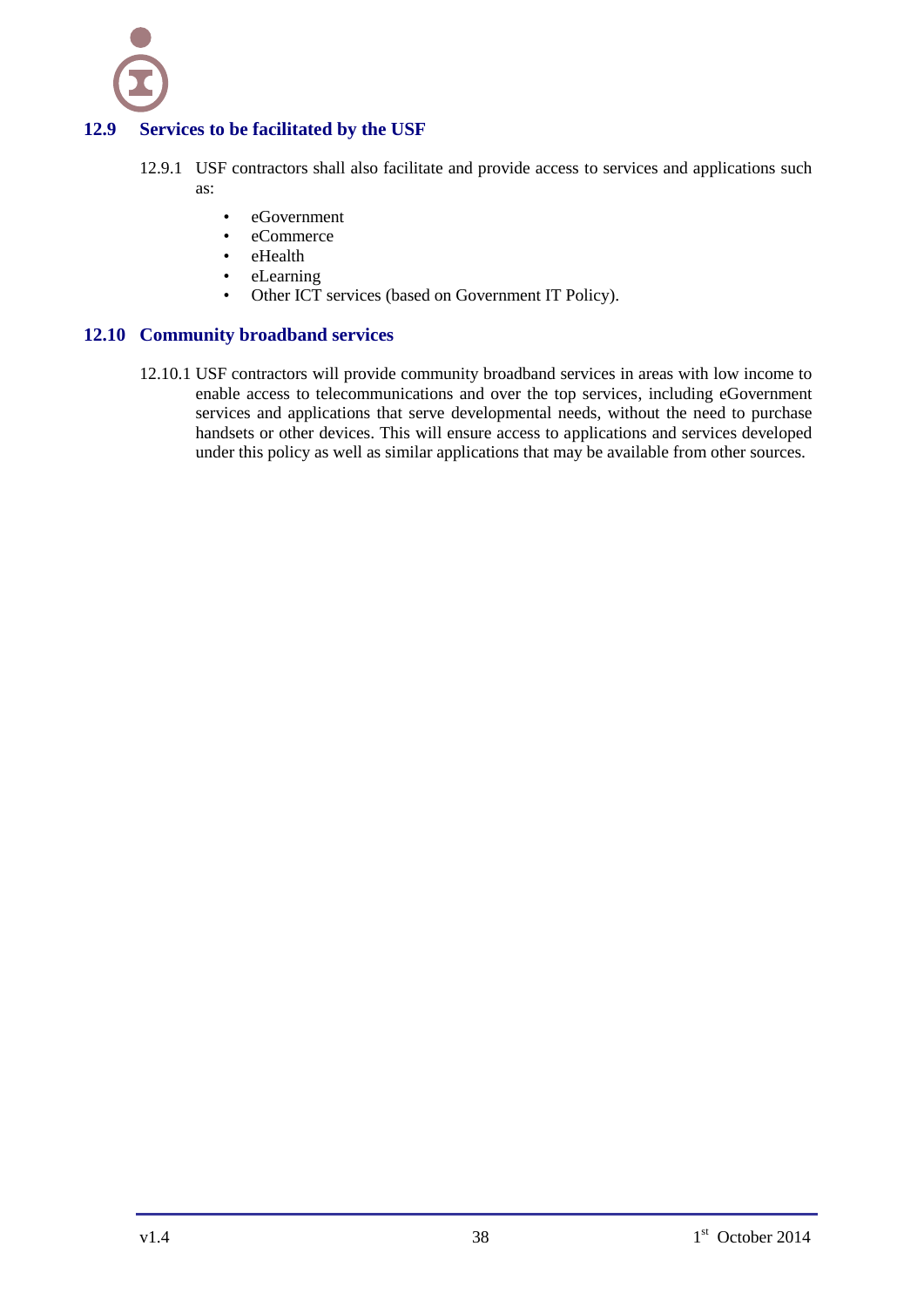

# **12.9 Services to be facilitated by the USF**

- <span id="page-41-0"></span>12.9.1 USF contractors shall also facilitate and provide access to services and applications such as:
	- eGovernment
	- eCommerce
	- eHealth
	- eLearning
	- Other ICT services (based on Government IT Policy).

#### **12.10 Community broadband services**

<span id="page-41-1"></span>12.10.1 USF contractors will provide community broadband services in areas with low income to enable access to telecommunications and over the top services, including eGovernment services and applications that serve developmental needs, without the need to purchase handsets or other devices. This will ensure access to applications and services developed under this policy as well as similar applications that may be available from other sources.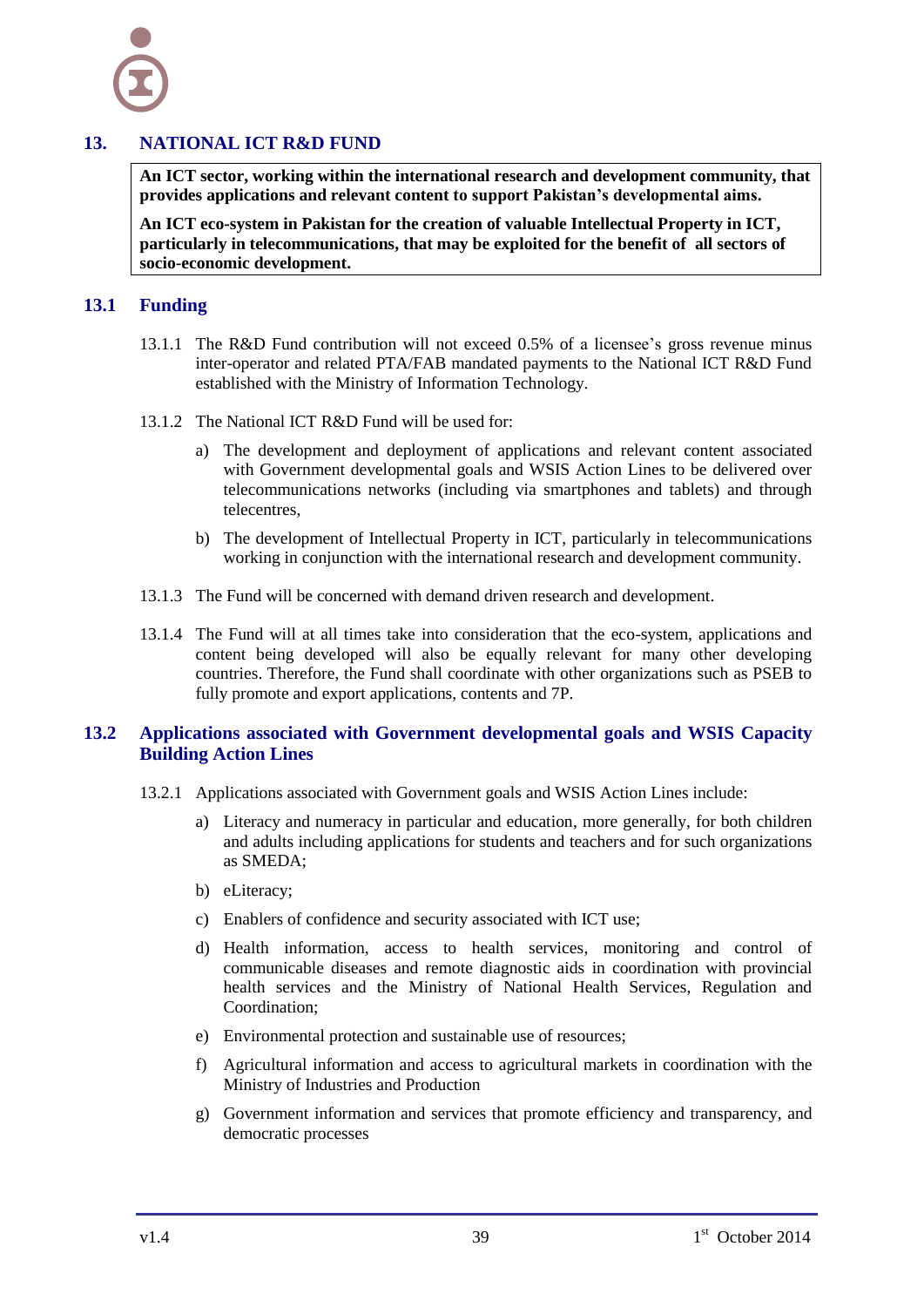# **13. NATIONAL ICT R&D FUND**

<span id="page-42-0"></span>**An ICT sector, working within the international research and development community, that provides applications and relevant content to support Pakistan's developmental aims.**

**An ICT eco-system in Pakistan for the creation of valuable Intellectual Property in ICT, particularly in telecommunications, that may be exploited for the benefit of all sectors of socio-economic development.**

#### <span id="page-42-1"></span>**13.1 Funding**

- 13.1.1 The R&D Fund contribution will not exceed 0.5% of a licensee"s gross revenue minus inter-operator and related PTA/FAB mandated payments to the National ICT R&D Fund established with the Ministry of Information Technology.
- 13.1.2 The National ICT R&D Fund will be used for:
	- a) The development and deployment of applications and relevant content associated with Government developmental goals and WSIS Action Lines to be delivered over telecommunications networks (including via smartphones and tablets) and through telecentres,
	- b) The development of Intellectual Property in ICT, particularly in telecommunications working in conjunction with the international research and development community.
- 13.1.3 The Fund will be concerned with demand driven research and development.
- 13.1.4 The Fund will at all times take into consideration that the eco-system, applications and content being developed will also be equally relevant for many other developing countries. Therefore, the Fund shall coordinate with other organizations such as PSEB to fully promote and export applications, contents and 7P.

#### <span id="page-42-2"></span>**13.2 Applications associated with Government developmental goals and WSIS Capacity Building Action Lines**

- <span id="page-42-3"></span>13.2.1 Applications associated with Government goals and WSIS Action Lines include:
	- a) Literacy and numeracy in particular and education, more generally, for both children and adults including applications for students and teachers and for such organizations as SMEDA;
	- b) eLiteracy;
	- c) Enablers of confidence and security associated with ICT use;
	- d) Health information, access to health services, monitoring and control of communicable diseases and remote diagnostic aids in coordination with provincial health services and the Ministry of National Health Services, Regulation and Coordination;
	- e) Environmental protection and sustainable use of resources;
	- f) Agricultural information and access to agricultural markets in coordination with the Ministry of Industries and Production
	- g) Government information and services that promote efficiency and transparency, and democratic processes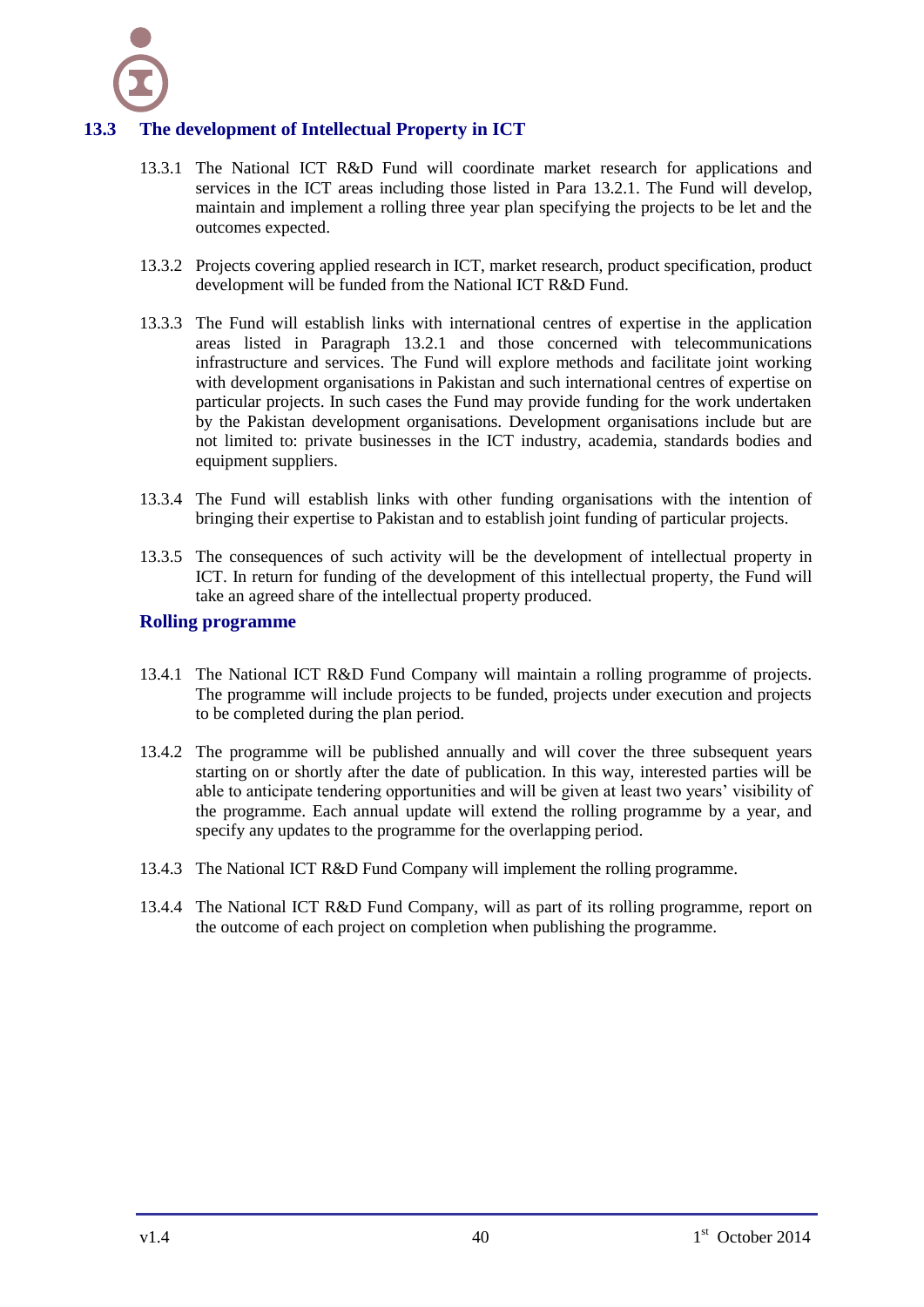

# **13.3 The development of Intellectual Property in ICT**

- <span id="page-43-0"></span>13.3.1 The National ICT R&D Fund will coordinate market research for applications and services in the ICT areas including those listed in Para [13.2.1.](#page-42-3) The Fund will develop, maintain and implement a rolling three year plan specifying the projects to be let and the outcomes expected.
- 13.3.2 Projects covering applied research in ICT, market research, product specification, product development will be funded from the National ICT R&D Fund.
- 13.3.3 The Fund will establish links with international centres of expertise in the application areas listed in Paragraph [13.2.1](#page-42-3) and those concerned with telecommunications infrastructure and services. The Fund will explore methods and facilitate joint working with development organisations in Pakistan and such international centres of expertise on particular projects. In such cases the Fund may provide funding for the work undertaken by the Pakistan development organisations. Development organisations include but are not limited to: private businesses in the ICT industry, academia, standards bodies and equipment suppliers.
- 13.3.4 The Fund will establish links with other funding organisations with the intention of bringing their expertise to Pakistan and to establish joint funding of particular projects.
- 13.3.5 The consequences of such activity will be the development of intellectual property in ICT. In return for funding of the development of this intellectual property, the Fund will take an agreed share of the intellectual property produced.

#### <span id="page-43-1"></span>**Rolling programme**

- 13.4.1 The National ICT R&D Fund Company will maintain a rolling programme of projects. The programme will include projects to be funded, projects under execution and projects to be completed during the plan period.
- 13.4.2 The programme will be published annually and will cover the three subsequent years starting on or shortly after the date of publication. In this way, interested parties will be able to anticipate tendering opportunities and will be given at least two years" visibility of the programme. Each annual update will extend the rolling programme by a year, and specify any updates to the programme for the overlapping period.
- 13.4.3 The National ICT R&D Fund Company will implement the rolling programme.
- 13.4.4 The National ICT R&D Fund Company, will as part of its rolling programme, report on the outcome of each project on completion when publishing the programme.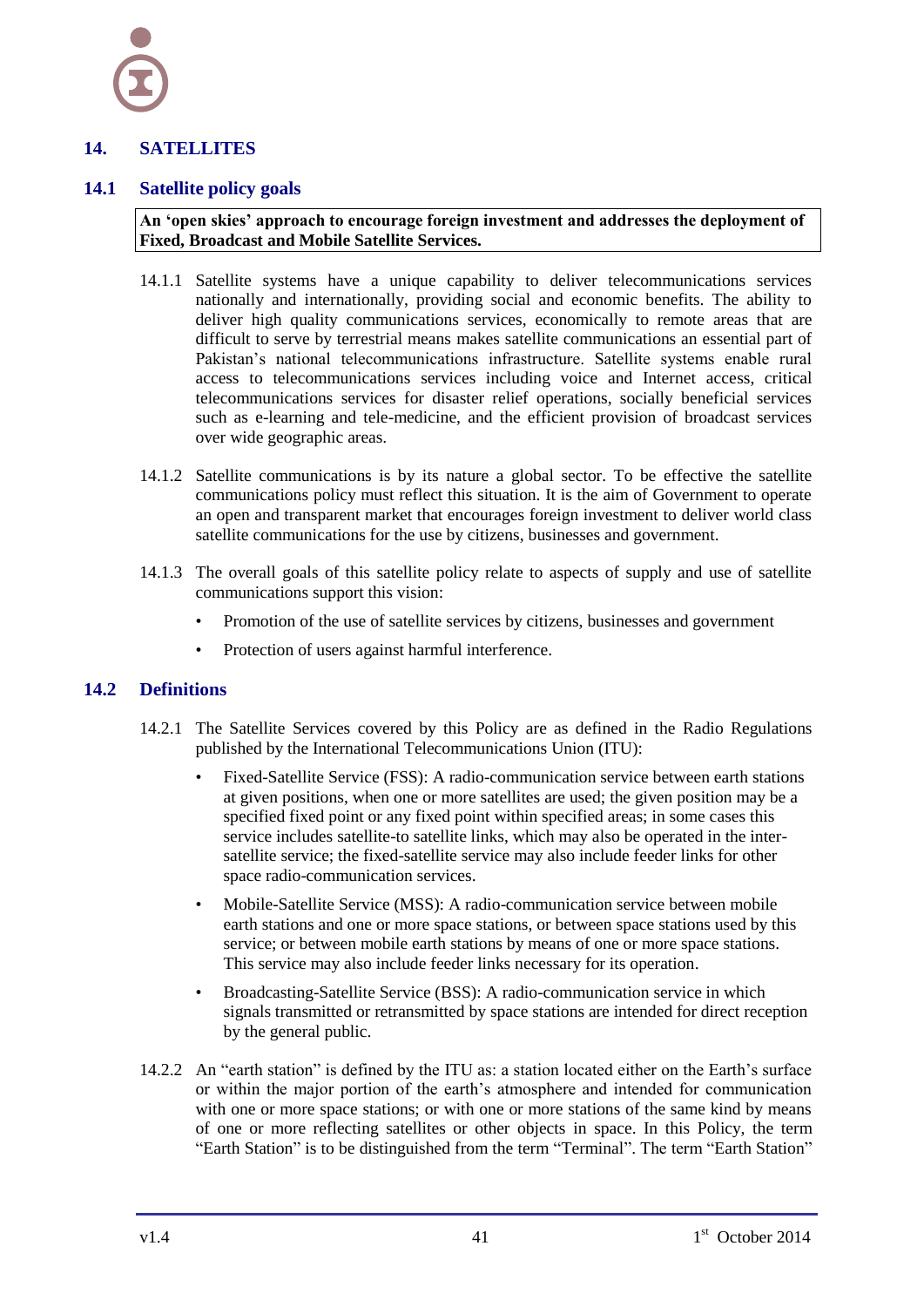

#### <span id="page-44-0"></span>**14. SATELLITES**

#### **14.1 Satellite policy goals**

#### <span id="page-44-1"></span>**An 'open skies' approach to encourage foreign investment and addresses the deployment of Fixed, Broadcast and Mobile Satellite Services.**

- 14.1.1 Satellite systems have a unique capability to deliver telecommunications services nationally and internationally, providing social and economic benefits. The ability to deliver high quality communications services, economically to remote areas that are difficult to serve by terrestrial means makes satellite communications an essential part of Pakistan"s national telecommunications infrastructure. Satellite systems enable rural access to telecommunications services including voice and Internet access, critical telecommunications services for disaster relief operations, socially beneficial services such as e-learning and tele-medicine, and the efficient provision of broadcast services over wide geographic areas.
- 14.1.2 Satellite communications is by its nature a global sector. To be effective the satellite communications policy must reflect this situation. It is the aim of Government to operate an open and transparent market that encourages foreign investment to deliver world class satellite communications for the use by citizens, businesses and government.
- 14.1.3 The overall goals of this satellite policy relate to aspects of supply and use of satellite communications support this vision:
	- Promotion of the use of satellite services by citizens, businesses and government
	- Protection of users against harmful interference.

#### <span id="page-44-2"></span>**14.2 Definitions**

- 14.2.1 The Satellite Services covered by this Policy are as defined in the Radio Regulations published by the International Telecommunications Union (ITU):
	- Fixed-Satellite Service (FSS): A radio-communication service between earth stations at given positions, when one or more satellites are used; the given position may be a specified fixed point or any fixed point within specified areas; in some cases this service includes satellite-to satellite links, which may also be operated in the intersatellite service; the fixed-satellite service may also include feeder links for other space radio-communication services.
	- Mobile-Satellite Service (MSS): A radio-communication service between mobile earth stations and one or more space stations, or between space stations used by this service; or between mobile earth stations by means of one or more space stations. This service may also include feeder links necessary for its operation.
	- Broadcasting-Satellite Service (BSS): A radio-communication service in which signals transmitted or retransmitted by space stations are intended for direct reception by the general public.
- 14.2.2 An "earth station" is defined by the ITU as: a station located either on the Earth's surface or within the major portion of the earth"s atmosphere and intended for communication with one or more space stations; or with one or more stations of the same kind by means of one or more reflecting satellites or other objects in space. In this Policy, the term "Earth Station" is to be distinguished from the term "Terminal". The term "Earth Station"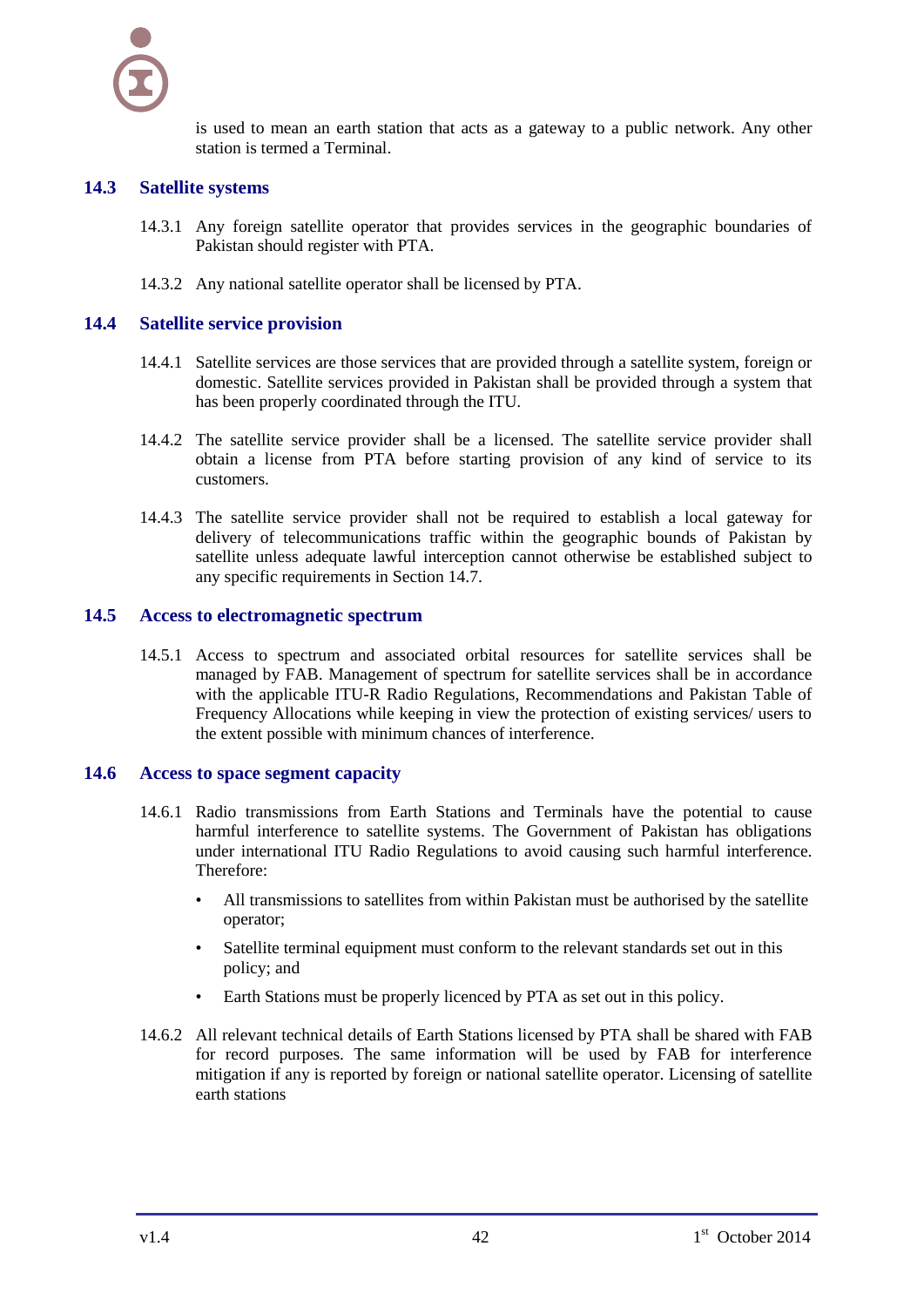

is used to mean an earth station that acts as a gateway to a public network. Any other station is termed a Terminal.

#### <span id="page-45-0"></span>**14.3 Satellite systems**

- 14.3.1 Any foreign satellite operator that provides services in the geographic boundaries of Pakistan should register with PTA.
- <span id="page-45-1"></span>14.3.2 Any national satellite operator shall be licensed by PTA.

#### **14.4 Satellite service provision**

- 14.4.1 Satellite services are those services that are provided through a satellite system, foreign or domestic. Satellite services provided in Pakistan shall be provided through a system that has been properly coordinated through the ITU.
- 14.4.2 The satellite service provider shall be a licensed. The satellite service provider shall obtain a license from PTA before starting provision of any kind of service to its customers.
- 14.4.3 The satellite service provider shall not be required to establish a local gateway for delivery of telecommunications traffic within the geographic bounds of Pakistan by satellite unless adequate lawful interception cannot otherwise be established subject to any specific requirements in Section [14.7.](#page-46-0)

#### <span id="page-45-2"></span>**14.5 Access to electromagnetic spectrum**

14.5.1 Access to spectrum and associated orbital resources for satellite services shall be managed by FAB. Management of spectrum for satellite services shall be in accordance with the applicable ITU-R Radio Regulations, Recommendations and Pakistan Table of Frequency Allocations while keeping in view the protection of existing services/ users to the extent possible with minimum chances of interference.

#### <span id="page-45-3"></span>**14.6 Access to space segment capacity**

- 14.6.1 Radio transmissions from Earth Stations and Terminals have the potential to cause harmful interference to satellite systems. The Government of Pakistan has obligations under international ITU Radio Regulations to avoid causing such harmful interference. Therefore:
	- All transmissions to satellites from within Pakistan must be authorised by the satellite operator;
	- Satellite terminal equipment must conform to the relevant standards set out in this policy; and
	- Earth Stations must be properly licenced by PTA as set out in this policy.
- 14.6.2 All relevant technical details of Earth Stations licensed by PTA shall be shared with FAB for record purposes. The same information will be used by FAB for interference mitigation if any is reported by foreign or national satellite operator. Licensing of satellite earth stations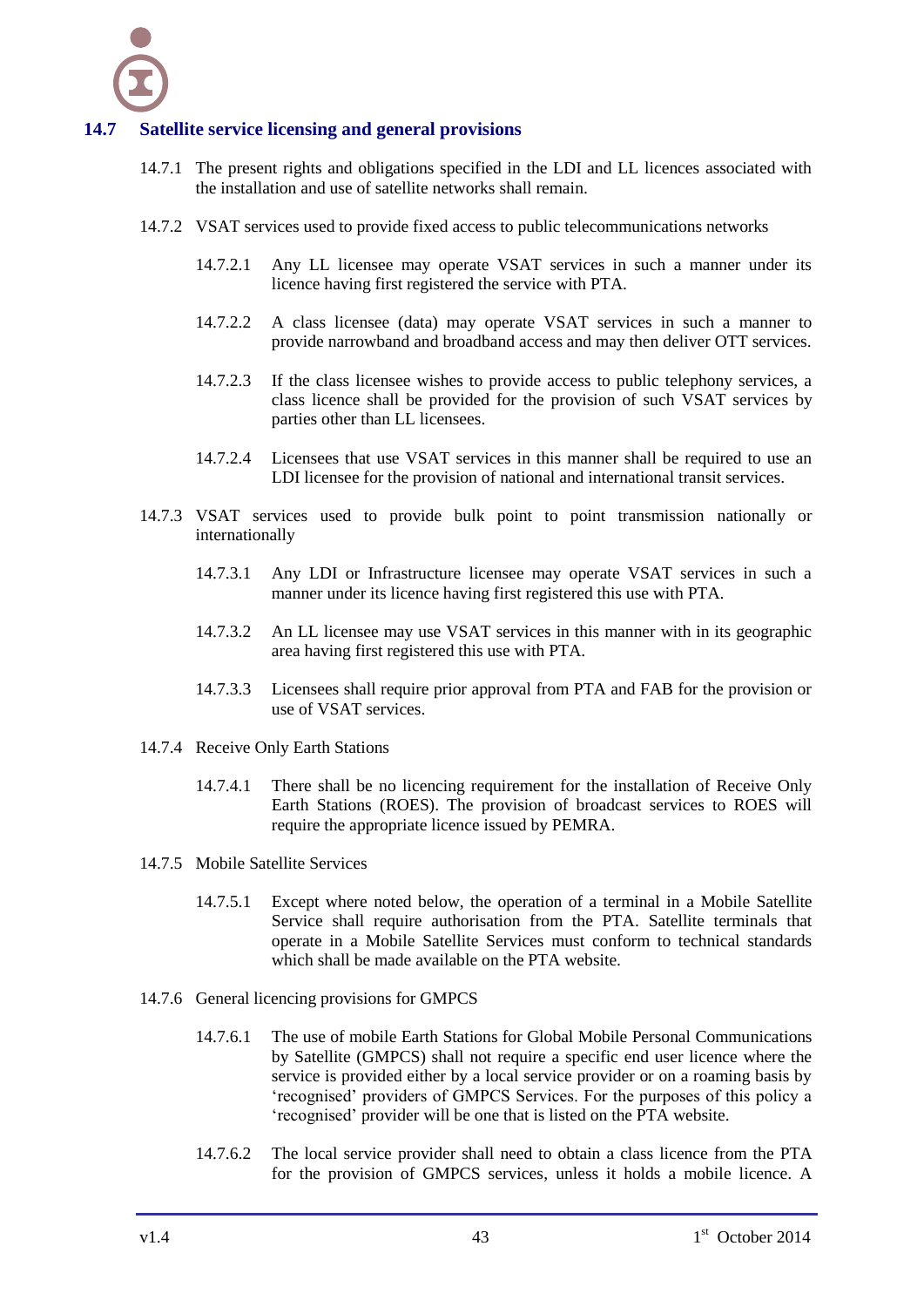

# **14.7 Satellite service licensing and general provisions**

- <span id="page-46-0"></span>14.7.1 The present rights and obligations specified in the LDI and LL licences associated with the installation and use of satellite networks shall remain.
- 14.7.2 VSAT services used to provide fixed access to public telecommunications networks
	- 14.7.2.1 Any LL licensee may operate VSAT services in such a manner under its licence having first registered the service with PTA.
	- 14.7.2.2 A class licensee (data) may operate VSAT services in such a manner to provide narrowband and broadband access and may then deliver OTT services.
	- 14.7.2.3 If the class licensee wishes to provide access to public telephony services, a class licence shall be provided for the provision of such VSAT services by parties other than LL licensees.
	- 14.7.2.4 Licensees that use VSAT services in this manner shall be required to use an LDI licensee for the provision of national and international transit services.
- 14.7.3 VSAT services used to provide bulk point to point transmission nationally or internationally
	- 14.7.3.1 Any LDI or Infrastructure licensee may operate VSAT services in such a manner under its licence having first registered this use with PTA.
	- 14.7.3.2 An LL licensee may use VSAT services in this manner with in its geographic area having first registered this use with PTA.
	- 14.7.3.3 Licensees shall require prior approval from PTA and FAB for the provision or use of VSAT services.
- 14.7.4 Receive Only Earth Stations
	- 14.7.4.1 There shall be no licencing requirement for the installation of Receive Only Earth Stations (ROES). The provision of broadcast services to ROES will require the appropriate licence issued by PEMRA.
- 14.7.5 Mobile Satellite Services
	- 14.7.5.1 Except where noted below, the operation of a terminal in a Mobile Satellite Service shall require authorisation from the PTA. Satellite terminals that operate in a Mobile Satellite Services must conform to technical standards which shall be made available on the PTA website.
- 14.7.6 General licencing provisions for GMPCS
	- 14.7.6.1 The use of mobile Earth Stations for Global Mobile Personal Communications by Satellite (GMPCS) shall not require a specific end user licence where the service is provided either by a local service provider or on a roaming basis by "recognised" providers of GMPCS Services. For the purposes of this policy a "recognised" provider will be one that is listed on the PTA website.
	- 14.7.6.2 The local service provider shall need to obtain a class licence from the PTA for the provision of GMPCS services, unless it holds a mobile licence. A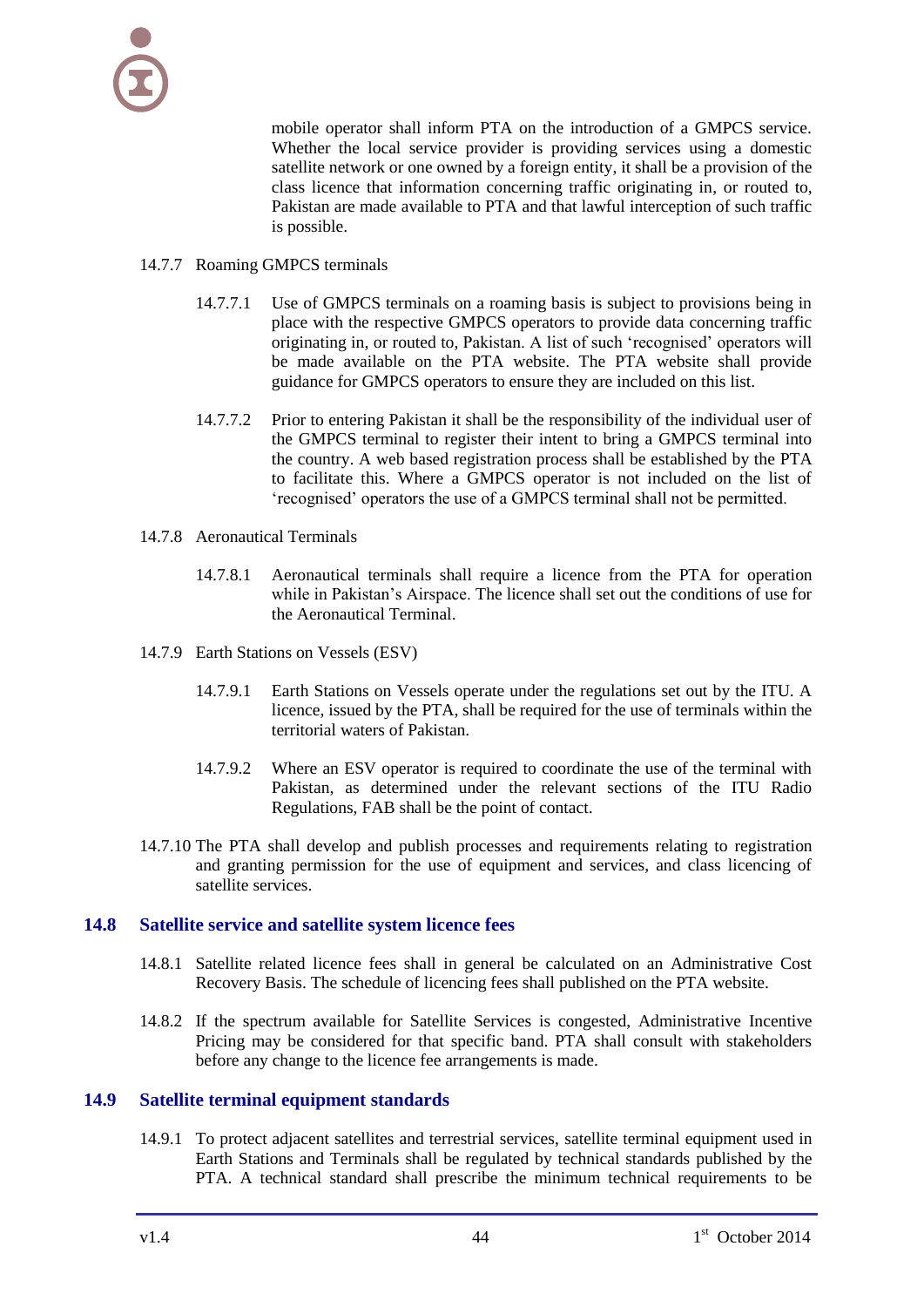mobile operator shall inform PTA on the introduction of a GMPCS service. Whether the local service provider is providing services using a domestic satellite network or one owned by a foreign entity, it shall be a provision of the class licence that information concerning traffic originating in, or routed to, Pakistan are made available to PTA and that lawful interception of such traffic is possible.

#### 14.7.7 Roaming GMPCS terminals

- 14.7.7.1 Use of GMPCS terminals on a roaming basis is subject to provisions being in place with the respective GMPCS operators to provide data concerning traffic originating in, or routed to, Pakistan. A list of such "recognised" operators will be made available on the PTA website. The PTA website shall provide guidance for GMPCS operators to ensure they are included on this list.
- 14.7.7.2 Prior to entering Pakistan it shall be the responsibility of the individual user of the GMPCS terminal to register their intent to bring a GMPCS terminal into the country. A web based registration process shall be established by the PTA to facilitate this. Where a GMPCS operator is not included on the list of "recognised" operators the use of a GMPCS terminal shall not be permitted.
- 14.7.8 Aeronautical Terminals
	- 14.7.8.1 Aeronautical terminals shall require a licence from the PTA for operation while in Pakistan's Airspace. The licence shall set out the conditions of use for the Aeronautical Terminal.
- 14.7.9 Earth Stations on Vessels (ESV)
	- 14.7.9.1 Earth Stations on Vessels operate under the regulations set out by the ITU. A licence, issued by the PTA, shall be required for the use of terminals within the territorial waters of Pakistan.
	- 14.7.9.2 Where an ESV operator is required to coordinate the use of the terminal with Pakistan, as determined under the relevant sections of the ITU Radio Regulations, FAB shall be the point of contact.
- 14.7.10 The PTA shall develop and publish processes and requirements relating to registration and granting permission for the use of equipment and services, and class licencing of satellite services.

#### **14.8 Satellite service and satellite system licence fees**

- <span id="page-47-0"></span>14.8.1 Satellite related licence fees shall in general be calculated on an Administrative Cost Recovery Basis. The schedule of licencing fees shall published on the PTA website.
- 14.8.2 If the spectrum available for Satellite Services is congested, Administrative Incentive Pricing may be considered for that specific band. PTA shall consult with stakeholders before any change to the licence fee arrangements is made.

#### **14.9 Satellite terminal equipment standards**

<span id="page-47-1"></span>14.9.1 To protect adjacent satellites and terrestrial services, satellite terminal equipment used in Earth Stations and Terminals shall be regulated by technical standards published by the PTA. A technical standard shall prescribe the minimum technical requirements to be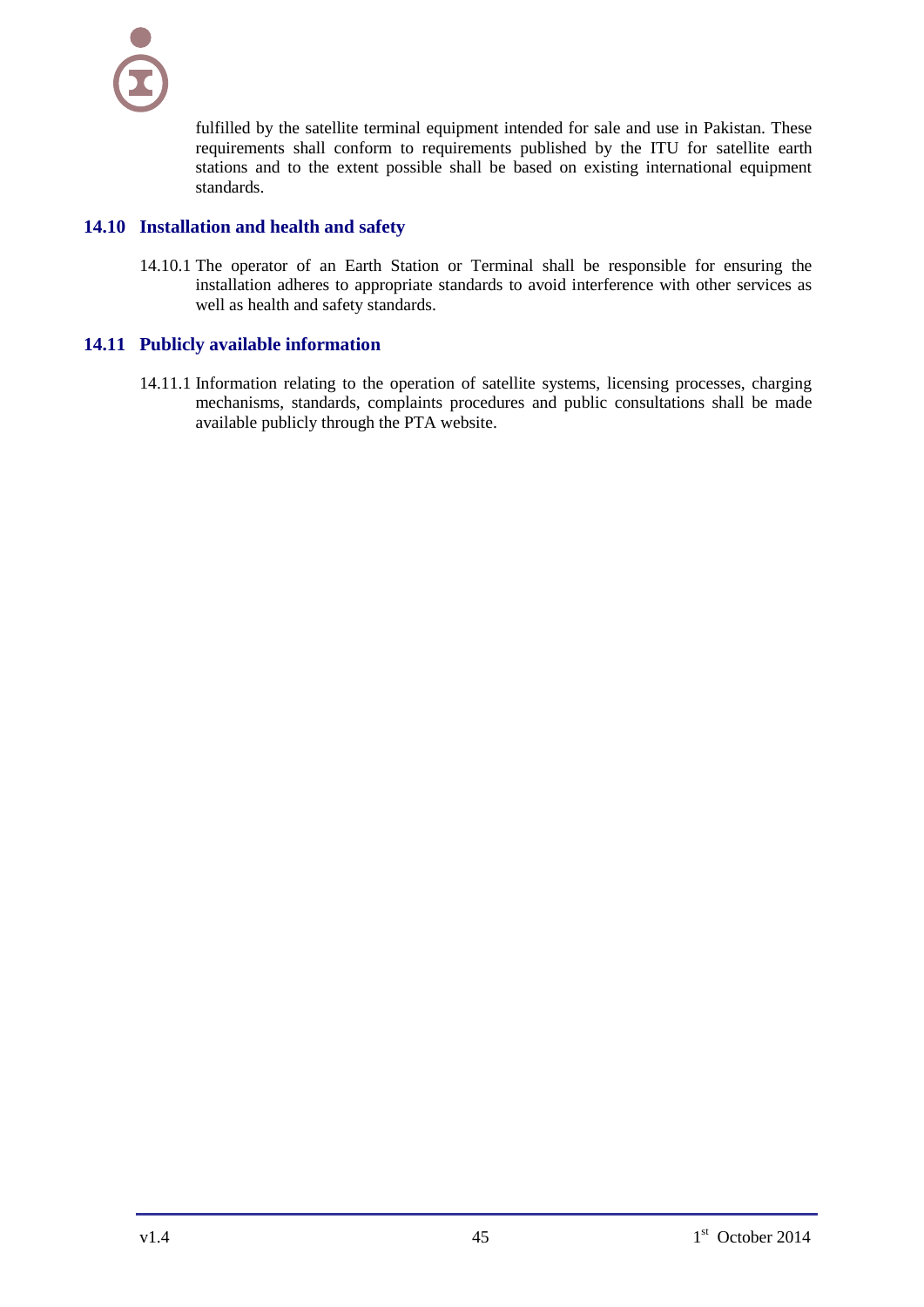fulfilled by the satellite terminal equipment intended for sale and use in Pakistan. These requirements shall conform to requirements published by the ITU for satellite earth stations and to the extent possible shall be based on existing international equipment standards.

# <span id="page-48-0"></span>**14.10 Installation and health and safety**

14.10.1 The operator of an Earth Station or Terminal shall be responsible for ensuring the installation adheres to appropriate standards to avoid interference with other services as well as health and safety standards.

# <span id="page-48-1"></span>**14.11 Publicly available information**

14.11.1 Information relating to the operation of satellite systems, licensing processes, charging mechanisms, standards, complaints procedures and public consultations shall be made available publicly through the PTA website.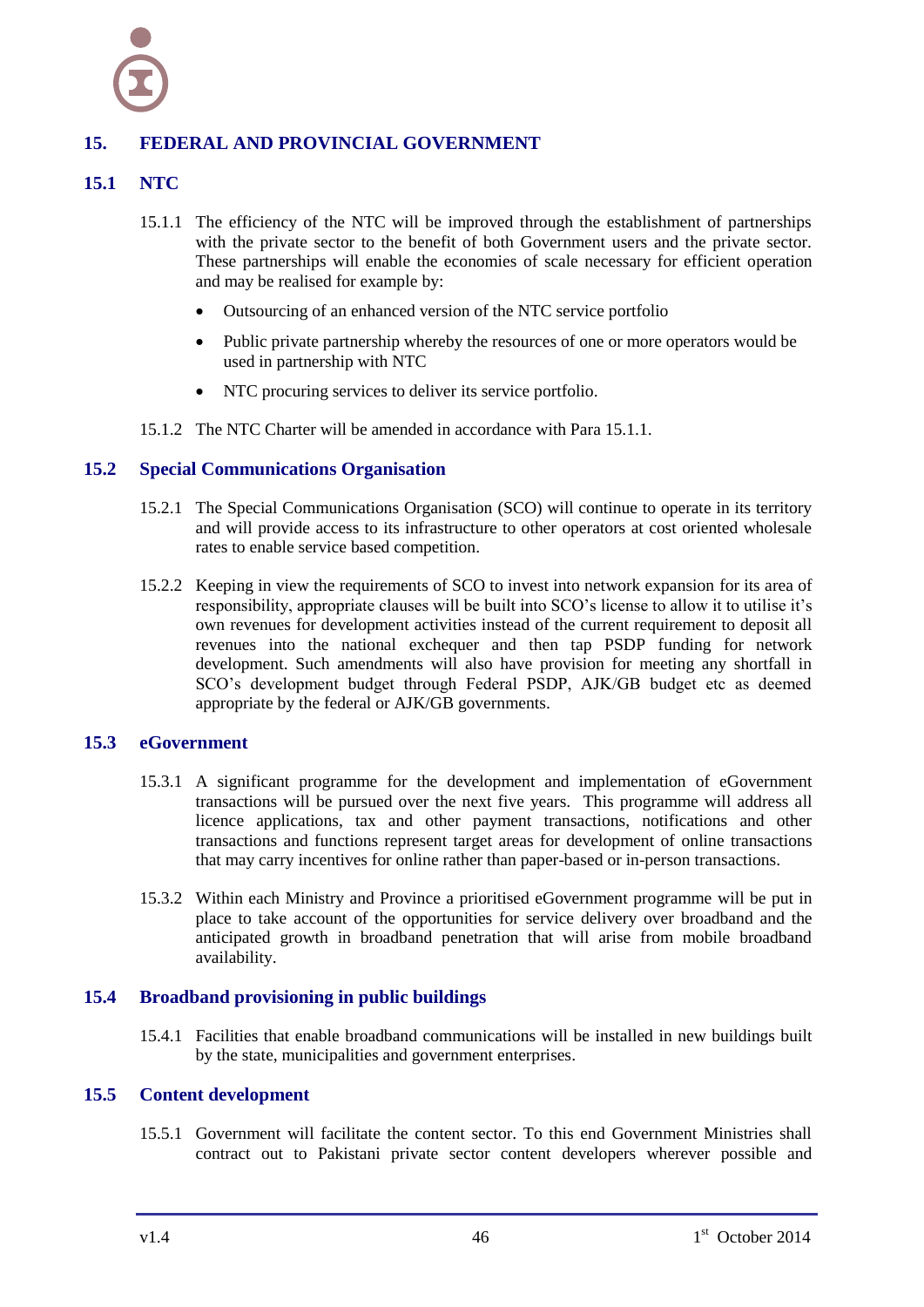

# <span id="page-49-0"></span>**15. FEDERAL AND PROVINCIAL GOVERNMENT**

#### <span id="page-49-1"></span>**15.1 NTC**

- <span id="page-49-6"></span>15.1.1 The efficiency of the NTC will be improved through the establishment of partnerships with the private sector to the benefit of both Government users and the private sector. These partnerships will enable the economies of scale necessary for efficient operation and may be realised for example by:
	- Outsourcing of an enhanced version of the NTC service portfolio
	- Public private partnership whereby the resources of one or more operators would be used in partnership with NTC
	- NTC procuring services to deliver its service portfolio.
- <span id="page-49-2"></span>15.1.2 The NTC Charter will be amended in accordance with Para [15.1.1.](#page-49-6)

#### **15.2 Special Communications Organisation**

- 15.2.1 The Special Communications Organisation (SCO) will continue to operate in its territory and will provide access to its infrastructure to other operators at cost oriented wholesale rates to enable service based competition.
- 15.2.2 Keeping in view the requirements of SCO to invest into network expansion for its area of responsibility, appropriate clauses will be built into SCO"s license to allow it to utilise it"s own revenues for development activities instead of the current requirement to deposit all revenues into the national exchequer and then tap PSDP funding for network development. Such amendments will also have provision for meeting any shortfall in SCO"s development budget through Federal PSDP, AJK/GB budget etc as deemed appropriate by the federal or AJK/GB governments.

#### <span id="page-49-3"></span>**15.3 eGovernment**

- 15.3.1 A significant programme for the development and implementation of eGovernment transactions will be pursued over the next five years. This programme will address all licence applications, tax and other payment transactions, notifications and other transactions and functions represent target areas for development of online transactions that may carry incentives for online rather than paper-based or in-person transactions.
- 15.3.2 Within each Ministry and Province a prioritised eGovernment programme will be put in place to take account of the opportunities for service delivery over broadband and the anticipated growth in broadband penetration that will arise from mobile broadband availability.

#### <span id="page-49-4"></span>**15.4 Broadband provisioning in public buildings**

<span id="page-49-5"></span>15.4.1 Facilities that enable broadband communications will be installed in new buildings built by the state, municipalities and government enterprises.

#### **15.5 Content development**

15.5.1 Government will facilitate the content sector. To this end Government Ministries shall contract out to Pakistani private sector content developers wherever possible and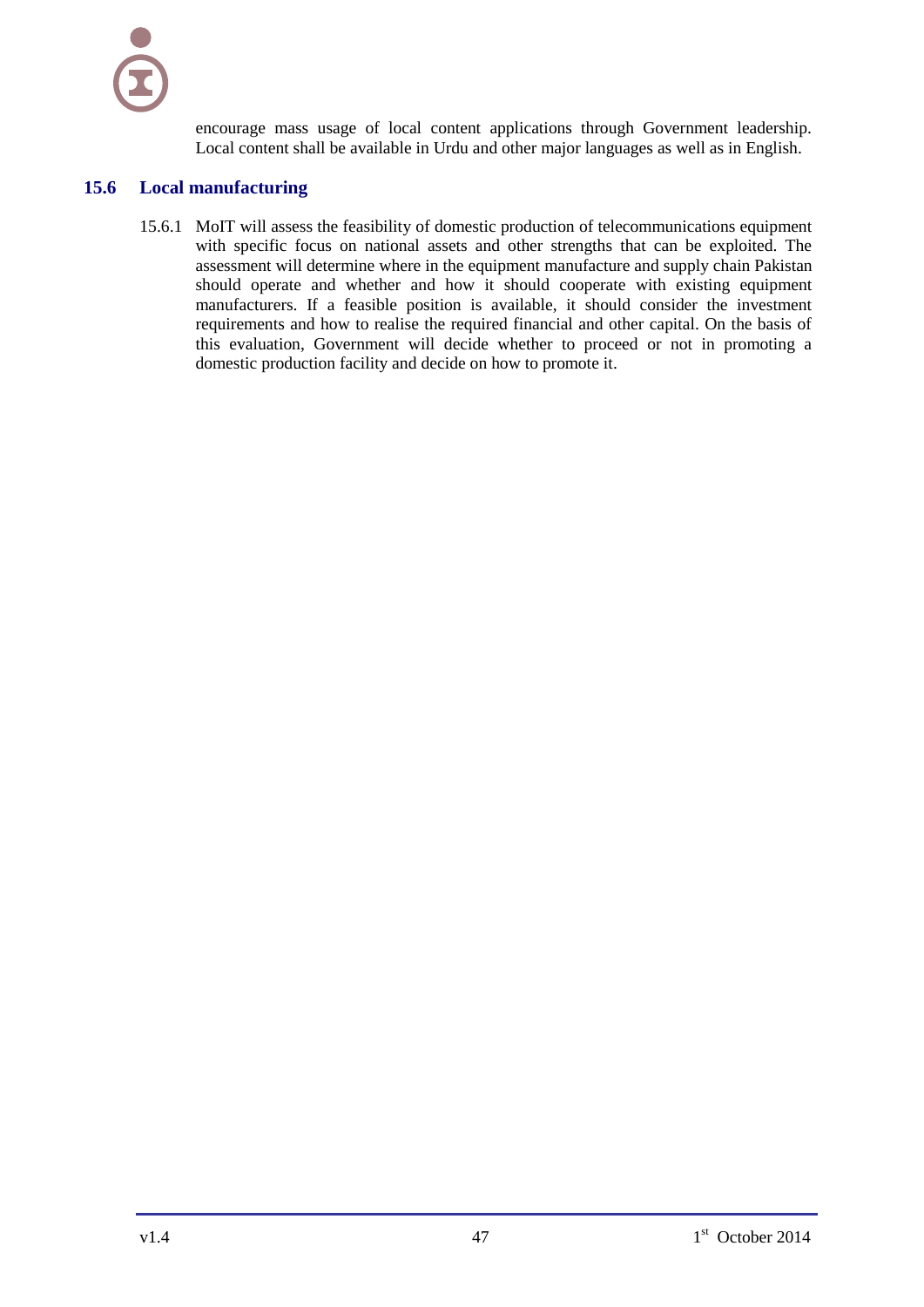encourage mass usage of local content applications through Government leadership. Local content shall be available in Urdu and other major languages as well as in English.

#### <span id="page-50-0"></span>**15.6 Local manufacturing**

15.6.1 MoIT will assess the feasibility of domestic production of telecommunications equipment with specific focus on national assets and other strengths that can be exploited. The assessment will determine where in the equipment manufacture and supply chain Pakistan should operate and whether and how it should cooperate with existing equipment manufacturers. If a feasible position is available, it should consider the investment requirements and how to realise the required financial and other capital. On the basis of this evaluation, Government will decide whether to proceed or not in promoting a domestic production facility and decide on how to promote it.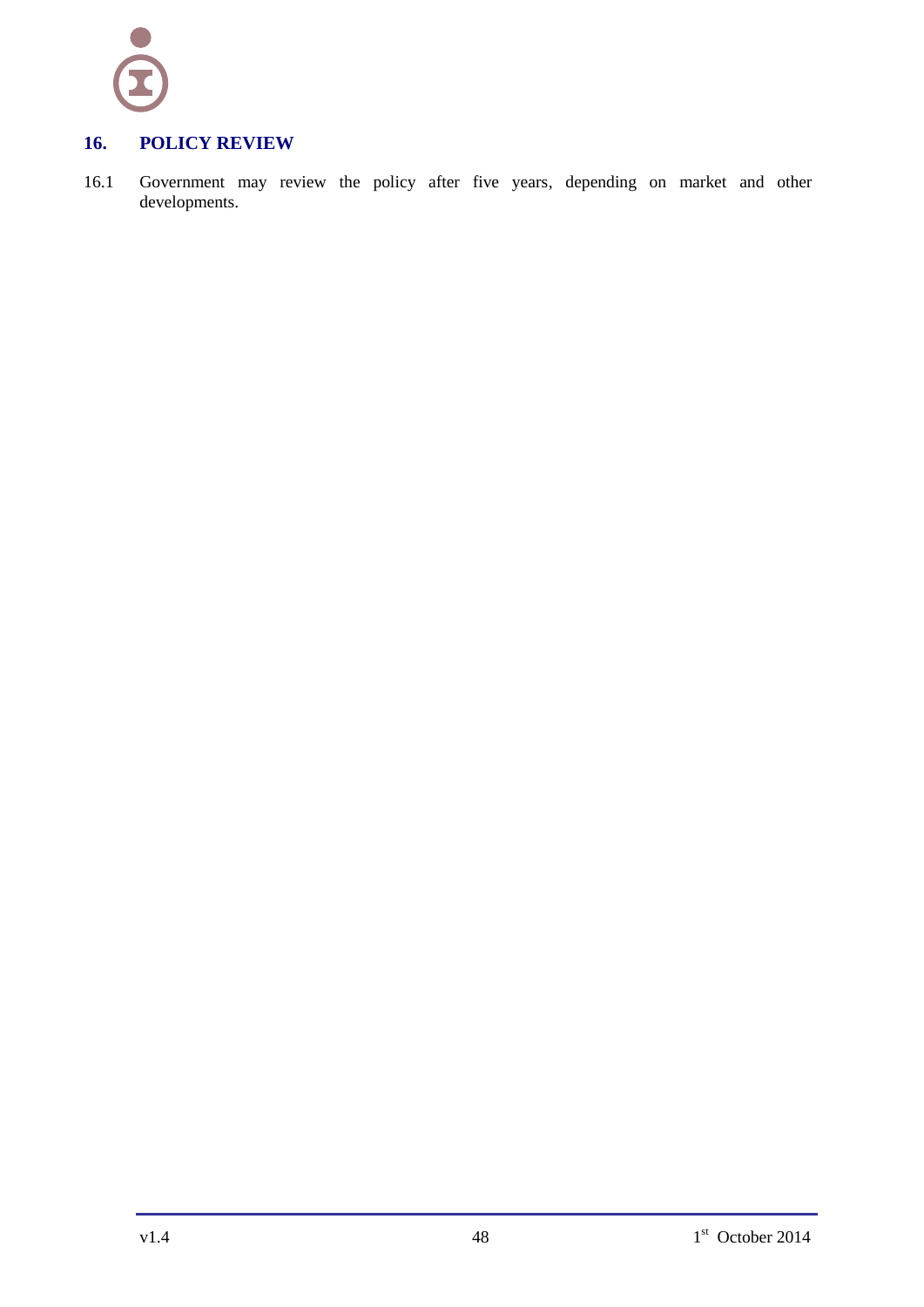

# <span id="page-51-0"></span>**16. POLICY REVIEW**

16.1 Government may review the policy after five years, depending on market and other developments.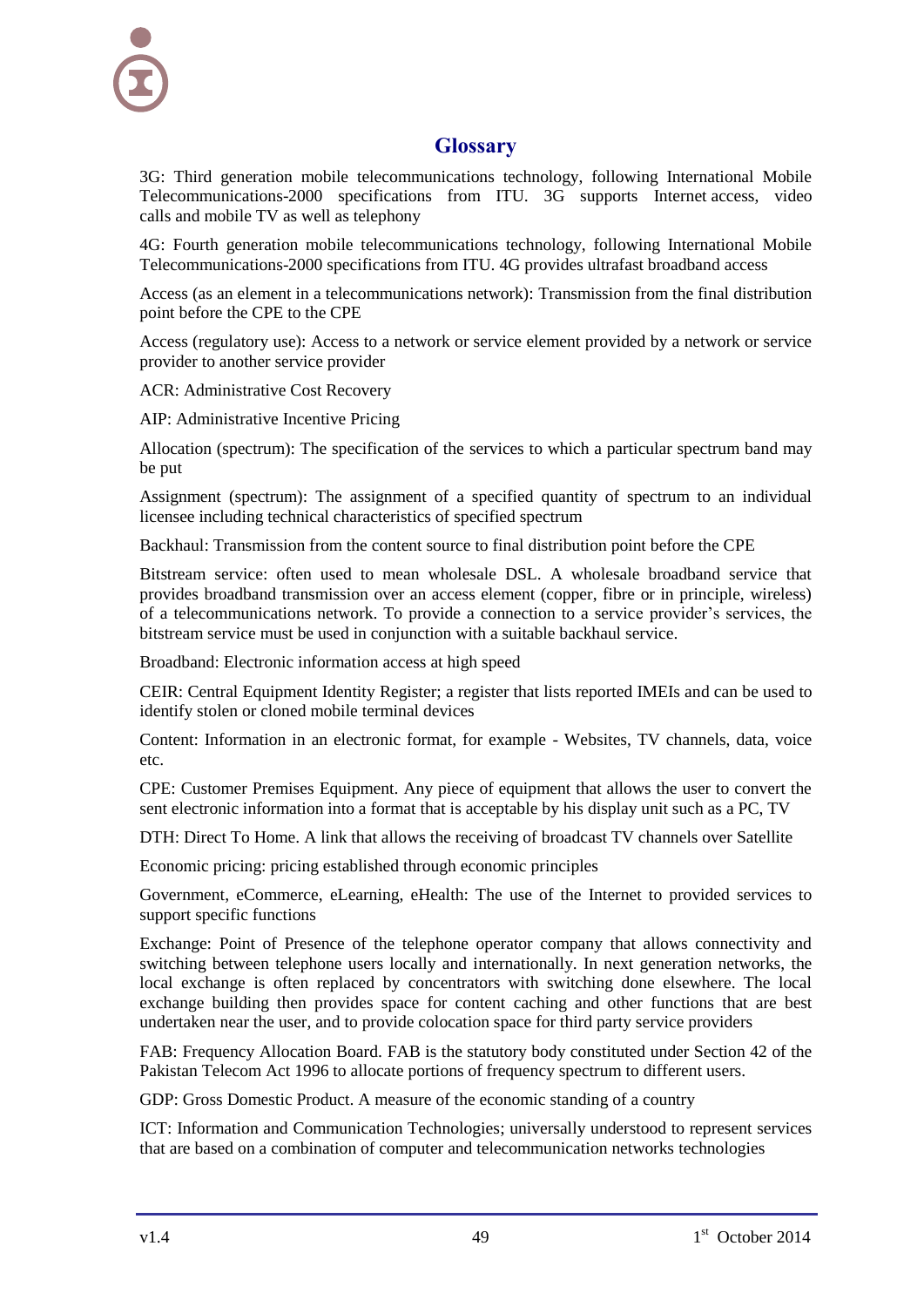# **Glossary**

<span id="page-52-0"></span>3G: Third generation mobile telecommunications technology, following International Mobile Telecommunications-2000 specifications from ITU. 3G supports Internet access, [video](http://en.wikipedia.org/wiki/Videotelephony)  [calls](http://en.wikipedia.org/wiki/Videotelephony) and [mobile TV](http://en.wikipedia.org/wiki/Multimedia_Broadcast_Multicast_Service) as well as telephony

4G: Fourth generation mobile telecommunications technology, following International Mobile Telecommunications-2000 specifications from ITU. 4G provides ultrafast broadband access

Access (as an element in a telecommunications network): Transmission from the final distribution point before the CPE to the CPE

Access (regulatory use): Access to a network or service element provided by a network or service provider to another service provider

ACR: Administrative Cost Recovery

AIP: Administrative Incentive Pricing

Allocation (spectrum): The specification of the services to which a particular spectrum band may be put

Assignment (spectrum): The assignment of a specified quantity of spectrum to an individual licensee including technical characteristics of specified spectrum

Backhaul: Transmission from the content source to final distribution point before the CPE

Bitstream service: often used to mean wholesale DSL. A wholesale broadband service that provides broadband transmission over an access element (copper, fibre or in principle, wireless) of a telecommunications network. To provide a connection to a service provider"s services, the bitstream service must be used in conjunction with a suitable backhaul service.

Broadband: Electronic information access at high speed

CEIR: Central Equipment Identity Register; a register that lists reported IMEIs and can be used to identify stolen or cloned mobile terminal devices

Content: Information in an electronic format, for example - Websites, TV channels, data, voice etc.

CPE: Customer Premises Equipment. Any piece of equipment that allows the user to convert the sent electronic information into a format that is acceptable by his display unit such as a PC, TV

DTH: Direct To Home. A link that allows the receiving of broadcast TV channels over Satellite

Economic pricing: pricing established through economic principles

Government, eCommerce, eLearning, eHealth: The use of the Internet to provided services to support specific functions

Exchange: Point of Presence of the telephone operator company that allows connectivity and switching between telephone users locally and internationally. In next generation networks, the local exchange is often replaced by concentrators with switching done elsewhere. The local exchange building then provides space for content caching and other functions that are best undertaken near the user, and to provide colocation space for third party service providers

FAB: Frequency Allocation Board. FAB is the statutory body constituted under Section 42 of the Pakistan Telecom Act 1996 to allocate portions of frequency spectrum to different users.

GDP: Gross Domestic Product. A measure of the economic standing of a country

ICT: Information and Communication Technologies; universally understood to represent services that are based on a combination of computer and telecommunication networks technologies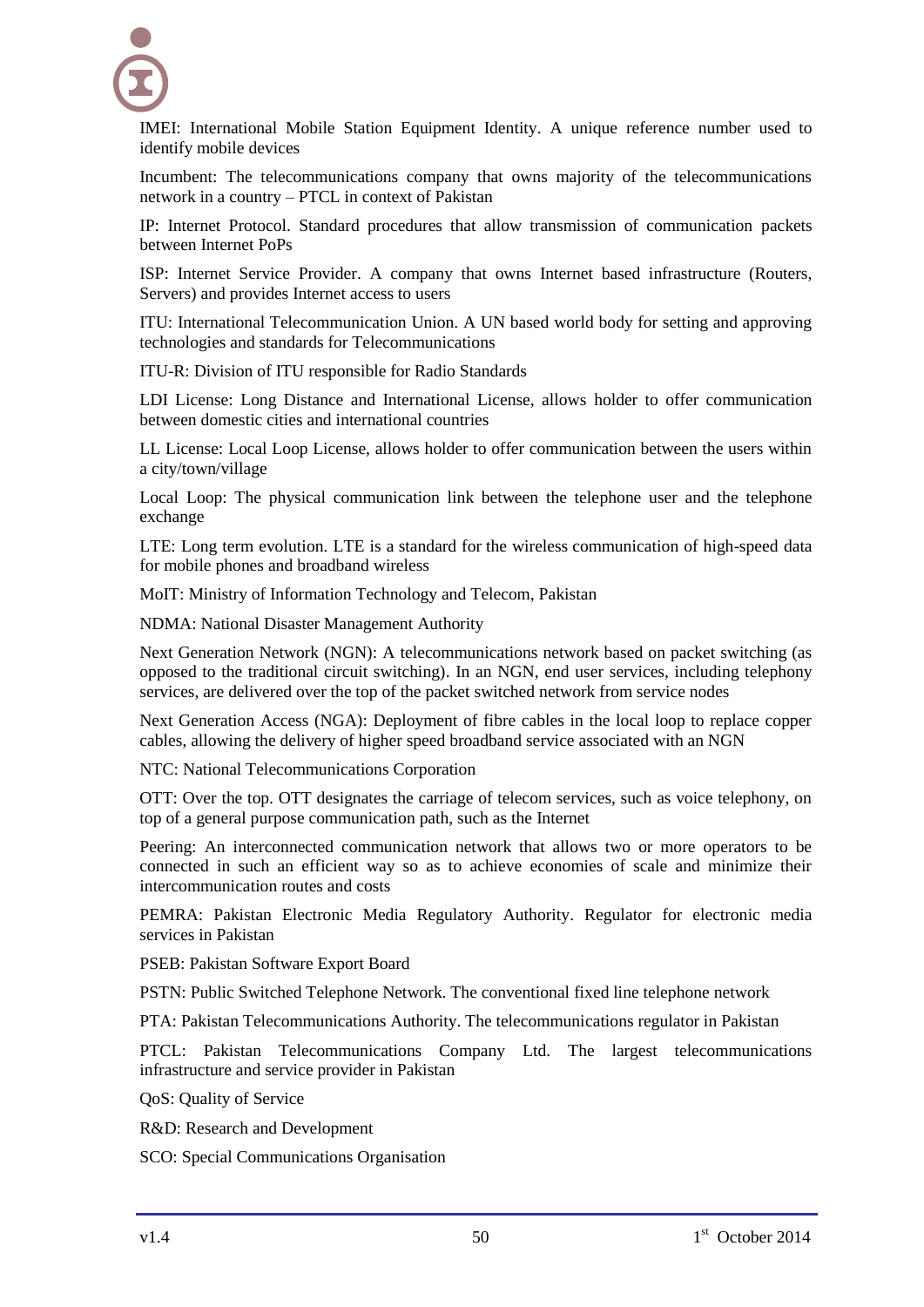

IMEI: International Mobile Station Equipment Identity. A unique reference number used to identify mobile devices

Incumbent: The telecommunications company that owns majority of the telecommunications network in a country – PTCL in context of Pakistan

IP: Internet Protocol. Standard procedures that allow transmission of communication packets between Internet PoPs

ISP: Internet Service Provider. A company that owns Internet based infrastructure (Routers, Servers) and provides Internet access to users

ITU: International Telecommunication Union. A UN based world body for setting and approving technologies and standards for Telecommunications

ITU-R: Division of ITU responsible for Radio Standards

LDI License: Long Distance and International License, allows holder to offer communication between domestic cities and international countries

LL License: Local Loop License, allows holder to offer communication between the users within a city/town/village

Local Loop: The physical communication link between the telephone user and the telephone exchange

LTE: Long term evolution. LTE is a standard for the [wireless](http://en.wikipedia.org/wiki/Wireless) communication of high-speed data for mobile phones and broadband wireless

MoIT: Ministry of Information Technology and Telecom, Pakistan

NDMA: National Disaster Management Authority

Next Generation Network (NGN): A telecommunications network based on packet switching (as opposed to the traditional circuit switching). In an NGN, end user services, including telephony services, are delivered over the top of the packet switched network from service nodes

Next Generation Access (NGA): Deployment of fibre cables in the local loop to replace copper cables, allowing the delivery of higher speed broadband service associated with an NGN

NTC: National Telecommunications Corporation

OTT: Over the top. OTT designates the carriage of telecom services, such as voice telephony, on top of a general purpose communication path, such as the Internet

Peering: An interconnected communication network that allows two or more operators to be connected in such an efficient way so as to achieve economies of scale and minimize their intercommunication routes and costs

PEMRA: Pakistan Electronic Media Regulatory Authority. Regulator for electronic media services in Pakistan

PSEB: Pakistan Software Export Board

PSTN: Public Switched Telephone Network. The conventional fixed line telephone network

PTA: Pakistan Telecommunications Authority. The telecommunications regulator in Pakistan

PTCL: Pakistan Telecommunications Company Ltd. The largest telecommunications infrastructure and service provider in Pakistan

QoS: Quality of Service

R&D: Research and Development

SCO: Special Communications Organisation